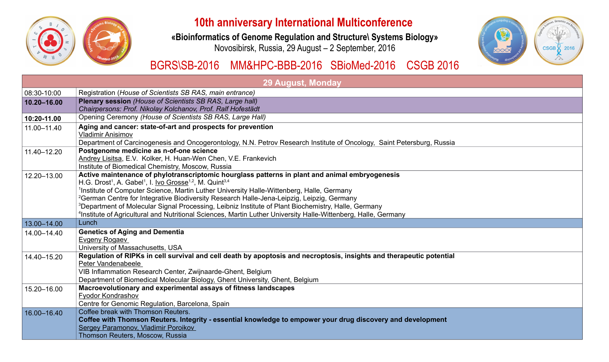

# **10th anniversary International Multiconfe**

## **«Bioinformatics of Genome Regulation and Structure\ Systems Biology»**

Novosibirsk, Russia, 29 August – 2 September, 2016

# BGRS\SB-2016 MM&HPC-BBB-2016 SBioMed-2016

|             | 29 August, Monday                                                                                                                                                                                                                                                                                                                                                                                                                                                                                                                                                                                                                                                                    |
|-------------|--------------------------------------------------------------------------------------------------------------------------------------------------------------------------------------------------------------------------------------------------------------------------------------------------------------------------------------------------------------------------------------------------------------------------------------------------------------------------------------------------------------------------------------------------------------------------------------------------------------------------------------------------------------------------------------|
| 08:30-10:00 | Registration (House of Scientists SB RAS, main entrance)                                                                                                                                                                                                                                                                                                                                                                                                                                                                                                                                                                                                                             |
| 10.20-16.00 | <b>Plenary session (House of Scientists SB RAS, Large hall)</b><br>Chairpersons: Prof. Nikolay Kolchanov, Prof. Ralf Hofestädt                                                                                                                                                                                                                                                                                                                                                                                                                                                                                                                                                       |
| 10:20-11.00 | Opening Ceremony (House of Scientists SB RAS, Large Hall)                                                                                                                                                                                                                                                                                                                                                                                                                                                                                                                                                                                                                            |
| 11.00-11.40 | Aging and cancer: state-of-art and prospects for prevention<br><b>Vladimir Anisimov</b><br>Department of Carcinogenesis and Oncogerontology, N.N. Petrov Research Institute of Oncology, Saint Petersburg, Russia                                                                                                                                                                                                                                                                                                                                                                                                                                                                    |
| 11.40-12.20 | Postgenome medicine as n-of-one science<br>Andrey Lisitsa, E.V. Kolker, H. Huan-Wen Chen, V.E. Frankevich<br>Institute of Biomedical Chemistry, Moscow, Russia                                                                                                                                                                                                                                                                                                                                                                                                                                                                                                                       |
| 12.20-13.00 | Active maintenance of phylotranscriptomic hourglass patterns in plant and animal embryogenesis<br>H.G. Drost <sup>1</sup> , A. Gabel <sup>1</sup> , I. <u>Ivo Grosse</u> <sup>1,2</sup> , M. Quint <sup>3,4</sup><br><sup>1</sup> Institute of Computer Science, Martin Luther University Halle-Wittenberg, Halle, Germany<br><sup>2</sup> German Centre for Integrative Biodiversity Research Halle-Jena-Leipzig, Leipzig, Germany<br><sup>3</sup> Department of Molecular Signal Processing, Leibniz Institute of Plant Biochemistry, Halle, Germany<br><sup>4</sup> Institute of Agricultural and Nutritional Sciences, Martin Luther University Halle-Wittenberg, Halle, Germany |
| 13.00-14.00 | Lunch                                                                                                                                                                                                                                                                                                                                                                                                                                                                                                                                                                                                                                                                                |
| 14.00-14.40 | <b>Genetics of Aging and Dementia</b><br><b>Evgeny Rogaev</b><br>University of Massachusetts, USA                                                                                                                                                                                                                                                                                                                                                                                                                                                                                                                                                                                    |
| 14.40-15.20 | Regulation of RIPKs in cell survival and cell death by apoptosis and necroptosis, insights and therapeutic potential<br>Peter Vandenabeele<br>VIB Inflammation Research Center, Zwijnaarde-Ghent, Belgium<br>Department of Biomedical Molecular Biology, Ghent University, Ghent, Belgium                                                                                                                                                                                                                                                                                                                                                                                            |
| 15.20-16.00 | Macroevolutionary and experimental assays of fitness landscapes<br><b>Fyodor Kondrashov</b><br>Centre for Genomic Regulation, Barcelona, Spain                                                                                                                                                                                                                                                                                                                                                                                                                                                                                                                                       |
| 16.00-16.40 | Coffee break with Thomson Reuters.<br>Coffee with Thomson Reuters. Integrity - essential knowledge to empower your drug discovery and development<br>Sergey Paramonov, Vladimir Poroikov<br>Thomson Reuters, Moscow, Russia                                                                                                                                                                                                                                                                                                                                                                                                                                                          |

| erence<br>tems Biology»<br>)16 | computing in biomorphism<br><b>THE REAL PROPERTY AND REAL PROPERTY AND REAL PROPERTY</b> | Sealthcas, Genomics and Braining<br><b>CSGB</b><br>2016 |
|--------------------------------|------------------------------------------------------------------------------------------|---------------------------------------------------------|
| 16 CSGB 2016                   |                                                                                          |                                                         |
|                                |                                                                                          |                                                         |
|                                |                                                                                          |                                                         |
|                                |                                                                                          |                                                         |
| aint Petersburg, Russia        |                                                                                          |                                                         |
|                                |                                                                                          |                                                         |
| າesis                          |                                                                                          |                                                         |
|                                |                                                                                          |                                                         |
| ermany                         |                                                                                          |                                                         |
|                                |                                                                                          |                                                         |
|                                |                                                                                          |                                                         |
| therapeutic potential          |                                                                                          |                                                         |
|                                |                                                                                          |                                                         |
|                                |                                                                                          |                                                         |
|                                |                                                                                          |                                                         |
| y and development              |                                                                                          |                                                         |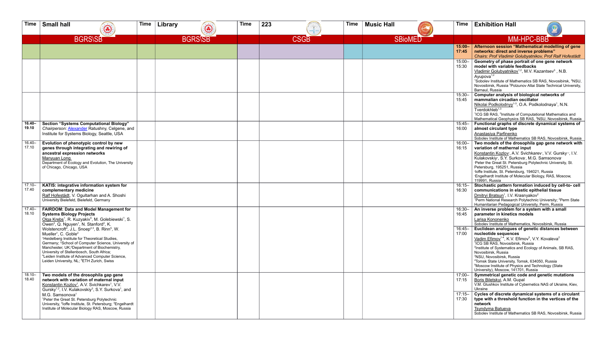| <b>Time</b>        | <b>Small hall</b>                                                                                                                                                                                                                                                                                                                                                                                                                                                                  | $\bigodot$                                                                                                                                                                                                                                                                     | <b>Time</b> | Library | 3              | <b>Time</b> | 223 |             | <b>Time</b> | <b>Music Hall</b> |                | Time                               | <b>Exhibition Hall</b>                                                                                                                                                                                                                                                                                                                                                                                                                                                                                                                                                                                                                                |
|--------------------|------------------------------------------------------------------------------------------------------------------------------------------------------------------------------------------------------------------------------------------------------------------------------------------------------------------------------------------------------------------------------------------------------------------------------------------------------------------------------------|--------------------------------------------------------------------------------------------------------------------------------------------------------------------------------------------------------------------------------------------------------------------------------|-------------|---------|----------------|-------------|-----|-------------|-------------|-------------------|----------------|------------------------------------|-------------------------------------------------------------------------------------------------------------------------------------------------------------------------------------------------------------------------------------------------------------------------------------------------------------------------------------------------------------------------------------------------------------------------------------------------------------------------------------------------------------------------------------------------------------------------------------------------------------------------------------------------------|
|                    |                                                                                                                                                                                                                                                                                                                                                                                                                                                                                    | <b>BGRS\SB</b>                                                                                                                                                                                                                                                                 |             |         | <b>BGRS\SB</b> |             |     | <b>CSGB</b> |             |                   | <b>SBioMED</b> |                                    | <b>MM-HPC-BBB</b>                                                                                                                                                                                                                                                                                                                                                                                                                                                                                                                                                                                                                                     |
|                    |                                                                                                                                                                                                                                                                                                                                                                                                                                                                                    |                                                                                                                                                                                                                                                                                |             |         |                |             |     |             |             |                   |                | $15:00 -$<br>17:45                 | Afternoon session "Mathematical modelling of gene<br>networks: direct and inverse problems"<br>Chairs: Prof Vladimir Golubyatnikov, Prof Ralf Hofestädt                                                                                                                                                                                                                                                                                                                                                                                                                                                                                               |
|                    |                                                                                                                                                                                                                                                                                                                                                                                                                                                                                    |                                                                                                                                                                                                                                                                                |             |         |                |             |     |             |             |                   |                | $15:00 -$<br>15:30                 | Geometry of phase portrait of one gene network<br>model with variable feedbacks<br>Vladimir Golubyatnikov <sup>1,2</sup> , M.V. Kazantsev <sup>3</sup> , N.B.<br>Ayupova <sup>1,2</sup><br><sup>1</sup> Sobolev Institute of Mathematics SB RAS, Novosibirsk, <sup>2</sup> NSU,<br>Novosibirsk, Russia <sup>3</sup> Polzunov Altai State Technical University,<br>Barnaul, Russia                                                                                                                                                                                                                                                                     |
|                    |                                                                                                                                                                                                                                                                                                                                                                                                                                                                                    |                                                                                                                                                                                                                                                                                |             |         |                |             |     |             |             |                   |                | $15:30 -$<br>15:45                 | Computer analysis of biological networks of<br>mammalian circadian oscillator<br>Nikolai Podkolodnyy <sup>1-3</sup> , O.A. Podkolodnaya <sup>1</sup> , N.N.<br>Tverdokhleb <sup>1,3</sup><br><sup>1</sup> ICG SB RAS, <sup>2</sup> Institute of Computational Mathematics and<br>Mathematical Geophysics SB RAS, <sup>3</sup> NSU, Novosibirsk, Russia                                                                                                                                                                                                                                                                                                |
| 16.40-<br>19.10    | Institute for Systems Biology, Seattle, USA                                                                                                                                                                                                                                                                                                                                                                                                                                        | <b>Section "Systems Computational Biology"</b><br>Chairperson: Alexander Ratushny, Celgene, and                                                                                                                                                                                |             |         |                |             |     |             |             |                   |                | $15:45 -$<br>16:00                 | Functional graphs of discrete dynamical systems of<br>almost circulant type<br>Anastasiya Parfinenko<br>Sobolev Institute of Mathematics SB RAS, Novosibirsk, Russia                                                                                                                                                                                                                                                                                                                                                                                                                                                                                  |
| $16.40 -$<br>17.10 | Evolution of phenotypic control by new<br>ancestral expression networks<br>Manyuan Long<br>of Chicago, Chicago, USA                                                                                                                                                                                                                                                                                                                                                                | genes through integrating and rewiring of<br>Department of Ecology and Evolution, The University                                                                                                                                                                               |             |         |                |             |     |             |             |                   |                | $16:00 -$<br>16:15                 | Two models of the drosophila gap gene network with<br>variation of mathernal input<br>Konstantin Kozlov <sup>1</sup> , A.V. Svichkarev <sup>1</sup> , V.V. Gursky <sup>12</sup> , I.V.<br>Kulakovskiy <sup>®</sup> , S.Y. Surkova <sup>®</sup> , M.G. Samsonova®<br>Peter the Great St. Petersburg Polytechnic University, St.<br>Petersburg, 195251, Russia<br>aloffe Institute, St. Petersburg, 194021, Russia<br><sup>3</sup> Engelhardt Institute of Molecular Biology, RAS, Moscow,<br>119991, Russia                                                                                                                                            |
| $17.10 -$<br>17.40 | complementary medicine<br>University Bielefeld, Bielefeld, Germany                                                                                                                                                                                                                                                                                                                                                                                                                 | KATIS: integrative information system for<br>Ralf Hofestädt, V. Ogultarhan and A. Shoshi                                                                                                                                                                                       |             |         |                |             |     |             |             |                   |                | $16:15 -$<br>16:30                 | Stochastic pattern formation induced by cell-to- cell<br>communications in elastic epithelial tissue<br>Dmitryi Bratsun <sup>1</sup> , I.V. Krasnyakov <sup>2</sup><br><sup>1</sup> Perm National Research Polytechnic University; <sup>2</sup> Perm State<br>Humanitarian Pedagogical University, Perm, Russia                                                                                                                                                                                                                                                                                                                                       |
| 17.40-<br>18.10    | <b>Systems Biology Projects</b><br>Owen <sup>2</sup> , Q. Nguyen <sup>1</sup> , N. Stanford <sup>2</sup> , K.<br>Wolstencroft <sup>4</sup> , J.L. Snoep <sup>2,3</sup> , B. Rinn <sup>5</sup> , W.<br>Mueller <sup>1</sup> , C. Goble <sup>2</sup><br><sup>1</sup> Heidelberg Institute for Theoretical Studies,<br>Manchester, UK; <sup>3</sup> Department of Biochemistry,<br>University of Stellenbosch, South Africa;<br>Leiden University, NL; <sup>5</sup> ETH Zurich, Swiss | <b>FAIRDOM: Data and Model Management for</b><br>Olga Krebs <sup>1</sup> , R. Kuzyakiv <sup>5</sup> , M. Golebiewski <sup>1</sup> , S.<br>Germany; <sup>2</sup> School of Computer Science, University of<br><sup>4</sup> Leiden Institute of Advanced Computer Science,       |             |         |                |             |     |             |             |                   |                | 16:30-<br>16:45<br>16:45-<br>17:00 | An inverse problem for a system with a small<br>parameter in kinetics models<br>Larisa Kononenko<br>Sobolev Institute of Mathematics, Novosibirsk, Russia<br>Euclidean analogues of genetic distances between<br>nucleotide sequences<br>Vadim Efimov <sup>1-4</sup> , K.V. Efimov <sup>5</sup> , V.Y. Kovaleva <sup>2</sup><br><sup>1</sup> ICG SB RAS, Novosibirsk, Russia<br><sup>2</sup> Institute of Systematics and Ecology of Animals, SB RAS,<br>Novosibirsk, Russia<br><sup>3</sup> NSU, Novosibirsk, Russia<br><sup>4</sup> Tomsk State University, Tomsk, 634050, Russia<br><sup>5</sup> Moscow Institute of Physics and Technology (State |
| 18.10-<br>18.40    | Two models of the drosophila gap gene<br>Konstantin Kozlov <sup>1</sup> , A.V. Svichkarev <sup>1</sup> , V.V.<br>M.G. Samsonova <sup>1</sup><br><sup>1</sup> Peter the Great St. Petersburg Polytechnic                                                                                                                                                                                                                                                                            | network with variation of maternal input<br>Gursky <sup>1,2</sup> , I.V. Kulakovskiy <sup>3</sup> , S.Y. Surkova <sup>1</sup> , and<br>University, <sup>2</sup> loffe Institute, St. Petersburg; <sup>3</sup> Engelhardt<br>Institute of Molecular Biology RAS, Moscow, Russia |             |         |                |             |     |             |             |                   |                | $17:00 -$<br>17:15<br>17:30        | University), Moscow, 141701, Russia<br>Symmetrical genetic code and genetic mutations<br>Boris Biletskyi, A.M. Gupal<br>V.M. Glushkov Institute of Cybernetics NAS of Ukraine, Kiev,<br>Ukraine<br>17:15– Cycles of discrete dynamical systems of a circulant<br>type with a threshold function in the vertices of the<br>network<br><b>Tsyndyma Batueva</b><br>Sobolev Institute of Mathematics SB RAS, Novosibirsk, Russia                                                                                                                                                                                                                          |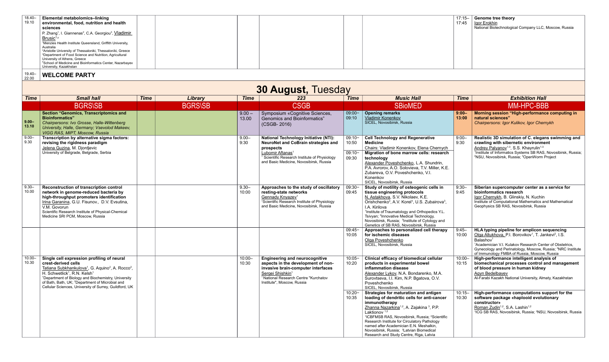|  | $18.40 -$<br>Elemental metabolomics-linking<br> 19.10 <br>environmental, food, nutrition and health<br>sciences<br>P. Zhang <sup>1</sup> , I. Giannenas <sup>2</sup> , C.A. Georgiou <sup>3</sup> , Vladimir<br>Brusic <sup>1,4</sup><br><sup>1</sup> Menzies Health Institute Queensland, Griffith University,<br>Australia<br><sup>2</sup> Aristotle University of Thessaloniki, Thessaloniki, Greece<br><sup>3</sup> Department of Food Science and Nutrition, Agricultural<br>University of Athens, Greece<br><sup>4</sup> School of Medicine and Bioinformatics Center, Nazarbayev<br>University, Kazakhstan |  |  | $17:15 -$<br>17:45 | Genome tree theory<br><u>Igor Erokhin</u><br>National Biotechnological Company LLC, Moscow, Russia |
|--|-------------------------------------------------------------------------------------------------------------------------------------------------------------------------------------------------------------------------------------------------------------------------------------------------------------------------------------------------------------------------------------------------------------------------------------------------------------------------------------------------------------------------------------------------------------------------------------------------------------------|--|--|--------------------|----------------------------------------------------------------------------------------------------|
|--|-------------------------------------------------------------------------------------------------------------------------------------------------------------------------------------------------------------------------------------------------------------------------------------------------------------------------------------------------------------------------------------------------------------------------------------------------------------------------------------------------------------------------------------------------------------------------------------------------------------------|--|--|--------------------|----------------------------------------------------------------------------------------------------|

### 19.40– 22.00 **WELCOME PARTY**

|                    | <b>30 August, Tuesday</b>                                                                                                                                                                                                                                                                                                                                                                                      |             |                |                    |                                                                                                                                                                                                                                         |                                        |                                                                                                                                                                                                                                                                                                                                                                                                                                                                               |                    |                                                                                                                                                                                                                                                                                                                                                         |  |  |  |
|--------------------|----------------------------------------------------------------------------------------------------------------------------------------------------------------------------------------------------------------------------------------------------------------------------------------------------------------------------------------------------------------------------------------------------------------|-------------|----------------|--------------------|-----------------------------------------------------------------------------------------------------------------------------------------------------------------------------------------------------------------------------------------|----------------------------------------|-------------------------------------------------------------------------------------------------------------------------------------------------------------------------------------------------------------------------------------------------------------------------------------------------------------------------------------------------------------------------------------------------------------------------------------------------------------------------------|--------------------|---------------------------------------------------------------------------------------------------------------------------------------------------------------------------------------------------------------------------------------------------------------------------------------------------------------------------------------------------------|--|--|--|
| <b>Time</b>        | <b>Small hall</b>                                                                                                                                                                                                                                                                                                                                                                                              | <b>Time</b> | Library        | <b>Time</b>        | 223                                                                                                                                                                                                                                     | <b>Time</b>                            | <b>Music Hall</b>                                                                                                                                                                                                                                                                                                                                                                                                                                                             | <b>Time</b>        | <b>Exhibition Hall</b>                                                                                                                                                                                                                                                                                                                                  |  |  |  |
|                    | <b>BGRS\SB</b>                                                                                                                                                                                                                                                                                                                                                                                                 |             | <b>BGRS\SB</b> |                    | <b>CSGB</b>                                                                                                                                                                                                                             |                                        | <b>SBioMED</b>                                                                                                                                                                                                                                                                                                                                                                                                                                                                |                    | MM-HPC-BBB                                                                                                                                                                                                                                                                                                                                              |  |  |  |
| $ 9.00-$<br>13.10  | <b>Section "Genomics, Transcriptomics and</b><br><b>Bioinformatics"</b><br>Chairpersons: Ivo Grosse, Halle-Wittenberg<br>University, Halle, Germany; Vsevolod Makeev,<br>VIGG RAS, MIPT, Moscow, Russia                                                                                                                                                                                                        |             |                | $9.00 -$<br>13.00  | Symposium «Cognitive Sciences,<br><b>Genomics and Bioinformatics"</b><br>(CSGB-2016)                                                                                                                                                    | $09:00 -$<br>09:10                     | <b>Opening remarks</b><br>Vladimir Konenkov<br>SICEL, Novosibirsk, Russia                                                                                                                                                                                                                                                                                                                                                                                                     | $9:00 -$<br>13:00  | Morning session "High-performance computing in<br>natural sciences"<br>Chairpersons: Igor Kulikov, Igor Chernykh                                                                                                                                                                                                                                        |  |  |  |
| $9.00 -$<br>9.30   | Transcription by alternative sigma factors:<br>revising the rigidness paradigm<br>Jelena Guzina, M. Djordjevic<br>University of Belgrade, Belgrade, Serbia                                                                                                                                                                                                                                                     |             |                | $9.00 -$<br>9:30   | <b>National Technology Initiative (NTI):</b><br>NeuroNet and CoBrain strategies and<br>prospects<br>Lubomir Aftanas <sup>1</sup><br><sup>1</sup> Scientific Research Institute of Physiology<br>and Basic Medicine, Novosibirsk, Russia | $09:10-$<br>10:50<br>$09:10-$<br>09:30 | <b>Cell Technology and Regenerative</b><br><b>Medicine</b><br>Chairs: Vladimir Konenkov, Elena Chernych<br>Migration of bone marrow cells: research<br>technology<br>Alexander Poveshchenko, L.A. Shundrin,<br>P.A. Avrorov, A.O. Solovieva, T.V. Miller, K.E.<br>Zubareva, O.V. Poveshchenko, V.I.<br>Konenkov<br>SICEL, Novosibirsk, Russia                                                                                                                                 | $9:00 -$<br>9:30   | Realistic 3D simulation of C. elegans swimming and<br>crawling with sibernetic environment<br>Andrey Palyanov <sup>1-3</sup> , S.S. Khayrulin <sup>1-3</sup><br><sup>1</sup> Institute of Informatics Systems SB RAS, Novosibirsk, Russia;<br><sup>2</sup> NSU, Novosibirsk, Russia; <sup>3</sup> OpenWorm Project                                      |  |  |  |
| $9.30 -$<br>10.00  | <b>Reconstruction of transcription control</b><br>network in genome-reduced bacteria by<br>high-throughput promoters identification<br>Irina Garanina, G.U. Fisunov., D.V. Evsutina,<br>V.M. Govorun<br>Scientific Research Institute of Physical-Chemical<br>Medicine SRI PCM, Moscow, Russia                                                                                                                 |             |                | $9.30 -$<br>10:00  | Approaches to the study of oscillatory<br>resting-state networks<br>Gennady Knyazev <sup>1</sup><br><sup>1</sup> Scientific Research Institute of Physiology<br>and Basic Medicine, Novosibirsk, Russia                                 | $09:30-$<br>09:45                      | Study of motility of osteogenic cells in<br>tissue engineering protocols<br>N. Astakhova, S.V. Nikolaev, K.E.<br>Orishchenko <sup>3</sup> , A.V. Korel <sup>1</sup> , U.S. Zubairova <sup>3</sup> ,<br>I.A. Kirilova<br><sup>1</sup> Institute of Traumatology and Orthopedics Y.L.<br>Tsivyan; <sup>2</sup> Innovative Medical Technology,<br>Novosibirsk, Russia; <sup>3</sup> Institute of Cytology and<br>Genetics of SB RAS, Novosibirsk, Russia                         | $9:30 -$<br>9:45   | Siberian supercomputer center as a service for<br>bioinformatics research<br>Igor Chernykh, B. Glinskiy, N. Kuchin<br>Institute of Computational Mathematics and Mathematical<br>Geophysics SB RAS, Novosibirsk, Russia                                                                                                                                 |  |  |  |
|                    |                                                                                                                                                                                                                                                                                                                                                                                                                |             |                |                    |                                                                                                                                                                                                                                         | $09:45-$<br>10:05                      | Approaches to personalized cell therapy<br>for ischemic diseases<br>Olga Poveshchenko<br>SICEL, Novosibirsk, Russia                                                                                                                                                                                                                                                                                                                                                           | $9:45 -$<br>10:00  | HLA typing pipeline for amplicon sequencing<br>Olga Altukhova, P.I. Borovikov <sup>1</sup> , T. Jankevi <sup>2</sup> , I.S.<br>Balashov <sup>1</sup><br><sup>1</sup> Academician V.I. Kulakov Research Center of Obstetrics,<br>Gynecology and Perinatology, Moscow, Russia; <sup>2</sup> NRC Institute<br>of Immunology FMBA of Russia, Moscow, Russia |  |  |  |
| $10.00 -$<br>10.30 | Single cell expression profiling of neural<br>crest-derived cells<br>Tatiana Subkhankulova <sup>1</sup> , G. Aquino <sup>2</sup> , A. Rocco <sup>2</sup> ,<br>H. Schwetlick <sup>1</sup> , R.N. Kelsh <sup>1</sup><br><sup>1</sup> Department of Biology and Biochemistry, University<br>of Bath, Bath, UK; <sup>2</sup> Department of Microbial and<br>Cellular Sciences, University of Surrey, Guildford, UK |             |                | $10:00 -$<br>10:30 | <b>Engineering and neurocognitive</b><br>aspects in the development of non-<br>invasive brain-computer interfaces<br>Sergei Shishkin <sup>1</sup><br><sup>1</sup> National Research Centre "Kurchatov<br>Institute", Moscow, Russia     | $10:05 -$<br>10:20                     | Clinical efficacy of biomedical cellular<br>products in experimental bowel<br>inflammation disease<br>Alexander Lykov, N.A. Bondarenko, M.A.<br>Surovtseva, I.I. Kim, N.P. Bgatova, O.V.<br>Poveshchenko<br>SICEL, Novosibirsk, Russia                                                                                                                                                                                                                                        | $10:00 -$<br>10:15 | High-performance intelligent analysis of<br>biomechanical processes control and management<br>of blood pressure in human kidney<br>Agyn Bedelbayev<br>Al-Farabi Kazakh National University, Almaty, Kazakhstan                                                                                                                                          |  |  |  |
|                    |                                                                                                                                                                                                                                                                                                                                                                                                                |             |                |                    |                                                                                                                                                                                                                                         | $10:20 -$<br>10:35                     | Strategies for maturation and antigen<br>loading of dendritic cells for anti-cancer<br>immunotherapy<br>Zhanna Nazarkina <sup>1,2</sup> , A. Zajakina <sup>3</sup> , P.P.<br>Laktionov <sup>1,2</sup><br><sup>1</sup> ICBFMSB RAS, Novosibirsk, Russia; <sup>2</sup> Scientific<br>Research Institute for Circulatory Pathology<br>named after Academician E.N. Meshalkin,<br>Novosibirsk, Russia; <sup>3</sup> Latvian Biomedical<br>Research and Study Centre, Riga, Latvia | $10:15 -$<br>10:30 | High-performance computations support for the<br>software package «haplooid evolutionary<br>constructor»<br>Roman Zudin <sup>1,2</sup> , S.A. Lashin <sup>1,2</sup><br><sup>1</sup> ICG SB RAS, Novosibirsk, Russia; <sup>2</sup> NSU, Novosibirsk, Russia                                                                                              |  |  |  |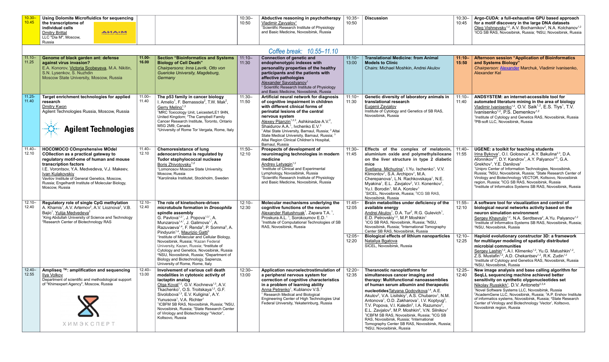| , Using Dolomite Microfluidics for sequencing $\parallel$ |       | 10:30 | Abductive reasoning in psychotherapy   10:35-   Discussion |       | 10:30- | Argo-CUDA: a full-exhaustive GPU based approach                                                |
|-----------------------------------------------------------|-------|-------|------------------------------------------------------------|-------|--------|------------------------------------------------------------------------------------------------|
| $\blacksquare$ the transcriptome of                       |       | 10:50 | <b>Vladimir Zavyalov</b>                                   | 10:50 | 10:45  | for a motif discovery in the large DNA datasets                                                |
| individual cells                                          |       |       | <sup>1</sup> Scientific Research Institute of Physiology   |       |        | Oleg Vishnevsky <sup>1,2</sup> , A.V. Bocharnikov <sup>2</sup> , N.A. Kolchanov <sup>1,2</sup> |
| Dmitry Brittal                                            | AMA.M |       | and Basic Medicine. Novosibirsk. Russia                    |       |        | <sup>1</sup> ICG SB RAS, Novosibirsk, Russia; <sup>2</sup> NSU, Novosibirsk, Russia            |
| LLC "Dia M", Moscow,                                      |       |       |                                                            |       |        |                                                                                                |
| Russia                                                    |       |       |                                                            |       |        |                                                                                                |

### *Coffee break: 10.55–11.10*

|                    |                                                                                                                                                                                                                                                                                                                                                      |                    |                                                                                                                                                                                                                                                                                                                                                                                                                                                                                                                                                        |                    | <u>UUNUU MUUMI TUJUU TIITU</u>                                                                                                                                                                                                                                                                                                                                                                                                                                                                         |                    |                                                                                                                                                                                                                                                                                                                                                                                                                                                                                                                                                                                                                                                                                                                                                                          |                    |                                                                                                                                                                                                                                                                                                                                                                                                                                                                                                                                                                                                                                                                           |
|--------------------|------------------------------------------------------------------------------------------------------------------------------------------------------------------------------------------------------------------------------------------------------------------------------------------------------------------------------------------------------|--------------------|--------------------------------------------------------------------------------------------------------------------------------------------------------------------------------------------------------------------------------------------------------------------------------------------------------------------------------------------------------------------------------------------------------------------------------------------------------------------------------------------------------------------------------------------------------|--------------------|--------------------------------------------------------------------------------------------------------------------------------------------------------------------------------------------------------------------------------------------------------------------------------------------------------------------------------------------------------------------------------------------------------------------------------------------------------------------------------------------------------|--------------------|--------------------------------------------------------------------------------------------------------------------------------------------------------------------------------------------------------------------------------------------------------------------------------------------------------------------------------------------------------------------------------------------------------------------------------------------------------------------------------------------------------------------------------------------------------------------------------------------------------------------------------------------------------------------------------------------------------------------------------------------------------------------------|--------------------|---------------------------------------------------------------------------------------------------------------------------------------------------------------------------------------------------------------------------------------------------------------------------------------------------------------------------------------------------------------------------------------------------------------------------------------------------------------------------------------------------------------------------------------------------------------------------------------------------------------------------------------------------------------------------|
| $11.10 -$<br>11.25 | Genome of black garden ant: defense<br>against virus invasion?<br>E.A. Konorov, Victoria Scobeyeva, M.A. Nikitin,<br>S.N. Lysenkov, S. Nuzhdin<br>Moscow State University, Moscow, Russia                                                                                                                                                            | $11.00 -$<br>16.00 | <b>Section "Bioinformatics and Systems</b><br><b>Biology of Cell Death"</b><br>Chairpersons: Inna Lavrik, Otto von<br>Guericke University, Magdeburg,<br>Germany                                                                                                                                                                                                                                                                                                                                                                                       | $11:10 -$<br>11:30 | <b>Connection of genetic and</b><br>endophenotypic indexes with<br>personality properties of the healthy<br>participants and the patients with<br>affective pathologies<br>Alexander Savostyanov <sup>1</sup><br>Scientific Research Institute of Physiology<br>and Basic Medicine, Novosibirsk, Russia                                                                                                                                                                                                | $11:10-$<br>13:00  | <b>Translational Medicine: from Animal</b><br><b>Models to Clinic</b><br>Chairs: Michael Moshkin, Andrei Akulov                                                                                                                                                                                                                                                                                                                                                                                                                                                                                                                                                                                                                                                          | $11:10 -$<br>15:50 | <b>Afternoon session "Application of Bioinformatics</b><br>and Systems Biology"<br>Chairperson: Alexander Marchuk, Vladimir Ivanisenko,<br>Alexander Kel                                                                                                                                                                                                                                                                                                                                                                                                                                                                                                                  |
| $11.25 -$<br>11.40 | Target enrichment technologies for applied<br>research<br><b>Dmitry Kwon</b><br>Agilent Technologies Russia, Moscow, Russia<br><b>Agilent Technologies</b>                                                                                                                                                                                           | $11.00 -$<br>11.40 | The p53 family in cancer biology<br>I. Amelio <sup>1</sup> , F. Bernassola <sup>2</sup> , T.W. Mak <sup>2</sup> ,<br>Gerry Melino <sup>1,3</sup><br><sup>1</sup> MRC Toxicology Unit, LeicesterLE1 9HN,<br>United Kingdom; <sup>2</sup> The Campbell Family<br>Cancer Research Institute, Toronto, Ontario<br>M5G 2M9, Canada<br><sup>3</sup> University of Rome Tor Vergata, Rome, Italy                                                                                                                                                              | $11:30-$<br>11:50  | Artificial neural network for diagnosis<br>of cognitive impairment in children<br>with different clinical forms of<br>perinatal lesions of the central<br>nervous system<br>Alexey Pijanzin <sup>1,2,3</sup> , Ashkinadze A.V. <sup>2</sup> ,<br>Shaidurov A.A. <sup>1</sup> , Ivchenko E.V. <sup>3</sup><br><sup>1</sup> Altai State University, Barnaul, Russia; <sup>2</sup> Altai<br>State Medical University, Barnaul, Russia; 3<br>Altai Region Clinical Children's Hospital,<br>Barnaul, Russia | $11:10 -$<br>11:30 | Genetic diversity of laboratory animals in<br>translational research<br>Eugenii Zavjalov<br>Institute of Cytology and Genetics of SB RAS,<br>Novosibirsk, Russia                                                                                                                                                                                                                                                                                                                                                                                                                                                                                                                                                                                                         | $11:10-$<br>11:40  | ANDSYSTEM: an internet-accessible tool for<br>automated literature mining in the area of biology<br>Vladimir Ivanisenko <sup>1,2</sup> , O.V. Saik <sup>1,2</sup> , E.S. Tiys <sup>1</sup> , T.V.<br>Ivanisenko <sup>1,2</sup> , P.S. Demenkov <sup>1,2</sup><br><sup>1</sup> Institute of Cytology and Genetics RAS, Novosibirsk, Russia<br><sup>2</sup> PB-soft LLC, Novosibirsk, Russia                                                                                                                                                                                                                                                                                |
| 11.40-<br>12.10    | <b>HOCOMOCO COmprehensive MOdel</b><br><b>COllection as a practical gateway to</b><br>regulatory motif-ome of human and mouse<br>transcription factors<br>I.E. Vorontsov, Y.A. Medvedeva, V.J. Makeev,<br>Ivan Kulakovskiy<br>Vavilov Institute of General Genetics, Moscow,<br>Russia; Engelhardt Institute of Molecular Biology,<br>Moscow, Russia | $11.40 -$<br>12.10 | <b>Chemoresistance of lung</b><br>adenocarcinoma is regulated by<br>Tudor staphylococcal nuclease<br>Boris Zhivotovsky <sup>1,2</sup><br><sup>1</sup> Lomonosov Moscow State University,<br>Moscow, Russia<br><sup>2</sup> Karolinska Institutet, Stockholm, Sweden                                                                                                                                                                                                                                                                                    | $11:50-$<br>12:10  | Prospects of development of<br>neuroimaging technologies in modern<br>medicine<br>Andrey Letyagin <sup>1,2</sup><br><sup>1</sup> Institute of Clinical and Experimental<br>Lymphology, Novosibirsk, Russia<br><sup>2</sup> Scientific Research Institute of Physiology<br>and Basic Medicine, Novosibirsk, Russia                                                                                                                                                                                      | $11:30-$<br>11:45  | Effects of the complex of melatonin,<br>aluminium oxide and polymethylsiloxane<br>on the liver structure in type 2 diabetic<br>mice<br>Svetlana Michurina <sup>1</sup> , I.Yu. Ischenko <sup>1</sup> , V.V.<br>Klimontov <sup>1</sup> , S.A. Archipov <sup>1</sup> , M.A.<br>Cherepanova <sup>1</sup> , L.N. Rachkovskaya <sup>1</sup> , N.E.<br>Myakina <sup>1</sup> , E.L. Zavjalov <sup>2</sup> , V.I. Konenkov <sup>1</sup> ,<br>Yu.I. Borodin <sup>1</sup> , M.A. Korolev <sup>1</sup><br><sup>1</sup> SICEL, Novosibirsk, Russia; <sup>2</sup> ICG SB RAS,<br>Novosibirsk, Russia                                                                                                                                                                                  | 11:40-<br>11:55    | <b>UGENE: a toolkit for teaching students</b><br>Irina Bykova <sup>1</sup> , O.I. Golosova <sup>1</sup> , A.Y. Bakulina <sup>2,3</sup> , D.A.<br>Afonnikov <sup>2,4</sup> , D.Y. Kandrov <sup>1</sup> , A.Y. Palyanov <sup>2,5</sup> , G.A.<br>Grekhov <sup>1</sup> , Y.E. Danilova <sup>1</sup><br><sup>1</sup> Unipro Center of Information Technologies, Novosibirsk,<br>Russia; <sup>2</sup> NSU, Novosibirsk, Russia; <sup>3</sup> State Research Center of<br>Virology and Biotechnology VECTOR, Koltsovo, Novosibirsk<br>region, Russia; <sup>4</sup> ICG SB RAS, Novosibirsk, Russia<br><sup>5</sup> Institute of Informatics Systems SB RAS, Novosibirsk, Russia |
| $12.10 -$<br>12.40 | Regulatory role of single CpG methylation<br>A. Khamis <sup>1</sup> , A.V. Artemov <sup>2</sup> , A.V. Lioznova <sup>2</sup> , V.B.<br>Bajic <sup>1</sup> , Yulija Medvedeva <sup>2</sup><br><sup>1</sup> King Abdullah University of Science and Technology<br><sup>2</sup> Research Center of Biotechnology RAS                                    | $12.10 -$<br>12.40 | The role of kinetochore-driven<br>microtubule formation in Drosophila<br>spindle assembly<br>G. Pavlova <sup>1,2,*</sup> , J. Popova <sup>1,3,*</sup> , A.<br>Munzarova <sup>1,4,*</sup> , J. Galimova <sup>1,*</sup> , A.<br>Razuvaeva <sup>1,4</sup> , F. Renda <sup>5</sup> , P. Somma <sup>5</sup> , A.<br>Pindyurin <sup>1,4</sup> , Maurizio Gatti <sup>5</sup>                                                                                                                                                                                  | $12:10 -$<br>12:30 | Molecular mechanisms underlying the<br>cognitive functions of the neuron<br>Alexander Ratushnyak <sup>1</sup> , Zapara T.A. <sup>1</sup> ,<br>Proskura A.L. <sup>1</sup> , Sorokoumov E.D. <sup>1</sup><br><sup>1</sup> Institute of Computational Technologies of SB<br>RAS, Novosibirsk, Russia                                                                                                                                                                                                      | $11:45-$<br>12:05  | Brain metabolites under deficiency of the<br>available energy<br>Andrei Akulov <sup>1</sup> , D.A. Tur <sup>2</sup> , R.G. Gulevich <sup>1</sup> ,<br>E.D. Petrovskiy <sup>1,3</sup> , M.P. Moshkin <sup>1</sup><br><sup>1</sup> ICG SB RAS, Novosibirsk, Russia; <sup>2</sup> NSU,<br>Novosibirsk, Russia; 3International Tomography<br>Center SB RAS, Novosibirsk, Russia                                                                                                                                                                                                                                                                                                                                                                                              | $11:55-$<br>12:10  | A software tool for visualization and control of<br>biological neural networks activity based on the<br>neuron simulation environment<br>Sergey Khayrulin <sup>1,2</sup> , N.A. Serdtseva <sup>2</sup> , A.Yu. Palyanov <sup>1,2</sup><br><sup>1</sup> Institute of Informatics Systems SB RAS, Novosibirsk, Russia;<br><sup>2</sup> NSU, Novosibirsk, Russia                                                                                                                                                                                                                                                                                                             |
|                    |                                                                                                                                                                                                                                                                                                                                                      |                    | <sup>1</sup> Institute of Molecular and Cellular Biology,<br>Novosibirsk, Russia; <sup>2</sup> Kazan Federal<br>University, Kazan, Russia; 3Institute of<br>Cytology and Genetics, Novosibirsk, Russia<br><sup>4</sup> NSU, Novosibirsk, Russia; <sup>5</sup> Department of<br>Biology and Biotechnology, Sapienza,<br>University of Rome, Rome, Italy                                                                                                                                                                                                 |                    |                                                                                                                                                                                                                                                                                                                                                                                                                                                                                                        | $12:05 -$<br>12:20 | <b>Biological effects of lithium nanoparticles</b><br>Nataliya Bgatova<br>SICEL, Novosibirsk, Russia                                                                                                                                                                                                                                                                                                                                                                                                                                                                                                                                                                                                                                                                     | $12:10-$<br>12:25  | Haploid evolutionary constructor 3D: a framework<br>for multilayer modeling of spatially distributed<br>microbial communities<br>Sergey Lashin <sup>1,2</sup> , A.I. Klimenko <sup>1,2</sup> , Yu.G. Matushkin <sup>1,2</sup> ,<br>Z.S. Mustafin <sup>1,2</sup> , A.D. Chekantsev <sup>1,2</sup> , R.K. Zudin <sup>1,2</sup><br><sup>1</sup> Institute of Cytology and Genetics RAS, Novosibirsk, Russia<br><sup>2</sup> NSU, Novosibirsk, Russia                                                                                                                                                                                                                         |
| $12.40 -$<br>12.55 | Ampliseq ™: amplification and sequencing<br><u>Ilya Volkov</u><br>Department of scientific and methodological support<br>of "Khimexpert Agency", Moscow, Russia<br><b>ХИМЭКСПЕРТ</b>                                                                                                                                                                 | $12.40 -$<br>13.00 | Involvement of various cell death<br>modalities in cytotoxic activity of<br>lactaptin analog<br>Olga Koval <sup>1,2</sup> , G.V. Kochneva <sup>1,3</sup> , A.V.<br>Tkachenko <sup>1</sup> , O.S. Troitskaya <sup>1,2</sup> , G.F.<br>Sivolobova <sup>1,3</sup> , E.V. Kuligina <sup>1</sup> , A.Y.<br>Yunusova <sup>1</sup> , V.A. Richter <sup>1</sup><br><sup>1</sup> ICBFM SB RAS, Novosibirsk, Russia; <sup>2</sup> NSU,<br>Novosibirsk, Russia; <sup>3</sup> State Research Center<br>of Virology and Biotechnology "Vector",<br>Koltsovo, Russia | $12:30-$<br>13:00  | Application neuroelectrostimulation of<br>a peripheral nervous system for<br>correction of cognitive characteristics<br>in a problem of learning ability<br>Anna Petrenko <sup>1</sup> , Kublanov V.S. <sup>1</sup><br><sup>1</sup> Research Medical and Biological<br>Engineering Center of High Technologies Ural<br>Federal University, Yekaterinburg, Russia                                                                                                                                       | $12:20-$<br>12:35  | Theranostic nanoplatforms for<br>simultaneous cancer imaging and<br>therapy: Multifunctional nanoassemblies<br>of human serum albumin and therapeutic<br>nucleotides Tatyana Godovikova <sup>1,4</sup> , A.E.<br>Akulov <sup>2</sup> , V.A. Lisitskiy <sup>1</sup> , A.S. Chubarov <sup>1</sup> , N.M.<br>Antonova <sup>1</sup> , O.D. Zakharova <sup>1</sup> , I.V. Koptyug <sup>3</sup> ,<br>T.V. Popova, V.I. Kaledin <sup>2</sup> , I.A. Razumov <sup>2</sup> ,<br>E.L. Zavjalov <sup>2</sup> , M.P. Moshkin <sup>2</sup> , V.N. Silnikov <sup>1</sup><br><sup>1</sup> ICBFM SB RAS, Novosibirsk, Russia; <sup>2</sup> ICG SB<br>RAS, Novosibirsk, Russia; 3International<br>Tomography Center SB RAS, Novosibirsk, Russia;<br><sup>4</sup> NSU, Novosibirsk, Russia | $12:25 -$<br>12:40 | New image analysis and base calling algorithm for<br>SeqLL sequencing machine achieved better<br>sensitivity on synthetic olygonucleotides set<br>Nikolay Russkikh <sup>1</sup> , D.V. Antonets <sup>2,3,4</sup><br><sup>1</sup> Novel Software Systems LLC, Novosibirsk, Russia<br><sup>2</sup> AcademGene LLC, Novosibirsk, Russia; <sup>3</sup> A.P. Ershov Institute<br>of informatics systems, Novosibirsk, Russia; <sup>4</sup> State Research<br>Center of Virology and Biotechnology 'Vector', Koltsovo,<br>Novosibirsk region, Russia                                                                                                                            |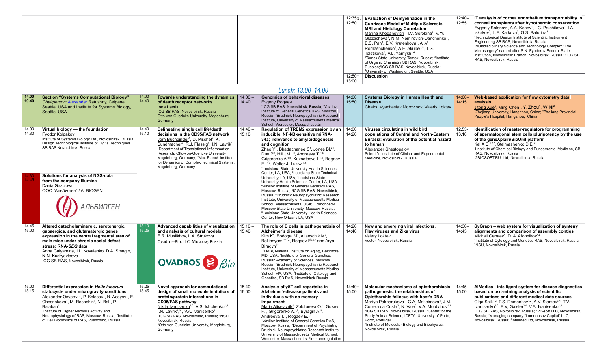|                    |                                                                                                                                                                                                                                                                                                                                                                                                                                                                     |                    |                                                                                                                                                                                                                                                                                                                                                                                                                                                          |                    |                                                                                                                                                                                                                                                                                                                                                                                                                                                                                                                                                                                                    | 12:351.<br>12:50   | <b>Evaluation of Demyelination in the</b><br><b>Cuprizone Model of Multiple Sclerosis:</b><br><b>MRI and Histology Correlation</b><br>Marina Khodanovich <sup>1</sup> , I.V. Sorokina <sup>2</sup> , V.Yu.                                                                                                                                                                                                                                                                                                                        | $12:40-$<br>12:55  | IT analysis of cornea endothelium transport ability in<br>corneal transplants after hypothermic conservation<br>Evgeniy Solenov <sup>3</sup> , A.A. Konev <sup>1</sup> , I.G. Palchikova <sup>1</sup> , I.A.<br>Iskakov <sup>2</sup> , L.E. Katkova <sup>3</sup> , G.S. Baturina <sup>3</sup>                                                                                                                                                                                                                                                                                        |
|--------------------|---------------------------------------------------------------------------------------------------------------------------------------------------------------------------------------------------------------------------------------------------------------------------------------------------------------------------------------------------------------------------------------------------------------------------------------------------------------------|--------------------|----------------------------------------------------------------------------------------------------------------------------------------------------------------------------------------------------------------------------------------------------------------------------------------------------------------------------------------------------------------------------------------------------------------------------------------------------------|--------------------|----------------------------------------------------------------------------------------------------------------------------------------------------------------------------------------------------------------------------------------------------------------------------------------------------------------------------------------------------------------------------------------------------------------------------------------------------------------------------------------------------------------------------------------------------------------------------------------------------|--------------------|-----------------------------------------------------------------------------------------------------------------------------------------------------------------------------------------------------------------------------------------------------------------------------------------------------------------------------------------------------------------------------------------------------------------------------------------------------------------------------------------------------------------------------------|--------------------|--------------------------------------------------------------------------------------------------------------------------------------------------------------------------------------------------------------------------------------------------------------------------------------------------------------------------------------------------------------------------------------------------------------------------------------------------------------------------------------------------------------------------------------------------------------------------------------|
|                    |                                                                                                                                                                                                                                                                                                                                                                                                                                                                     |                    |                                                                                                                                                                                                                                                                                                                                                                                                                                                          |                    |                                                                                                                                                                                                                                                                                                                                                                                                                                                                                                                                                                                                    |                    | Glazacheva <sup>1</sup> , N.M. Nemirovich-Danchenko <sup>1</sup> ,<br>E.S. Pan <sup>1</sup> , E.V. Krutenkova <sup>1</sup> , AI.V.<br>Romashchenko <sup>3</sup> , A.E. Akulov <sup>1,3</sup> , T.G.<br>Tolstikova <sup>2</sup> , V.L. Yarnykh <sup>1,4</sup><br><sup>1</sup> Tomsk State University, Tomsk, Russia; <sup>2</sup> Institute<br>of Organic Chemistry SB RAS, Novosibirsk.<br>Russian; <sup>3</sup> ICG SB RAS, Novosibirsk, Russia;<br><sup>4</sup> University of Washington, Seattle, USA                          |                    | <sup>1</sup> Technological Design Institute of Scientific Instrument<br>Engineering SB RAS, Novosibirsk, Russia<br><sup>2</sup> Multidisciplinary Science and Technology Complex "Eye<br>Microsurgery" named after S.N. Fyodorov Federal State<br>Institution, Novosibirsk Branch, Novosibirsk, Russia; 3ICG SB<br>RAS, Novosibirsk, Russia                                                                                                                                                                                                                                          |
|                    |                                                                                                                                                                                                                                                                                                                                                                                                                                                                     |                    |                                                                                                                                                                                                                                                                                                                                                                                                                                                          |                    |                                                                                                                                                                                                                                                                                                                                                                                                                                                                                                                                                                                                    | $12:50-$<br>13:00  | <b>Discussion</b>                                                                                                                                                                                                                                                                                                                                                                                                                                                                                                                 |                    |                                                                                                                                                                                                                                                                                                                                                                                                                                                                                                                                                                                      |
|                    |                                                                                                                                                                                                                                                                                                                                                                                                                                                                     |                    |                                                                                                                                                                                                                                                                                                                                                                                                                                                          |                    | Lunch: 13.00-14.00                                                                                                                                                                                                                                                                                                                                                                                                                                                                                                                                                                                 |                    |                                                                                                                                                                                                                                                                                                                                                                                                                                                                                                                                   |                    |                                                                                                                                                                                                                                                                                                                                                                                                                                                                                                                                                                                      |
| 14.00–<br> 19.40   | <b>Section "Systems Computational Biology"</b><br>Chairperson: Alexander Ratushny, Celgene,<br>Seattle, USA and Institute for Systems Biology,<br>Seattle, USA                                                                                                                                                                                                                                                                                                      | $14.00 -$<br>14.40 | Towards understanding the dynamics<br>of death receptor networks<br><b>Inna Lavrik</b><br>ICG SB RAS, Novosibirsk, Russia<br>Otto-von Guericke-University, Magdeburg,<br>Germany                                                                                                                                                                                                                                                                         | $14:00 -$<br>14:40 | <b>Genomics of behavioral diseases</b><br><b>Evgeny Rogaev</b><br><sup>1</sup> ICG SB RAS, Novosibirsk, Russia; <sup>2</sup> Vavilov<br>Institute of General Genetics RAS, Moscow,<br>Russia; <sup>3</sup> Brudnick Neuropsychiatric Research<br>Institute, University of Massachusetts Medical<br>School, Worcester, Massachusetts                                                                                                                                                                                                                                                                | $14:00 -$<br>15:50 | Systems Biology in Human Health and<br><b>Disease</b><br>Chairs: Vyacheslav Mordvinov, Valeriy Loktev                                                                                                                                                                                                                                                                                                                                                                                                                             | $14:00 -$<br>14:15 | Web-based application for flow cytometry data<br>analysis<br>Jitong Xue <sup>1</sup> , Ming Chen <sup>1</sup> , Y. Zhou <sup>1</sup> , W Ni <sup>2</sup><br><sup>1</sup> Zhejiang University, Hangzhou, China; <sup>2</sup> Zhejiang Provincial<br>People's Hospital, Hangzhou, China                                                                                                                                                                                                                                                                                                |
| 14.00-<br>14.30    | Virtual biology - the foundation<br><b>Fyodor Kolpakov</b><br>Institute of Systems Biology Ltd., Novosibirsk, Russia<br>Design Technological Institute of Digital Techniques<br>SB RAS Novosibirsk, Russia                                                                                                                                                                                                                                                          | $14.40 -$<br>15.10 | Delineating single cell life/death<br>decisions in the CD95/FAS network<br>Jörn Buchbinder <sup>1</sup> , D. Pischel <sup>2</sup> , K.<br>Sundmacher <sup>2</sup> , R.J. Flassig <sup>2</sup> , I.N. Lavrik <sup>1</sup><br><sup>1</sup> Department of Translational Inflammation<br>Research, Otto-von-Guericke University<br>Magdeburg, Germany; <sup>2</sup> Max-Planck-Institute<br>for Dynamics of Complex Technical Systems,<br>Magdeburg, Germany | $14:40 -$<br>15:10 | Regulation of TREM2 expression by an<br>inducible, NF-kB-sensitive miRNA-<br>34a; relevance to amyloidogenesis<br>and cognition<br>Zhao Y <sup>1</sup> , Bhattacharjee S <sup>1</sup> , Jones BM <sup>1</sup> ,<br>Dua P <sup>2</sup> , Hill JM <sup>1,3</sup> , Andreeva T <sup>4,5</sup> ,<br>Grigorenko A <sup>4,5</sup> , Kuznetsova I <sup>4,5</sup> , Rogaev<br>El $4-7$ , Walter J. Lukiw $1,8$<br><sup>1</sup> Louisiana State University Health Sciences                                                                                                                                  | $14:00 -$<br>14:20 | Viruses circulating in wild bird<br>populations of Central and North-Eastern<br>Eurasia: evaluation of the potential hazard<br>to human<br><b>Alexander Shestopalov</b><br>Scientific Institute of Clinical and Experimental<br>Medicine, Novosibirsk, Russia                                                                                                                                                                                                                                                                     | $12.55 -$<br>13.10 | Identification of master-regulators for programming<br>of spermatogonal stem cells pluripotency by the use<br>of the geneXplain/BioUml platform<br>Kel A.E. <sup>1,2,*</sup> , Stelmashenko D.E. <sup>2</sup><br>1Institute of Chemical Biology and Fundamental Medicine, SB<br>RAS, Novosibirsk, Russia<br>2BIOSOFT.RU, Ltd, Novosibirsk, Russia                                                                                                                                                                                                                                    |
|                    | Solutions for analysis of NGS-data<br>from the company Illumina<br>Dania Gazizova<br>ООО "Альбиоген" / ALBIOGEN<br><b>АЛЬБИОГЕН</b><br>$\mathbf F$                                                                                                                                                                                                                                                                                                                  |                    |                                                                                                                                                                                                                                                                                                                                                                                                                                                          |                    | Center, LA, USA; <sup>2</sup> Louisiana State Technical<br>University, LA, USA; <sup>3</sup> Louisiana State<br>University Health Sciences Center, LA, USA<br><sup>4</sup> Vavilov Institute of General Genetics RAS.<br>Moscow, Russia; <sup>5</sup> ICG SB RAS, Novosibirsk,<br>Russia; <sup>6</sup> Brudnick Neuropsychiatric Research<br>Institute, University of Massachusetts Medical<br>School, Massachusetts, USA; 7Lomonosov<br>Moscow State University, Moscow, Russia;<br><sup>8</sup> Louisiana State University Health Sciences<br>Center, New Orleans LA, USA                        |                    |                                                                                                                                                                                                                                                                                                                                                                                                                                                                                                                                   |                    |                                                                                                                                                                                                                                                                                                                                                                                                                                                                                                                                                                                      |
| 14.45-<br>15.00    | Altered catecholaminergic, serotonergic,<br>gabaergics, and glutamatergic genes<br>expression in the ventral tegmental area of<br>male mice under chronic social defeat<br>stress: RNA-SEQ data<br>Anna Galyamina, I.L. Kovalenko, D.A. Smagin,<br>N.N. Kudryavtseva<br>ICG SB RAS, Novosibirsk, Russia                                                                                                                                                             | 15.10<br>15.25     | Advanced capabilities of visualization<br>and analysis of cultural models<br>E.R. Muslikhov, L.A. Strukova<br>Qvadros-Bio, LLC, Moscow, Russia<br>QVADROS $\geq \beta_{0}$                                                                                                                                                                                                                                                                               | $15:10 -$<br>15:40 | The role of B cells in pathogenetisis of<br>Alzheimer's disease<br>Kim $K^1$ , Bodogai M <sup>1</sup> , Aliseychik M <sup>2</sup> ,<br>Baljinnyam $T^{1,2}$ , Rogaev $E^{2,3,4}$ and Arya<br>Biragyn <sup>1*</sup><br><sup>1</sup> LMBI, National Institute on Aging, Baltimore,<br>MD, USA.; <sup>2</sup> Institute of General Genetics,<br>Russian Academy of Sciences, Moscow,<br>Russia, <sup>3</sup> Brudnick Neuropsychiatric Research<br>Institute, University of Massachusetts Medical<br>School, MA, USA; <sup>4</sup> Institute of Cytology and<br>Genetics, SB RAS, Novosibirsk Russia. | $14:20 -$<br>14:40 | New and emerging viral infections.<br><b>Flaviviruses and Zika virus</b><br><b>Valery Loktev</b><br>Vector, Novosibirsk, Russia                                                                                                                                                                                                                                                                                                                                                                                                   | $14:30-$<br>14:45  | SyGraph – web system for visualization of synteny<br>alignments and comparison of assembly contigs<br>Mikhail Genaev <sup>1</sup> , D. A. Afonnikov <sup>1,2</sup><br><sup>1</sup> Institute of Cytology and Genetics RAS, Novosibirsk, Russia;<br><sup>2</sup> NSU, Novosibirsk, Russia                                                                                                                                                                                                                                                                                             |
| $15.00 -$<br>15.15 | Differential expression in Helix lucorum<br>statocysts under microgravity conditions<br>Alexander Osypov <sup>1,2</sup> , P. Kolosov <sup>1</sup> , N. Aceyev <sup>1</sup> , E.<br>Chesnokova <sup>1</sup> , M. Roshchin <sup>1</sup> , N. Bal <sup>1</sup> , P.<br>Balaban <sup>1</sup><br><sup>1</sup> Institute of Higher Nervous Activity and<br>Neurophysiology of RAS, Moscow, Russia; <sup>2</sup> Institute<br>of Cell Biophysics of RAS, Pushchino, Russia | $15.25 -$<br>15.45 | Novel approach for computational<br>design of small molecule inhibitors of $\vert$ 16:00<br>protein/protein interactions in<br><b>CD95/FAS pathway</b><br>Nikita Ivanisenko <sup>1,2</sup> , A.S. Ishchenko <sup>1,2</sup> ,<br>I.N. Lavrik <sup>1,3</sup> , V.A. Ivanisenko <sup>1</sup><br><sup>1</sup> ICG SB RAS, Novosibirsk, Russia; <sup>2</sup> NSU,<br>Novosibirsk, Russia<br><sup>3</sup> Otto-von Guericke-University, Magdeburg,<br>Germany  | $15:40 -$          | Analysis of γδT-cell repertoire in<br>Alzheimer'sdisease patients and<br>individuals with no memory<br>impairment<br>Maria Aliseychik <sup>1</sup> , Zolotoreva O. <sup>1</sup> , Gusev<br>F. <sup>1</sup> , Grigorenko A. <sup>1,2</sup> , Byragin A. <sup>3</sup> ,<br>Andreeva T. <sup>1</sup> , Rogaev E. <sup>1,2</sup><br><sup>1</sup> Vavilov Institute of General Genetics RAS,<br>Moscow, Russia; <sup>2</sup> Department of Psychiatry,<br>Brudnick Neuropsychiatric Research Institute,<br>University of Massachusetts Medical School,<br>Worcester, Massachusetts, 3Immunoregulation   | $14:40-$<br>15:00  | Molecular mechanisms of opisthorchiasis<br>pathogenesis: the relationships of<br>Opisthorchis felineus with host's DNA<br>Mariya Pakharukova <sup>1</sup> , G.A. Maksimova <sup>1</sup> , J.M.<br>Correia da Costa <sup>2</sup> , N. Vale <sup>2</sup> , V.A. Mordvinov <sup>1,3</sup><br><sup>1</sup> ICG SB RAS, Novosibirsk, Russia; <sup>2</sup> Center for the<br>Study Animal Science, ICETA, University of Porto,<br>Porto, Portugal<br><sup>3</sup> Institute of Molecular Biology and Biophysics,<br>Novosibirsk, Russia | 14:45-<br>15:00    | AlMedica - intelligent system for disease diagnostics<br>based on text-mining analysis of scientific<br>publications and different medical data sources<br>Olga Saik <sup>1,2</sup> , P.S. Demenkov <sup>1,2</sup> , A.V. Starkov <sup>3,4</sup> , T.V.<br>Ivanisenko <sup>1,2</sup> , E.V, Gaisler <sup>3,4</sup> , V.A. Ivanisenko <sup>1,2</sup><br><sup>1</sup> ICG SB RAS, Novosibirsk, Russia; <sup>2</sup> PB-soft LLC, Novosibirsk,<br>Russia; <sup>3</sup> Managing company "Lomonosov Capital" LLC,<br>Novosibirsk, Russia; <sup>4</sup> Intelmed Ltd, Novosibirsk, Russia |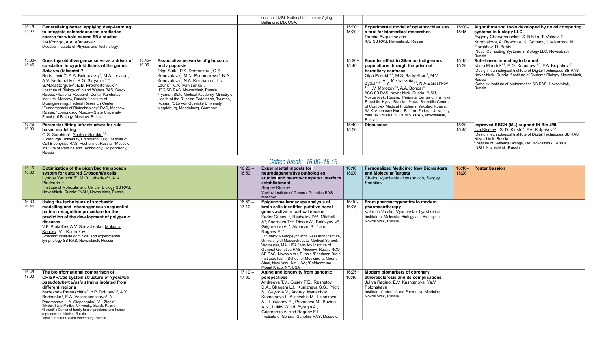|                    |                                                                                                                                                                                                                                                                                                                                                                                                                                                                                                                                                                                                                                                                                                                                                       |                                                                                                                                                                                                                                                                                                                                                                                                                                                                                                                                                       |                    | section, LMBI, National Institute on Aging,<br>Baltimore, MD, USA.                                                                                                                                                                                                                                                                                                                                                                                                                                                                                                                                                                                                                                                                                                           |                    |                                                                                                                                                                                                                                                                                                                                                                                                                                                                                                                                                                                                                                                                                                  |                    |                                                                                                                                                                                                                                                                                                                                                                                     |
|--------------------|-------------------------------------------------------------------------------------------------------------------------------------------------------------------------------------------------------------------------------------------------------------------------------------------------------------------------------------------------------------------------------------------------------------------------------------------------------------------------------------------------------------------------------------------------------------------------------------------------------------------------------------------------------------------------------------------------------------------------------------------------------|-------------------------------------------------------------------------------------------------------------------------------------------------------------------------------------------------------------------------------------------------------------------------------------------------------------------------------------------------------------------------------------------------------------------------------------------------------------------------------------------------------------------------------------------------------|--------------------|------------------------------------------------------------------------------------------------------------------------------------------------------------------------------------------------------------------------------------------------------------------------------------------------------------------------------------------------------------------------------------------------------------------------------------------------------------------------------------------------------------------------------------------------------------------------------------------------------------------------------------------------------------------------------------------------------------------------------------------------------------------------------|--------------------|--------------------------------------------------------------------------------------------------------------------------------------------------------------------------------------------------------------------------------------------------------------------------------------------------------------------------------------------------------------------------------------------------------------------------------------------------------------------------------------------------------------------------------------------------------------------------------------------------------------------------------------------------------------------------------------------------|--------------------|-------------------------------------------------------------------------------------------------------------------------------------------------------------------------------------------------------------------------------------------------------------------------------------------------------------------------------------------------------------------------------------|
| $15.15 -$<br>15.30 | Generalising better: applying deep-learning<br>to integrate deleteriousness prediction<br>scores for whole-exome SNV studies<br>Ilia Korvigo, A.A. Afanasyev<br>Moscow Institute of Physics and Technology                                                                                                                                                                                                                                                                                                                                                                                                                                                                                                                                            |                                                                                                                                                                                                                                                                                                                                                                                                                                                                                                                                                       |                    |                                                                                                                                                                                                                                                                                                                                                                                                                                                                                                                                                                                                                                                                                                                                                                              | $15:00 -$<br>15:20 | Experimental model of opisthorchiasis as<br>a tool for biomedical researches<br>Damira Avgustinovich<br>ICG SB RAS, Novosibirsk, Russia                                                                                                                                                                                                                                                                                                                                                                                                                                                                                                                                                          | $15:00 -$<br>15:15 | Algorithms and tools developed by novel computing<br>systems in biology LLC<br>Evgeny Cheryomushkin, S. Nikitin, T. Valeev, T.<br>Konovalova, A. Ryabova, K. Golosov, I. Mikerova, N.<br>Gorokhov, D. Babiy<br><sup>1</sup> Novel Computing Systems in Biology LLC, Novosibirsk,<br>Russia                                                                                          |
| 15.30-<br>15.45    | Does thyroid divergence serve as a driver of<br>$15.45 -$<br>16.05<br>speciation in cyprinid fishes of the genus<br><b>Ballerus (teleostei)?</b><br>Boris Levin <sup>1*</sup> , A.A. Bolotovskiy <sup>1</sup> , M.A. Levina <sup>1</sup> ,<br>A.V. Nedoluzhko <sup>2</sup> , K.G. Skryabin <sup>2,3,4</sup> ,<br>S.M.Rastorguev <sup>2</sup> , E.B. Prokhortchouk <sup>3,4</sup><br><sup>1</sup> Institute of Biology of Inland Waters RAS, Borok,<br>Russia; <sup>2</sup> National Research Center Kurchatov<br>Institute, Moscow, Russia; 3Institute of<br>Bioengineering, Federal Research Center<br>"Fundamentals of Biotechnology" RAS, Moscow,<br>Russia; <sup>4</sup> Lomonosov Moscow State University,<br>Faculty of Biology, Moscow, Russia | Associative networks of glaucoma<br>and apoptosis<br>Olga Saik <sup>1</sup> , P.S. Demenkov <sup>1</sup> , O.S.<br>Konovalova <sup>2</sup> , M.N. Ponomareva <sup>2</sup> , N.A.<br>Konovalova <sup>2</sup> , N.A. Kolchanov <sup>1</sup> , I.N.<br>Lavrik <sup>3</sup> , V.A. Ivanisenko <sup>1</sup> .<br><sup>1</sup> ICG SB RAS, Novosibirsk, Russia<br><sup>2</sup> Tyumen State Medical Academy, Ministry of<br>Health of the Russian Federation, Tyumen,<br>Russia; <sup>3</sup> Otto von Guericke University<br>Magdeburg, Magdeburg, Germany |                    |                                                                                                                                                                                                                                                                                                                                                                                                                                                                                                                                                                                                                                                                                                                                                                              | $15:20 -$<br>15:40 | Founder effect in Siberian indigenous<br>populations through the prism of<br>hereditary deafness<br>Olga Posukh <sup>1,2</sup> , M.S. Bady-Khoo <sup>3</sup> , M.V.<br>Zytsar <sup>1,2, V</sup> . Y. Mikhalskaia <sub>1,2,</sub> N.A.Barashkov<br>$4.5$ , I.V. Morozov <sup>2,6</sup> , A.A. Bondar <sup>6</sup><br><sup>1</sup> ICG SB RAS, Novosibirsk, Russia; <sup>2</sup> NSU,<br>Novosibirsk, Russia; 3Perinatal Center of the Tuva<br>Republic, Kyzyl, Russia; <sup>4</sup> Yakut Scientific Centre<br>of Complex Medical Problems, Yakutsk, Russia;<br><sup>5</sup> M.K. Ammosov North-Eastern Federal University,<br>Yakutsk, Russia; <sup>6</sup> ICBFM SB RAS, Novosibirsk,<br>Russia | $15:15 -$<br>15:30 | Rule-based modeling in biouml<br>Nikita Mandrik <sup>1-3</sup> , E.O. Kutumova <sup>1,2</sup> , F.A. Kolpakov <sup>1,2</sup><br><sup>1</sup> Design Technological Institute of Digital Techniques SB RAS,<br>Novosibirsk, Russia; <sup>2</sup> Institute of Systems Biology, Novosibirsk,<br>Russia<br><sup>3</sup> Sobolev Institute of Mathematics SB RAS, Novosibirsk,<br>Russia |
| $15.45 -$<br>16.00 | Parameter fitting infrastructure for rule-<br>based modelling<br>O.S. Sorokina <sup>1</sup> , Anatoly Sorokin <sup>2,3</sup><br><sup>1</sup> Edinburgh University, Edinburgh, UK; <sup>2</sup> Institute of<br>Cell Biophysics RAS, Pushchino, Russia; <sup>3</sup> Moscow<br>Institute of Physics and Technology, Dolgoprudny,<br>Russia                                                                                                                                                                                                                                                                                                                                                                                                             |                                                                                                                                                                                                                                                                                                                                                                                                                                                                                                                                                       |                    |                                                                                                                                                                                                                                                                                                                                                                                                                                                                                                                                                                                                                                                                                                                                                                              | $15:40-$<br>15:50  | <b>Discussion</b>                                                                                                                                                                                                                                                                                                                                                                                                                                                                                                                                                                                                                                                                                | $15:30 -$<br>15:45 | Improved SBGN (ML) support IN BioUML<br>$Ilya Kiselev1, S. D. Kinsht3, F.A. Kolpakov1,2$<br><sup>1</sup> Design Technological Institute of Digital Techniques SB RAS,<br>Novosibirsk, Russia<br><sup>2</sup> Institute of Systems Biology, Ltd, Novosibirsk, Russia<br><sup>3</sup> NSU, Novosibirsk, Russia                                                                        |
|                    |                                                                                                                                                                                                                                                                                                                                                                                                                                                                                                                                                                                                                                                                                                                                                       |                                                                                                                                                                                                                                                                                                                                                                                                                                                                                                                                                       |                    | Coffee break: 16.00-16.15                                                                                                                                                                                                                                                                                                                                                                                                                                                                                                                                                                                                                                                                                                                                                    |                    |                                                                                                                                                                                                                                                                                                                                                                                                                                                                                                                                                                                                                                                                                                  |                    |                                                                                                                                                                                                                                                                                                                                                                                     |
| $ 16.15-$<br>16.30 | <b>Optimization of the piggyBac transposon</b><br>system for cultured Drosophila cells<br>Lyubov Yarinich <sup>1,2*</sup> , M.O. Lebedev <sup>1,2</sup> , A.V.<br>Pindyurin <sup>1,2</sup><br><sup>1</sup> Institute of Molecular and Cellular Biology SB RAS,<br>Novosibirsk, Russia; <sup>2</sup> NSU, Novosibirsk, Russia                                                                                                                                                                                                                                                                                                                                                                                                                          |                                                                                                                                                                                                                                                                                                                                                                                                                                                                                                                                                       | $16:20 -$<br>16:50 | <b>Experimental models for</b><br>neurodegenerative pathologies<br>studies and neuron-computer interface<br>establishment<br><b>Sergey Kiselev</b><br>Vavilov Institute of General Genetics RAS,<br><b>Moscow</b>                                                                                                                                                                                                                                                                                                                                                                                                                                                                                                                                                            | $16:10-$<br>18:00  | <b>Personalized Medicine: New Biomarkers</b><br>and Molecular Targets<br>Chairs: Vyacheslav Lyakhovich, Sergey<br>Sennikov                                                                                                                                                                                                                                                                                                                                                                                                                                                                                                                                                                       | $16:10 -$<br>18:20 | <b>Poster Session</b>                                                                                                                                                                                                                                                                                                                                                               |
| $16.30 -$<br>16.45 | Using the techniques of stochastic<br>modelling and inhomogeneous sequential<br>pattern recognition procedure for the<br>prediction of the development of polygenic<br>diseases<br>V.F. Prokof'ev, A.V. Shevchenko, Maksim<br>Korolev, V.I. Konenkov<br>Scientific Institute of clinical and experimental<br>lymphology SB RAS, Novosibirsk, Russia                                                                                                                                                                                                                                                                                                                                                                                                   |                                                                                                                                                                                                                                                                                                                                                                                                                                                                                                                                                       | $16:50 -$<br>17:10 | Epigenome landscape analysis of<br>brain cells identifies putative novel<br>genes active in cortical neuron<br>Fedor Gusev <sup>1-3</sup> , Reshetov D <sup>2,3</sup> , Mitchell<br>$A4$ , Andreeva T <sup>2,3</sup> , Dincer A <sup>4</sup> , Solovyev V <sup>5</sup> ,<br>Grigorenko $A^{1-3}$ , Akbarian S <sup>1,4</sup> and<br>Rogaev E <sup>1-3</sup> .<br><sup>1</sup> Brudnick Neuropsychiatric Research Institute,<br>University of Massachusetts Medical School,<br>Worcester, MA, USA <sup>2</sup> Vavilov Institute of<br>General Genetics RAS, Moscow, Russia 3ICG<br>SB RAS, Novosibirsk, Russia <sup>4</sup> Friedman Brain<br>Institute, Icahn School of Medicine at Mount<br>Sinai, New York, NY, USA; <sup>5</sup> Softberry Inc.,<br>Mount Kisco, NY, USA | $16:10-$<br>16:25  | From pharmacogenetics to modern<br>pharmacotherapy<br>Valentin Vavilin, Vyacheslav Lyakhovich<br>Institute of Molecular Biology and Biophysics,<br>Novosibirsk, Russia                                                                                                                                                                                                                                                                                                                                                                                                                                                                                                                           |                    |                                                                                                                                                                                                                                                                                                                                                                                     |
| 16.45-<br>17.00    | The bioinfornational comparison of<br><b>CRISPR/Cas system structure of Yyersinia</b><br>pseudotuberculosis strains isolated from<br>different regions<br>Nadezhda Peretolchina <sup>1</sup> , Y.P. Dzhioev <sup>1,2</sup> , A.Y.<br>Borisenko <sup>1</sup> , E.A. Voskresenskaya <sup>3</sup> , A.I.<br>Paramonov <sup>2</sup> , L.A. Stepanenko <sup>1</sup> , V.I. Zlobin <sup>1</sup><br><sup>1</sup> Irkutsk State Medical University, Irkutsk, Russia<br><sup>2</sup> Scientific Center of family health problems and human<br>reproduction, Irkutsk, Russia<br><sup>3</sup> Institut Pasteur, Saint Petersburg, Russia                                                                                                                         |                                                                                                                                                                                                                                                                                                                                                                                                                                                                                                                                                       | $17:10 -$<br>17:30 | Aging and longevity from genomic<br>perspectives<br>Andreeva T.V., Gusev F.E., Reshetov<br>D.A., Shagam L.I., Kunizheva S.S., Yigit<br>S., Geyko A.V., Andrey Manachov.,<br>Kuznetsova I., Aliseychik M., Lisenkova<br>A., Lukyanov E., Protasova M., Buzina<br>A.N., Lukiw W.J.d, Byragin A.,<br>Grigorenko A. and Rogaev E.I.<br><sup>1</sup> Institute of General Genetics RAS, Moscow,                                                                                                                                                                                                                                                                                                                                                                                   | $16:25 -$<br>16:40 | <b>Modern biomarkers of coronary</b><br>atherosclerosis and its complications<br>Juliya Ragino, E.V. Kashtanova, Ya.V.<br>Polonskaya<br>Institute of Internal and Preventive Medicine,<br>Novosibirsk, Russia                                                                                                                                                                                                                                                                                                                                                                                                                                                                                    |                    |                                                                                                                                                                                                                                                                                                                                                                                     |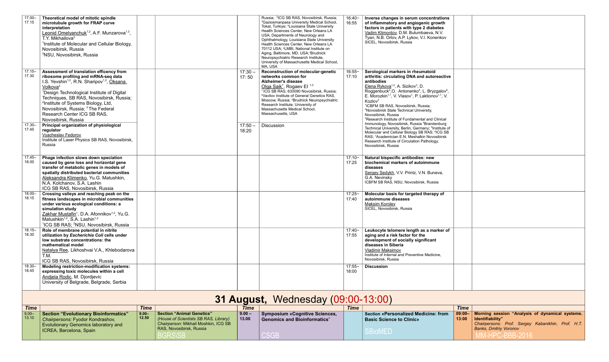| Inverse changes in serum concentrations<br>of inflammatory and angiogenic growth<br>factors in patients with type 2 diabetes<br>Vadim Klimontov, D.M. Bulumbaeva, N.V.<br>Tyan, N.B. Orlov, A.P. Lykov, V.I. Konenkov<br>SICEL, Novosibirsk, Russia                                                                                                                                                                                                                                                                                                                                                                                                                                                                                                                                                                                                                                                  |                    |                                                                                                                                                           |
|------------------------------------------------------------------------------------------------------------------------------------------------------------------------------------------------------------------------------------------------------------------------------------------------------------------------------------------------------------------------------------------------------------------------------------------------------------------------------------------------------------------------------------------------------------------------------------------------------------------------------------------------------------------------------------------------------------------------------------------------------------------------------------------------------------------------------------------------------------------------------------------------------|--------------------|-----------------------------------------------------------------------------------------------------------------------------------------------------------|
| Serological markers in rheumatoid<br>arthritis: circulating DNA and autoreactive<br>antibodies<br>Elena Rykova <sup>1,2</sup> , A. Sizikov <sup>3</sup> , D.<br>Roggenbuck <sup>4</sup> , O. Antonenko <sup>5</sup> , L. Bryzgalov <sup>6</sup> ,<br>E. Morozkin <sup>1,7</sup> , V. Vlasov <sup>1</sup> , P. Laktionov <sup>1,7</sup> , V.<br>Kozlov <sup>3</sup><br><sup>1</sup> ICBFM SB RAS, Novosibirsk, Russia;<br><sup>2</sup> Novosibirsk State Technical University,<br>Novosibirsk, Russia<br><sup>3</sup> Research Institute of Fundamental and Clinical<br>Immunology, Novosibirsk, Russia <sup>4</sup> Brandenburg<br>Technical University, Berlin, Germany; <sup>5</sup> Institute of<br>Molecular and Cellular Biology SB RAS; <sup>6</sup> ICG SB<br>RAS; <sup>7</sup> Academician E.N. Meshalkin Novosibirsk<br>Research Institute of Circulation Pathology,<br>Novosibirsk, Russia |                    |                                                                                                                                                           |
| Natural bispecific antibodies: new<br>biochemical markers of autoimmune<br>diseases<br>Sergey Sedykh, V.V. Printz, V.N. Buneva,<br>G.A. Nevinsky<br>ICBFM SB RAS, NSU, Novosibirsk, Russia                                                                                                                                                                                                                                                                                                                                                                                                                                                                                                                                                                                                                                                                                                           |                    |                                                                                                                                                           |
| Molecular basis for targeted therapy of<br>autoimmune diseases<br>Maksim Korolev<br>SICEL, Novosibirsk, Russia                                                                                                                                                                                                                                                                                                                                                                                                                                                                                                                                                                                                                                                                                                                                                                                       |                    |                                                                                                                                                           |
| Leukocyte telomere length as a marker of<br>aging and a risk factor for the<br>development of socially significant<br>diseases in Siberia<br>Vladimir Maksimov<br>Institute of Internal and Preventive Medicine,<br>Novosibirsk, Russia                                                                                                                                                                                                                                                                                                                                                                                                                                                                                                                                                                                                                                                              |                    |                                                                                                                                                           |
| <b>Discussion</b>                                                                                                                                                                                                                                                                                                                                                                                                                                                                                                                                                                                                                                                                                                                                                                                                                                                                                    |                    |                                                                                                                                                           |
| 13:00)                                                                                                                                                                                                                                                                                                                                                                                                                                                                                                                                                                                                                                                                                                                                                                                                                                                                                               |                    |                                                                                                                                                           |
|                                                                                                                                                                                                                                                                                                                                                                                                                                                                                                                                                                                                                                                                                                                                                                                                                                                                                                      | <b>Time</b>        |                                                                                                                                                           |
| <b>Section «Personalized Medicine: from</b><br><b>Basic Science to Clinic»</b><br><b>SBioMED</b>                                                                                                                                                                                                                                                                                                                                                                                                                                                                                                                                                                                                                                                                                                                                                                                                     | $09:00 -$<br>13:00 | Morning session "Analysis of dynamical systems.<br>Identifiability"<br>Chairpersons: Prof. Sergey Kabanikhin, Prof. H.T.<br><b>Banks, Dmitriy Voronov</b> |
|                                                                                                                                                                                                                                                                                                                                                                                                                                                                                                                                                                                                                                                                                                                                                                                                                                                                                                      |                    | MM-HPC-BBB-2016                                                                                                                                           |

| $17.00 -$<br>17.15              | Theoretical model of mitotic spindle<br>microtubule growth for FRAP curve<br>interpretation<br>Leonid Omelyanchuk <sup>1,2</sup> , A.F. Munzarova <sup>1,2</sup> ,<br>T.Y. Mikhailova <sup>2</sup><br><sup>1</sup> Institute of Molecular and Cellular Biology,<br>Novosibirsk, Russia<br><sup>2</sup> NSU, Novosibirsk, Russia                                                                                                                 |  |                    | Russia; <sup>2</sup> ICG SB RAS, Novosibirsk, Russia;<br><sup>3</sup> Gaziosmanpasa University Medical School,<br>Tokat, Turkiye; <sup>4</sup> Louisiana State University<br>Health Sciences Center, New Orleans LA<br>USA; Departments of Neurology and<br>Ophthalmology, Louisiana State University<br>Health Sciences Center, New Orleans LA<br>70112 USA; <sup>e</sup> LMBI, National Institute on<br>Aging, Baltimore, MD, USA; 'Brudnick<br>Neuropsychiatric Research Institute,<br>University of Massachusetts Medical School,<br>MA, USA | $16:40-$<br>16:55  | Inverse changes in se<br>of inflammatory and a<br>factors in patients wit<br>Vadim Klimontov, D.M.<br>Tyan, N.B. Orlov, A.P. L'<br>SICEL, Novosibirsk, Russ                                                                                                                                                                                                                                  |
|---------------------------------|-------------------------------------------------------------------------------------------------------------------------------------------------------------------------------------------------------------------------------------------------------------------------------------------------------------------------------------------------------------------------------------------------------------------------------------------------|--|--------------------|--------------------------------------------------------------------------------------------------------------------------------------------------------------------------------------------------------------------------------------------------------------------------------------------------------------------------------------------------------------------------------------------------------------------------------------------------------------------------------------------------------------------------------------------------|--------------------|----------------------------------------------------------------------------------------------------------------------------------------------------------------------------------------------------------------------------------------------------------------------------------------------------------------------------------------------------------------------------------------------|
| $17.15 -$<br>17.30<br>$17.30 -$ | Assessment of translation efficency from<br>ribosome profiling and mRNA-seq data<br>I.S. Yevshin <sup>1,2</sup> , R.N. Sharipov <sup>1,2</sup> , Oksana<br>Volkova <sup>3</sup><br><sup>1</sup> Design Technological Institute of Digital<br>Techniques, SB RAS, Novosibirsk, Russia;<br><sup>2</sup> Institute of Systems Biology, Ltd,<br>Novosibirsk, Russia; <sup>3</sup> The Federal<br>Research Center ICG SB RAS,<br>Novosibirsk, Russia |  | $17:30 -$<br>17:50 | <b>Reconstruction of molecular-genetic</b><br>networks common for<br><b>Alzheimer's disease</b><br>Olga Saik <sup>1</sup> , Rogaev El <sup>1-3</sup><br><sup>1</sup> ICG SB RAS, 630090 Novosibirsk, Russia;<br><sup>2</sup> Vavilov Institute of General Genetics RAS,<br>Moscow, Russia; <sup>3</sup> Brudnick Neuropsychiatric<br>Research Institute, University of<br>Massachusetts Medical School,<br>Massachusetts, USA                                                                                                                    | $16:55 -$<br>17:10 | Serological markers in<br>arthritis: circulating D<br>antibodies<br>Elena Rykova <sup>1,2</sup> , A. Sizi<br>Roggenbuck <sup>4</sup> , O. Anton<br>E. Morozkin <sup>1,7</sup> , V. Vlaso<br>Kozlov <sup>3</sup><br><sup>1</sup> ICBFM SB RAS, Novosib<br><sup>2</sup> Novosibirsk State Technic<br>Novosibirsk, Russia<br><sup>3</sup> Research Institute of Fun<br>Immunology, Novosibirsk, |
| 17.45                           | Principal organization of physiological<br>regulator<br><b>Vyacheslav Fedorov</b><br>Institute of Laser Physics SB RAS, Novosibirsk,<br>Russia                                                                                                                                                                                                                                                                                                  |  | $17:50 -$<br>18:20 | <b>Discussion</b>                                                                                                                                                                                                                                                                                                                                                                                                                                                                                                                                |                    | <b>Technical University, Berlin</b><br>Molecular and Cellular Bic<br>RAS; 7Academician E.N. N<br>Research Institute of Circu<br>Novosibirsk, Russia                                                                                                                                                                                                                                          |
| $17.45 -$<br>18.00              | Phage infection slows down speciation<br>caused by gene loss and horizontal gene<br>transfer of metabolic genes in models of<br>spatially distributed bacterial communities<br>Aleksandra Klimenko, Yu.G. Matushkin,<br>N.A. Kolchanov, S.A. Lashin<br>ICG SB RAS, Novosibirsk, Russia                                                                                                                                                          |  |                    |                                                                                                                                                                                                                                                                                                                                                                                                                                                                                                                                                  | $17:10 -$<br>17:25 | <b>Natural bispecific anti</b><br>biochemical markers<br>diseases<br>Sergey Sedykh, V.V. Pr<br>G.A. Nevinsky<br>ICBFM SB RAS, NSU, No                                                                                                                                                                                                                                                        |
| 18.00-<br>18.15                 | Crossing valleys and reaching peak on the<br>fitness landscapes in microbial communities<br>under various ecological conditions: a<br>simulation study<br>Zakhar Mustafin <sup>1</sup> , D.A. Afonnikov <sup>1,2</sup> , Yu.G.<br>Matushkin <sup>1,2</sup> , S.A. Lashin <sup>1,2</sup><br><sup>1</sup> ICG SB RAS; <sup>2</sup> NSU, Novosibirsk, Russia                                                                                       |  |                    |                                                                                                                                                                                                                                                                                                                                                                                                                                                                                                                                                  | $17:25 -$<br>17:40 | Molecular basis for tar<br>autoimmune diseases<br><b>Maksim Korolev</b><br>SICEL, Novosibirsk, Russ                                                                                                                                                                                                                                                                                          |
| $18.15 -$<br>18.30              | Role of membrane potential in nitrite<br>utilization by Escherichia Coli cells under<br>low substrate concentrations: the<br>mathematical model<br>Natalya Ree, Likhoshvai V.A., Khlebodarova<br>T.M.<br>ICG SB RAS, Novosibirsk, Russia                                                                                                                                                                                                        |  |                    |                                                                                                                                                                                                                                                                                                                                                                                                                                                                                                                                                  | $17:40-$<br>17:55  | Leukocyte telomere le<br>aging and a risk facto<br>development of social<br>diseases in Siberia<br>Vladimir Maksimov<br>Institute of Internal and Pr<br>Novosibirsk, Russia                                                                                                                                                                                                                  |
| $18.30 -$<br>18.45              | <b>Modeling restriction-modification systems:</b><br>expressing toxic molecules within a cell<br>Andjela Rodic, M. Djordjevic<br>University of Belgrade, Belgrade, Serbia                                                                                                                                                                                                                                                                       |  |                    |                                                                                                                                                                                                                                                                                                                                                                                                                                                                                                                                                  | $17:55 -$<br>18:00 | <b>Discussion</b>                                                                                                                                                                                                                                                                                                                                                                            |
|                                 |                                                                                                                                                                                                                                                                                                                                                                                                                                                 |  |                    | $31$ August Wednesday (09:00-13:00)                                                                                                                                                                                                                                                                                                                                                                                                                                                                                                              |                    |                                                                                                                                                                                                                                                                                                                                                                                              |

## **31 August,** Wednesday (09:00-13:00)

| <b>Time</b> |                                             | <b>Time</b> |                                       | <b>Time</b> |                                       | <b>Time</b> |                                      | <b>Time</b> |
|-------------|---------------------------------------------|-------------|---------------------------------------|-------------|---------------------------------------|-------------|--------------------------------------|-------------|
| $ 9.00 -$   | Section "Evolutionary Bioinformatics"       | $9.00 -$    | <b>Section "Animal Genetics"</b>      | $ 9.00 -$   | <b>Symposium «Cognitive Sciences,</b> |             | Section «Personalized Medicine: from | $09:00 -$   |
| 13.10       | Chairpersons: Fyodor Kondrashov,            | 12.50       | (House of Scientists SB RAS, Library) | 13.00       | Genomics and Bioinformatics"          |             | <b>Basic Science to Clinic»</b>      | 13:00       |
|             | <b>Evolutionary Genomics laboratory and</b> |             | Chairperson: Mikhail Moshkin, ICG SB  |             |                                       |             |                                      |             |
|             | <b>ICREA, Barcelona, Spain</b>              |             | RAS, Novosibirsk, Russia              |             |                                       |             | <b>SBIOMEL</b>                       |             |
|             |                                             |             | <b>BGRSISB</b>                        |             | <b>CSGB</b>                           |             |                                      |             |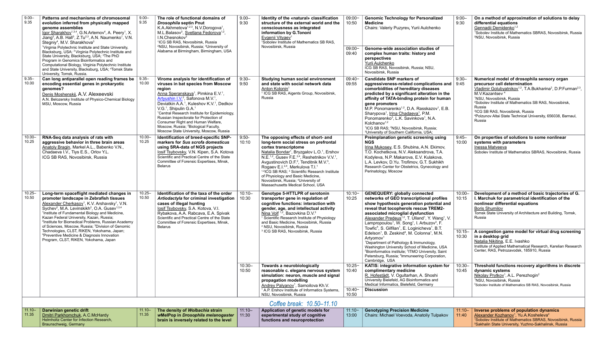| $9.00 -$<br> 9.35  | Patterns and mechanisms of chromosomal<br>evolution inferred from physically mapped<br>genome assemblies<br>Igor Sharakhov <sup>1,3,4</sup> , G.N.Artemov <sup>4</sup> , A. Peery <sup>1</sup> , X.<br>Jiang <sup>3</sup> , A.B. Hall <sup>3</sup> , Z.Tu <sup>2,3</sup> , A.N. Naumenko <sup>1</sup> , V.N.<br>Stegniy <sup>4</sup> , M.V. Sharakhova <sup>3</sup><br><sup>1</sup> Virginia Polytechnic Institute and State University,                                                         | $9.00 -$<br>9.35   | The role of functional domains of<br><b>Drosophila septin Pnut</b><br>K.A.Akhmetova <sup>1,2,3</sup> , N.V.Dorogova <sup>1</sup> ,<br>M.L.Balasov <sup>3</sup> , Svetlana Fedorova <sup>1,2</sup> ,<br>I.N.Chesnokov <sup>3</sup><br><sup>1</sup> ICG SB RAS, Novosibirsk, Russia<br><sup>2</sup> NSU, Novosibirsk, Russia; <sup>3</sup> University of                                                                                                                                                                                                                             | $9.00 -$<br>9:30    | Identity of the «natural» classification<br>$09:00-$<br>structure of the external world and the<br>10:50<br>consciousness as integrated<br>information by G.Tononi<br>Evgenii Vityaev <sup>1</sup><br><sup>1</sup> Sobolev Institute of Mathematics SB RAS,<br>Novosibirsk, Russia                                                                                                                                                                                                                                                                                                                  |                                         | <b>Genomic Technology for Personalized</b><br><b>Medicine</b><br>Chairs: Valeriy Puzyrev, Yurii Aulchenko                                                                                                                                                                                                                                                                                                                                                                                                                                                                                          | $9:00 -$<br>9:30   | On a method of approximation of solutions to delay<br>differential equations<br>Gennadii Demidenko <sup>1,2</sup><br><sup>1</sup> Sobolev Institute of Mathematics SBRAS, Novosibirsk, Russia<br><sup>2</sup> NSU, Novosibirsk, Russia                                                                                                                                                                                                                                       |
|--------------------|--------------------------------------------------------------------------------------------------------------------------------------------------------------------------------------------------------------------------------------------------------------------------------------------------------------------------------------------------------------------------------------------------------------------------------------------------------------------------------------------------|--------------------|------------------------------------------------------------------------------------------------------------------------------------------------------------------------------------------------------------------------------------------------------------------------------------------------------------------------------------------------------------------------------------------------------------------------------------------------------------------------------------------------------------------------------------------------------------------------------------|---------------------|-----------------------------------------------------------------------------------------------------------------------------------------------------------------------------------------------------------------------------------------------------------------------------------------------------------------------------------------------------------------------------------------------------------------------------------------------------------------------------------------------------------------------------------------------------------------------------------------------------|-----------------------------------------|----------------------------------------------------------------------------------------------------------------------------------------------------------------------------------------------------------------------------------------------------------------------------------------------------------------------------------------------------------------------------------------------------------------------------------------------------------------------------------------------------------------------------------------------------------------------------------------------------|--------------------|------------------------------------------------------------------------------------------------------------------------------------------------------------------------------------------------------------------------------------------------------------------------------------------------------------------------------------------------------------------------------------------------------------------------------------------------------------------------------|
|                    | Blacksburg, USA; <sup>2</sup> Virginia Polytechnic Institute and<br>State University, Blacksburg, USA; <sup>3</sup> The PhD<br>Program in Genomics Bioinformatics and<br>Computational Biology, Virginia Polytechnic Institute<br>and State University, Blacksburg, USA; <sup>4</sup> Tomsk State<br>University, Tomsk, Russia.                                                                                                                                                                  |                    | Alabama at Birmingham, Birmingham, USA                                                                                                                                                                                                                                                                                                                                                                                                                                                                                                                                             |                     |                                                                                                                                                                                                                                                                                                                                                                                                                                                                                                                                                                                                     | $09:00 -$<br>09:40                      | Genome-wide association studies of<br>complex human traits: history and<br>perspectives<br>Yurii Aulchenko<br>ICG SB RAS, Novosibirsk, Russia; NSU,<br>Novosibirsk, Russia                                                                                                                                                                                                                                                                                                                                                                                                                         |                    |                                                                                                                                                                                                                                                                                                                                                                                                                                                                              |
| $9.35 -$<br>10.00  | Can long antiparallel open reading frames be<br>encoding essential genes in prokaryotic<br>genomes?<br>Denis Moshenskij, A.V. Alexeevski<br>A.N. Belozersky Institute of Physico-Chemical Biology<br>MSU, Moscow, Russia                                                                                                                                                                                                                                                                         | $9.35 -$<br>10.00  | Virome analysis for identification of<br>viruses in bat species from Moscow<br>region<br>Anna Speranskaya <sup>1</sup> , Pimkina E.V. <sup>1</sup> ,<br>Artyushin I.V. <sup>2</sup> , Safonova M.V. <sup>1</sup><br>Deviatkin A.A. <sup>1</sup> , Kuleshov K.V. <sup>1</sup> , Dedkov<br>V.G. <sup>1</sup> , Shipulin G.A. <sup>1</sup><br><sup>1</sup> Central Research Institute for Epidemiology,<br>Russian Inspectorate for Protection of<br>Consumer Right and Human Welfare,<br>Moscow, Russia; <sup>2</sup> Biological Faculty,<br>Moscow State University, Moscow, Russia | $9:30-$<br>9:50     | Studying human social environment<br>and state with social network data<br>Anton Kolonin <sup>1</sup><br>ICG SB RAS, Aigents Group, Novosibirsk,<br>Russia                                                                                                                                                                                                                                                                                                                                                                                                                                          | $09:40-$<br>09:55                       | <b>Candidate SNP markers of</b><br>aggressiveness-related complications and<br>comorbidities of hereditary diseases<br>predicted by a significant alteration in the<br>affinity of TATA-binding protein for human<br>gene promoters<br>M.P. Ponomarenko <sup>1,2</sup> , D.A. Rasskazov <sup>1</sup> , E.B.<br>Sharypova <sup>1</sup> , Irina Chadaeva <sup>1</sup> , P.M.<br>Ponomarenko <sup>3</sup> , L.K. Savinkova <sup>1</sup> , N.A.<br>Kolchanov <sup>1,2</sup><br><sup>1</sup> ICG SB RAS; <sup>2</sup> NSU, Novosibirsk, Russia;<br><sup>3</sup> University of Southern California, USA; | $9:30 -$<br>9:45   | Numerical model of drosophila sensory organ<br>precursor cell determination<br>Vladimir Golubyatnikov <sup>1,2</sup> , T.A.Bukharina <sup>2</sup> , D.P.Furman <sup>2,3</sup> ,<br>M.V.Kazantsev <sup>4</sup><br><sup>1</sup> NSU, Novosibirsk, Russia<br><sup>2</sup> Sobolev Institute of Mathematics SB RAS, Novosibirsk,<br>Russia<br><sup>3</sup> ICG SB RAS, Novosibirsk, Russia<br><sup>4</sup> Polzunov Altai State Technical University, 656038, Barnaul,<br>Russia |
| $10.00 -$<br>10.25 | RNA-Seq data analysis of rats with<br>aggressive behavior in three brain areas<br>Anatoly Bragin, Markel A.L., Babenko V.N.,<br>Chadaeva I.V., Tiys E.S., Orlov Y.L<br>ICG SB RAS, Novosibirsk, Russia                                                                                                                                                                                                                                                                                           | 10.00-<br>10.25    | Identification of breed-specific SNP-<br>markers for Sus scrofa domesticus<br>using SRA-data of NGS projects<br>losif Tsybovsky, V.N. Kipen, S.A. Kotova<br>Scientific and Practical Centre of the State<br>Committee of Forensic Expertises, Minsk,<br><b>Belarus</b>                                                                                                                                                                                                                                                                                                             | $9:50-$<br>10:10    | The opposing effects of short- and<br>long-term social stress on prefrontal<br>cortex transcriptome<br>Natalia Bondar <sup>1</sup> , Bryzgalov L.O. <sup>1</sup> , Ershov<br>N.E. <sup>1,2</sup> , Gusev F.E. <sup>2,4</sup> , Reshetnikov V.V. <sup>1</sup> ,<br>Avgustinovich D.F. <sup>2</sup> , Tenditnik M.V. <sup>3</sup> ,<br>Rogaev E.I. <sup>2,4</sup> , Merkulova T.I. <sup>1</sup><br><sup>1,2</sup> ICG SB RAS; <sup>3</sup> Scientific Research Institute<br>of Physiology and Basic Medicine,<br>Novosibirsk, Russia; <sup>4</sup> University of<br>Massachusetts Medical School, USA |                                         | Preimplanation genetic screening using<br><b>NGS</b><br>Irina Mukosey, E.S. Shubina, A.N. Ekimov,<br>T.O. Kochetkova, N.V. Aleksandrova, T.A.<br>Kodyleva, N.P. Makarova, E.V. Kulakova,<br>L.A. Levkov, D.Yu. Trofimov, G.T. Sukhikh<br>Research Center for Obstetrics, Gynecology and<br>Perinatology, Moscow                                                                                                                                                                                                                                                                                    | $9:45 -$<br>10:00  | On properties of solutions to some nonlinear<br>systems with parameters<br>Inessa Matveeva<br>Sobolev Institute of Mathematics SBRAS, Novosibirsk, Russia                                                                                                                                                                                                                                                                                                                    |
| $10.25 -$<br>10.50 | Long-term spaceflight mediated changes in<br>promoter landscape in Zebrafish tissues<br>Alexander Cherkasov <sup>1</sup> , K.V. Arshavsky <sup>1</sup> , V.N.<br>Sychev <sup>2</sup> , M.A. Levinskikh <sup>2</sup> , O.A. Gusev <sup>1,3,4</sup><br><sup>1</sup> Institute of Fundamental Biology and Medicine,<br>Kazan Federal University, Kazan, Russia;<br><sup>2</sup> Institute for Biomedical Problems, Russian Academy<br>of Sciences, Moscow, Russia; <sup>3</sup> Division of Genomic | $10.25 -$<br>10.50 | Identification of the taxa of the order<br>Artiodactyla for criminal investigation  <br>cases of illegal hunting<br>losif Tsybovsky, S.A. Kotova, V.I.<br>Rybakova, A.A. Rabcava, E.A. Spivak<br>Scientific and Practical Centre of the State<br>Committee of Forensic Expertises, Minsk,<br><b>Belarus</b>                                                                                                                                                                                                                                                                        | $10:10 -$<br> 10:30 | <b>Genotype 5-HTTLPR of serotonin</b><br>transporter gene in regulation of<br>cognitive functions: interaction with<br>gender, age, and intellectual activity<br>Nina Volf <sup>1,2</sup> , Bazovkina D.V. <sup>3</sup><br>Scientific Research Institute of Physiology<br>and Basic Medicine, Novosibirsk, Russia<br><sup>2</sup> NSU, Novosibirsk, Russia                                                                                                                                                                                                                                          | $10:10 -$<br>10:25                      | <b>GENEQUERY: globally connected</b><br>networks of GEO transcriptional profiles<br>show hypothesis generation potential and<br>reveal that tocopherols rescue TREM2-<br>associated microglial dysfunction<br>Alexander Predeus <sup>1,2</sup> , T. Ulland <sup>1</sup> , Y. Wang <sup>1</sup> , V.<br>Lampropoulou <sup>1</sup> , W. Song <sup>1</sup> , I. Arbuzov <sup>3</sup> , F.<br>Towfic <sup>4</sup> , S. Gilfilan <sup>1</sup> , E. Loginicheva <sup>1</sup> , B.T.                                                                                                                      | $10:00 -$<br>10:15 | Development of a method of basic trajectories of G.<br>I. Marchuk for parametrical identification of the<br>nonlinear differential equations<br><b>Boris Shumilov</b><br>Tomsk State University of Architecture and Building, Tomsk,<br>Russia                                                                                                                                                                                                                               |
|                    | Technologies, CLST, RIKEN, Yokohama, Japan;<br><sup>4</sup> Preventive Medicine & Diagnosis Innovation<br>Program, CLST, RIKEN, Yokohama, Japan                                                                                                                                                                                                                                                                                                                                                  |                    |                                                                                                                                                                                                                                                                                                                                                                                                                                                                                                                                                                                    |                     | <sup>3</sup> ICG SB RAS, Novosibirsk, Russia                                                                                                                                                                                                                                                                                                                                                                                                                                                                                                                                                        |                                         | Edelson <sup>1</sup> , B. Zeskind <sup>4</sup> , M. Colonna <sup>1</sup> , M.N.<br>Artyomov <sup>1</sup><br><sup>1</sup> Department of Pathology & Immunology,<br>Washington University School of Medicine, USA<br><sup>2</sup> Bioinformatics institute; <sup>3</sup> ITMO University, Saint<br>Petersburg, Russia; <sup>4</sup> Immuneering Corporation,<br>Cambridge, USA                                                                                                                                                                                                                       | $10:15 -$<br>10:30 | A congestion game model for virtual drug screening<br>in a desktop grid<br>Natalia Nikitina, E.E. Ivashko<br>Institute of Applied Mathematical Research, Karelian Research<br>Center, RAS, Petrozavodsk, 185910, Russia                                                                                                                                                                                                                                                      |
|                    |                                                                                                                                                                                                                                                                                                                                                                                                                                                                                                  |                    |                                                                                                                                                                                                                                                                                                                                                                                                                                                                                                                                                                                    | $10:30 -$<br>10:50  | Towards a neurobiologically<br>reasonable c. elegans nervous system<br>simulation: neuron, muscle and signal<br>propagation modelling<br>Andrey Palyanov <sup>1</sup> , Samoilova Kh.V.<br><sup>1</sup> A.P. Ershov Institute of Informatics Systems,<br>NSU, Novosibirsk, Russia                                                                                                                                                                                                                                                                                                                   | $10:25 -$<br>10:40<br>$10:40-$<br>10:50 | KATIS: integrative information system for<br>complimentary medicine<br>R. Hofestädt, V. Ogultarhan, A. Shoshi<br>University Bielefeld, AG Bioinformatics and<br>Medical Informatics, Bielefeld, Germany<br><b>Discussion</b>                                                                                                                                                                                                                                                                                                                                                                       | $10:30 -$<br>10:45 | Threshold functions recovery algorithms in discrete<br>dynamic systems<br>Nikolay Prytkov <sup>1</sup> , A.L. Perezhogin <sup>2</sup><br><sup>1</sup> NSU, Novosibirsk, Russia<br><sup>2</sup> Sobolev Institute of Mathematics SB RAS, Novosibirsk, Russia                                                                                                                                                                                                                  |
|                    |                                                                                                                                                                                                                                                                                                                                                                                                                                                                                                  |                    |                                                                                                                                                                                                                                                                                                                                                                                                                                                                                                                                                                                    |                     | Coffee break: 10.50-11.10                                                                                                                                                                                                                                                                                                                                                                                                                                                                                                                                                                           |                                         |                                                                                                                                                                                                                                                                                                                                                                                                                                                                                                                                                                                                    |                    |                                                                                                                                                                                                                                                                                                                                                                                                                                                                              |
| ∣ 11.10–           | Darwinian genetic drift                                                                                                                                                                                                                                                                                                                                                                                                                                                                          | 11.10–             | The density of Wolbachia strain                                                                                                                                                                                                                                                                                                                                                                                                                                                                                                                                                    | 11:10-              | Application of genetic models for                                                                                                                                                                                                                                                                                                                                                                                                                                                                                                                                                                   | 11:10-                                  | Genotyping Precision Medicine                                                                                                                                                                                                                                                                                                                                                                                                                                                                                                                                                                      |                    | 11:10-   Inverse problems of population dynamics                                                                                                                                                                                                                                                                                                                                                                                                                             |

| $11.10 -$ | Darwinian genetic drift                  | $11.10 -$ | The density of Wolbachia strain                | $11:10 -$ | Application of genetic models for | $11:10 -$ | Genotyping   |
|-----------|------------------------------------------|-----------|------------------------------------------------|-----------|-----------------------------------|-----------|--------------|
| 11.35     | Dmitri Parkhomchuk, A.C.McHardy          | 11.35     | wMelPop in Drosophila melanogaster             | 11:30     | experimental study of cognitive   | 13:00     | Chairs: Mich |
|           | Helmholtz Center for Infection Research, |           | <b>brain is inversely related to the level</b> |           | functions and neuroprotection     |           |              |
|           | Braunschweig, Germany                    |           |                                                |           |                                   |           |              |

| <b>Genotyping Precision Medicine</b>       |       | $11:10-$ Inverse problems of population dynamics                         |
|--------------------------------------------|-------|--------------------------------------------------------------------------|
| Chairs: Michael Voevoda, Anatoliy Tulpakov | 11:40 | Alexander Kozhanov <sup>1</sup> , Yu.A.Kosheleva <sup>2</sup>            |
|                                            |       | <sup>1</sup> Sobolev Institute of Mathematics SBRAS, Novosibirsk, Russia |
|                                            |       | <sup>2</sup> Sakhalin State University, Yuzhno-Sakhalinsk, Russia        |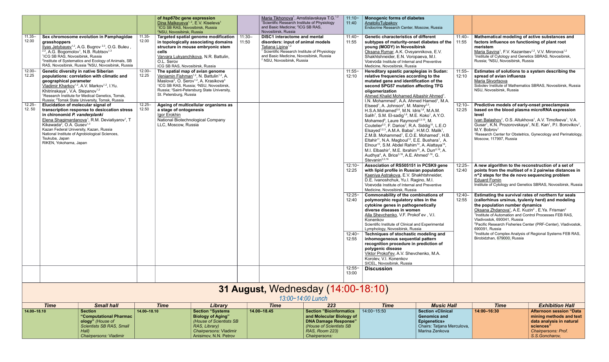|                    |                                                                                                                                                                                                                                                                                                                                                                                                          |                    | of hsp67bc gene expression<br>Dina Malkeyeva <sup>1, 2</sup> , E.V. Kiseleva <sup>1</sup><br><sup>1</sup> ICG SB RAS, Novosibirsk, Russia<br><sup>2</sup> NSU, Novosibirsk, Russia                                                                                                                                                         |                   | Maria Tikhonova <sup>1</sup> , Amstislavskaya T.G. <sup>1,2</sup><br><sup>1</sup> Scientific Research Institute of Physiology<br>and Basic Medicine; <sup>2</sup> ICG SB RAS,<br>Novosibirsk, Russia                                                      | $11:10-$<br>11:40                                           | <b>Monogenic forms of diabetes</b><br>AnatoliyTulpakov<br>Endocrine Research Center, Moscow, Russia                                                                                                                                                                                                                                                                                                                                                                                                                                                                                                                                                                                                                                                                                                                                                                                                                                                 |                                                 |                    |                                                                                                                                                                                                                                                                                                                                                                                                                                                                           |                                                                                                                                                                                           |
|--------------------|----------------------------------------------------------------------------------------------------------------------------------------------------------------------------------------------------------------------------------------------------------------------------------------------------------------------------------------------------------------------------------------------------------|--------------------|--------------------------------------------------------------------------------------------------------------------------------------------------------------------------------------------------------------------------------------------------------------------------------------------------------------------------------------------|-------------------|-----------------------------------------------------------------------------------------------------------------------------------------------------------------------------------------------------------------------------------------------------------|-------------------------------------------------------------|-----------------------------------------------------------------------------------------------------------------------------------------------------------------------------------------------------------------------------------------------------------------------------------------------------------------------------------------------------------------------------------------------------------------------------------------------------------------------------------------------------------------------------------------------------------------------------------------------------------------------------------------------------------------------------------------------------------------------------------------------------------------------------------------------------------------------------------------------------------------------------------------------------------------------------------------------------|-------------------------------------------------|--------------------|---------------------------------------------------------------------------------------------------------------------------------------------------------------------------------------------------------------------------------------------------------------------------------------------------------------------------------------------------------------------------------------------------------------------------------------------------------------------------|-------------------------------------------------------------------------------------------------------------------------------------------------------------------------------------------|
| $11.35 -$<br>12.00 | Sex chromosome evolution in Pamphagidae<br>grasshoppers<br>llyas Jetybayev <sup>1,2</sup> , A.G. Bugrov <sup>2,3</sup> , O.G. Buleu,<br><sup>2,3</sup> , A.G. Bogomolov <sup>1</sup> , N.B. Rubtsov <sup>1,3</sup><br><sup>1</sup> ICG SB RAS, Novosibirsk, Russia<br><sup>2</sup> Institute of Systematics and Ecology of Animals, SB<br>RAS, Novosibirsk, Russia <sup>3</sup> NSU, Novosibirsk, Russia | 11.35-<br>12.00    | Targeted spatial genome modification<br>in topologically associating domains<br>structure in mouse embryonic stem<br>cells<br>Varvara Lukyanchikova, N.R. Battulin,<br>O.L. Serov<br>ICG SB RAS, Novosibirsk, Russia                                                                                                                       | $11:30-$<br>11:50 | <b>DISC1</b> interactome and mental<br>disorders: input of animal models<br>Tatiana Lipina <sup>1,2</sup><br><sup>1</sup> Scientific Research Institute of Physiology<br>and Basic Medicine, Novosibirsk, Russia<br><sup>2</sup> NSU, Novosibirsk, Russia | $11:40-$<br>11:55                                           | <b>Genetic characteristics of different</b><br>subtypes of maturity-onset diabetes of the<br>young (MODY) in Novosibirsk<br>Oksana Rymar, A.K. Ovsyannikova, E.V.<br>Shakhtshneider, E.N. Voropaeva, M.I.<br>Voevoda Institute of Internal and Preventive<br>Medicine, Novosibirsk, Russia                                                                                                                                                                                                                                                                                                                                                                                                                                                                                                                                                                                                                                                          |                                                 | $11:40-$<br>11:55  | Mathematical modeling of active substances and<br>factors influence on functioning of plant root<br>meristem<br>Maria Savina <sup>1</sup> , F.V. Kazantsev <sup>1,2</sup> , V.V. Mironova <sup>1,2</sup><br><sup>1</sup> Institute of Cytology and Genetics SBRAS, Novosibirsk,<br>Russia; <sup>2</sup> NSU, Novosibirsk, Russia                                                                                                                                          |                                                                                                                                                                                           |
| $12.00 -$<br>12.25 | <b>Genetic diversity in native Siberian</b><br>populations: correlation with climatic and<br>geographical parameter<br>Vladimir Kharkov <sup>1,2</sup> , A.V. Markov <sup>1,2</sup> , I.Yu.<br>Khitrinskaya <sup>1</sup> , V.A. Stepanov <sup>1,2</sup><br><sup>1</sup> Research Institute for Medical Genetics, Tomsk,<br>Russia; <sup>2</sup> Tomsk State University, Tomsk, Russia                    | $12.00 -$<br>12.25 | The spatial map of avian genome<br>Veniamin Fishman <sup>1,2</sup> , N. Battulin <sup>1,2</sup> , A.<br>Maslova <sup>3</sup> , O. Serov <sup>1,2</sup> , A. Krasikova <sup>3</sup><br><sup>1</sup> ICG SB RAS, Russia; <sup>2</sup> NSU, Novosibirsk,<br>Russia; <sup>3</sup> Saint-Petersburg State University,<br>St. Petersburg, Russia |                   |                                                                                                                                                                                                                                                           | $11:55 -$<br>12:10                                          | Hereditary spastic paraplegias in Sudan:<br>relative frequencies according to the<br>mutated gene and identification of the<br>second SPG57 mutation affecting TFG<br>oligomerization<br>Ahmed Khalid Mohamed Albashir Ahmed <sup>1</sup> ,<br>I.N. Mohammed <sup>1</sup> , A.A. Ahmed Hamed <sup>1</sup> , M.A.                                                                                                                                                                                                                                                                                                                                                                                                                                                                                                                                                                                                                                    |                                                 | $11:55 -$<br>12:10 | Estimates of solutions to a system describing the<br>spread of avian influenza<br>Maria Skvortsova<br>NSU, Novosibirsk, Russia                                                                                                                                                                                                                                                                                                                                            | Sobolev Institute of Mathematics SBRAS, Novosibirsk, Russia                                                                                                                               |
| $12.25 -$<br>12.50 | Elucidation of molecular signal of<br>transcription response to desiccation stress<br>in chironomid P. vanderplanki<br>Elena Shagimardanova <sup>1</sup> , R.M. Deviatiyarov <sup>1</sup> , T<br>Kikawada <sup>2</sup> , O.A. Gusev <sup>1,3</sup><br>Kazan Federal University, Kazan, Russia<br>National Institute of Agrobiological Sciences,<br>Tsukuba, Japan<br>RIKEN, Yokohama, Japan              | $12.25 -$<br>12.50 | Ageing of multicellular organisms as<br>a stage of ontogenesis<br>Igor Erokhin<br>National Biotechnological Company<br>LLC, Moscow, Russia                                                                                                                                                                                                 |                   |                                                                                                                                                                                                                                                           |                                                             | Elseed <sup>1</sup> , A. Johnson <sup>4</sup> , M. Mairey <sup>2,3</sup> ,<br>H.S.A.Mohamed <sup>5,6</sup> , M.N. Idris <sup>1,6</sup> , M.A.M.<br>Salih <sup>7</sup> , S.M. El-sadig <sup>1,8</sup> , M.E. Koko <sup>1</sup> , A.Y.O.<br>Mohamed <sup>9</sup> , Laure Raymond <sup>2,3,15</sup> , M.<br>Coutelier <sup>2,3</sup> , F. Darios <sup>3</sup> , R.A. Siddig <sup>10</sup> , L.E.O<br>Elsayed <sup>1,2,3</sup> , A.M.A. Babai <sup>1</sup> , H.M.O. Malik <sup>1</sup> ,<br>Z.M.B. Mohammed <sup>1</sup> , E.O.E. Mohamed <sup>1</sup> , H.B.<br>Eltahir <sup>11</sup> , N.A. Magboul <sup>12</sup> , E.E. Bushara <sup>1</sup> , A.<br>Elnour <sup>13</sup> , S.M. Abdel Rahim <sup>12</sup> , A. Alattaya <sup>14</sup> ,<br>M.I. Elbashir <sup>1</sup> , M.E. Ibrahim <sup>15</sup> , A. Durr <sup>3,16</sup> , A.<br>Audhya <sup>4</sup> , A. Brice <sup>3,16</sup> , A.E. Ahmed <sup>1,16</sup> , G.<br>Stevanin <sup>2,3,16</sup> |                                                 | $12:10 -$<br>12:25 | Predictive models of early-onset preeclampsia<br>based on the blood plasma microRNA expression<br>level<br>Ivan Balashov <sup>1</sup> , O.S. Altukhova <sup>1</sup> , A.V. Timofeeva <sup>1</sup> , V.A.<br>M.Y. Bobrov <sup>1</sup><br>Moscow, 117997, Russia                                                                                                                                                                                                            | Gusar <sup>1</sup> , K.N. Prozorovskaya <sup>1</sup> , N.E. Kan <sup>1</sup> , P.I. Borovikov <sup>1</sup> ,<br><sup>1</sup> Research Center for Obstetrics, Gynecology and Perinatology, |
|                    |                                                                                                                                                                                                                                                                                                                                                                                                          |                    |                                                                                                                                                                                                                                                                                                                                            |                   |                                                                                                                                                                                                                                                           | $12:10 -$<br>12:25                                          | Association of RS505151 in PCSK9 gene<br>with lipid profile in Russian population<br>Kseniya Astrakova, E.V. Shakhtshneider,<br>D.E. Ivanoshchuk, Yu.I. Ragino, M.I.<br>Voevoda Institute of Internal and Preventive<br>Medicine, Novosibirsk, Russia                                                                                                                                                                                                                                                                                                                                                                                                                                                                                                                                                                                                                                                                                               |                                                 | $12:25 -$<br>12:40 | A new algorithm to the reconstruction of a set of<br>n^2 steps for the de novo sequencing problem<br><b>Eduard Fomin</b>                                                                                                                                                                                                                                                                                                                                                  | points from the multiset of n 2 pairwise distances in<br>Institute of Cytology and Genetics SBRAS, Novosibirsk, Russia                                                                    |
|                    |                                                                                                                                                                                                                                                                                                                                                                                                          |                    |                                                                                                                                                                                                                                                                                                                                            |                   |                                                                                                                                                                                                                                                           | $12:25 -$<br>12:40<br>$12:40-$<br>12:55                     | Commonability of the combinations of<br>polymorphic regulatory sites in the<br>cytokine genes in pathogenetically<br>diverse diseases in women<br>Alla Shevchenko, V.F. Prokof'ev, V.I.<br>Konenkov<br>Scientific Institute of Clinical and Experimental<br>Lymphology, Novosibirsk, Russia<br>Techniques of stochastic modeling and<br>inhomogeneous sequential pattern<br>recognition procedure in prediction of<br>polygenic disease                                                                                                                                                                                                                                                                                                                                                                                                                                                                                                             |                                                 | $12:40-$<br>12:55  | Estimating the survival rates of northern fur seals<br>(callorhinus ursinus, tyuleniy herd) and modeling<br>the population number dynamics<br><u>Oksana Zhdanova<sup>1</sup></u> , A.E. Kuzin <sup>2</sup> , E.Ya. Frisman <sup>3</sup><br><sup>1</sup> Institute of Automation and Control Processes FEB RAS,<br>Vladivostok, 690041, Russia<br>690091, Russia<br><sup>3</sup> Institute of Complex Analysis of Regional Systems FEB RAS,<br>Birobidzhan, 679000, Russia | <sup>2</sup> Pacific Research Fisheries Center (PRF-Center), Vladivostok,                                                                                                                 |
|                    |                                                                                                                                                                                                                                                                                                                                                                                                          |                    |                                                                                                                                                                                                                                                                                                                                            |                   |                                                                                                                                                                                                                                                           |                                                             | Viktor Prokof'ev, A.V. Shevchenko, M.A.<br>Korolev, V.I. Konenkov<br>SICEL, Novosibirsk, Russia                                                                                                                                                                                                                                                                                                                                                                                                                                                                                                                                                                                                                                                                                                                                                                                                                                                     |                                                 |                    |                                                                                                                                                                                                                                                                                                                                                                                                                                                                           |                                                                                                                                                                                           |
|                    |                                                                                                                                                                                                                                                                                                                                                                                                          |                    |                                                                                                                                                                                                                                                                                                                                            |                   |                                                                                                                                                                                                                                                           | $12:55 -$<br>13:00                                          | <b>Discussion</b>                                                                                                                                                                                                                                                                                                                                                                                                                                                                                                                                                                                                                                                                                                                                                                                                                                                                                                                                   |                                                 |                    |                                                                                                                                                                                                                                                                                                                                                                                                                                                                           |                                                                                                                                                                                           |
|                    |                                                                                                                                                                                                                                                                                                                                                                                                          |                    |                                                                                                                                                                                                                                                                                                                                            |                   | 31 August, Wednesday (14:00-18:10)<br>13:00-14:00 Lunch                                                                                                                                                                                                   |                                                             |                                                                                                                                                                                                                                                                                                                                                                                                                                                                                                                                                                                                                                                                                                                                                                                                                                                                                                                                                     |                                                 |                    |                                                                                                                                                                                                                                                                                                                                                                                                                                                                           |                                                                                                                                                                                           |
|                    | <b>Time</b><br><b>Small hall</b>                                                                                                                                                                                                                                                                                                                                                                         |                    | <b>Time</b><br>Library                                                                                                                                                                                                                                                                                                                     |                   | <b>Time</b>                                                                                                                                                                                                                                               | 223                                                         | <b>Time</b>                                                                                                                                                                                                                                                                                                                                                                                                                                                                                                                                                                                                                                                                                                                                                                                                                                                                                                                                         | <b>Music Hall</b>                               |                    | <b>Time</b>                                                                                                                                                                                                                                                                                                                                                                                                                                                               | <b>Exhibition Hall</b>                                                                                                                                                                    |
| 14.00-18.10        | <b>Section</b><br>"Computational Pharmac                                                                                                                                                                                                                                                                                                                                                                 | 14.00-18.10        | <b>Section "Systems</b><br><b>Biology of Aging"</b>                                                                                                                                                                                                                                                                                        |                   | 14.00-18.45                                                                                                                                                                                                                                               | <b>Section "Bioinformatics"</b><br>and Molecular Biology of | 14:00-15:50                                                                                                                                                                                                                                                                                                                                                                                                                                                                                                                                                                                                                                                                                                                                                                                                                                                                                                                                         | <b>Section «Clinical</b><br><b>Genomics and</b> |                    | 14:00-16:30                                                                                                                                                                                                                                                                                                                                                                                                                                                               | <b>Afternoon session "Data</b><br>mining methods and text                                                                                                                                 |

**ology"** *(House of* 

*Scientists SB RAS, Small* 

*Hall)*

*Chairpersons:* Vladimir

*(House of Scientists SB* 

*RAS, Library)*

*Chairpersons:* Vladimir Anisimov, N.N. Petrov

**DNA Damage Response"** *(House of Scientists SB RAS, Room 223) Chairpersons:*

| ime | <b>Music Hall</b>          | <b>Time</b> | <b>Exhibition Hall</b>         |
|-----|----------------------------|-------------|--------------------------------|
|     | <b>Section «Clinical</b>   | 14:00-16:30 | <b>Afternoon session "Data</b> |
|     | <b>Genomics and</b>        |             | mining methods and text        |
|     | <b>Epigenetics»</b>        |             | data analysis in natural       |
|     | Chairs: Tatjana Merculova, |             | sciences"                      |
|     | Marina Zenkova             |             | <b>Chairpersons: Prof.</b>     |
|     |                            |             | S.S.Goncharov,                 |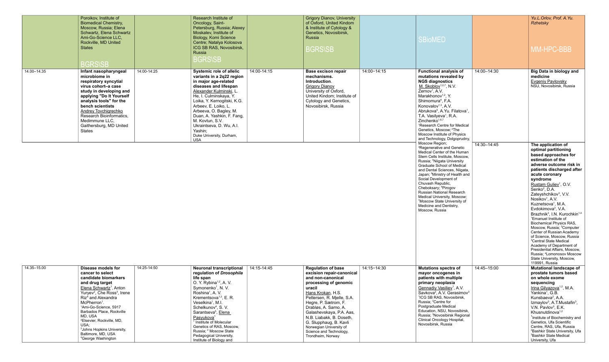|             | Poroikov, Institute of<br><b>Biomedical Chemistry,</b><br>Moscow, Russia; Elena<br>Schwartz, Elena Schwartz<br>Ami-Go-Science LLC,<br>Rockville, MD United<br><b>States</b><br><b>BGRS\SB</b>                                                                                                                         |             | Research Institute of<br>Oncology, Saint-<br>Petersburg, Russia; Alexey<br>Moskalev, Institute of<br>Biology, Komi Science<br>Centre; Natalya Kolosova<br>ICG SB RAS, Novosibirsk,<br>Russia<br><b>BGRS\SB</b>                                                                                                                                                                        |             | <b>Grigory Dianov, University</b><br>of Oxford, United Kindom<br>& Institute of Cytology &<br>Genetics, Novosibirsk,<br>Russia<br><b>BGRS\SB</b>                                             |             |
|-------------|-----------------------------------------------------------------------------------------------------------------------------------------------------------------------------------------------------------------------------------------------------------------------------------------------------------------------|-------------|---------------------------------------------------------------------------------------------------------------------------------------------------------------------------------------------------------------------------------------------------------------------------------------------------------------------------------------------------------------------------------------|-------------|----------------------------------------------------------------------------------------------------------------------------------------------------------------------------------------------|-------------|
| 14.00-14.35 | Infant nasopharyngeal<br>microbiome in<br>respiratory syncytial<br>virus cohort-a case<br>study in developing and<br>applying "Do It Yourself<br>analysis tools" for the<br>bench scientists<br><b>Andrey Tovchigrechko</b><br>Research Bioinformatics,<br>Medimmune LLC,<br>Gaithersburg, MD United<br><b>States</b> | 14:00-14:25 | <b>Systemic role of allelic</b><br>variants in a 2q22 region<br>in major age-related<br>diseases and lifespan<br>Alexander Kulminski, L.<br>He, I. Culminskaya, Y.<br>Loika, Y. Kernogitski, K.G.<br>Arbeev, E. Loiko, L.<br>Arbeeva, O. Bagley, M.<br>Duan, A. Yashkin, F. Fang,<br>M. Kovtun, S.V.<br>Ukraintseva, D. Wu, A.I.<br>Yashin;<br>Duke University, Durham,<br><b>USA</b> | 14:00-14:15 | <b>Base excison repair</b><br>mechanisms.<br>Introduction.<br><b>Grigory Dianov</b><br>University of Oxford,<br>United Kindom; Institute of<br>Cytology and Genetics,<br>Novosibirsk, Russia | 14:00-14:15 |

|             | <b>SBioMED</b>                                                                                                                                                                                                                                                                                                                                                                                                                                                                                                                                                                                        |                            | Yu.L.Orlov, Prof. A.Yu.<br><b>Rzhetsky</b><br><b>MM-HPC-BBB</b>                                                                                                                                                                                                                                                                                                                                                                                                                                                                                                                                                                                                                                                                                                                            |
|-------------|-------------------------------------------------------------------------------------------------------------------------------------------------------------------------------------------------------------------------------------------------------------------------------------------------------------------------------------------------------------------------------------------------------------------------------------------------------------------------------------------------------------------------------------------------------------------------------------------------------|----------------------------|--------------------------------------------------------------------------------------------------------------------------------------------------------------------------------------------------------------------------------------------------------------------------------------------------------------------------------------------------------------------------------------------------------------------------------------------------------------------------------------------------------------------------------------------------------------------------------------------------------------------------------------------------------------------------------------------------------------------------------------------------------------------------------------------|
| 14:00-14:15 | <b>Functional analysis of</b><br>mutations revealed by<br><b>NGS diagnostics</b><br>$M.$ Skoblov <sup>1,2,7</sup> , N.V.<br>Zernov <sup>1</sup> , A.V.<br>Marakhonov <sup>1,2</sup> , Y.<br>Shimomura <sup>4</sup> , F.A.<br>Konovalov <sup>1,3</sup> , A.V.<br>Abrukova <sup>5</sup> , A.Yu. Filatova <sup>1</sup> ,<br>T.A. Vasilyeva <sup>1</sup> , R.A.<br>Zinchenko <sup>1,6,7</sup><br><sup>1</sup> Research Centre for Medical<br>Genetics, Moscow; <sup>2</sup> The<br>Moscow Institute of Physics<br>and Technology, Dolgoprudny,<br>Moscow Region;<br><sup>3</sup> Regenerative and Genetic | 14:00-14:30<br>14:30-14:45 | <b>Big Data in biology and</b><br>medicine<br><b>Evgeniy Pavlovsky</b><br>NSU, Novosibirsk, Russia<br>The application of                                                                                                                                                                                                                                                                                                                                                                                                                                                                                                                                                                                                                                                                   |
|             | Medical Center of the Human<br>Stem Cells Institute, Moscow,<br>Russia; <sup>4</sup> Niigata University<br>Graduate School of Medical<br>and Dental Sciences, Niigata,<br>Japan; <sup>5</sup> Ministry of Health and<br>Social Development of<br>Chuvash Republic,<br>Cheboksary; <sup>6</sup> Pirogov<br>Russian National Research<br>Medical University, Moscow;<br><sup>7</sup> Moscow State University of<br>Medicine and Dentistry,<br>Moscow, Russia                                                                                                                                            |                            | optimal partitioning<br>based approaches for<br>estimation of the<br>adverse outcome risk in<br>patients discharged after<br>acute coronary<br>syndrome<br>Rustam Guliev <sup>1</sup> , O.V.<br>Senko <sup>2</sup> , D.A.<br>Zateyshchikov <sup>3</sup> , V.V.<br>Nosikov <sup>1</sup> , A.V.<br>Kuznetsova <sup>1</sup> , M.A.<br>Evdokimova <sup>3</sup> , V.A.<br>Brazhnik <sup>3</sup> , I.N. Kurochkin <sup>1,4</sup><br><sup>1</sup> Emanuel Institute of<br>Biochemical Physics RAS,<br>Moscow, Russia; <sup>2</sup> Computer<br>Center of Russian Academy<br>of Science, Moscow, Russia<br><sup>3</sup> Central State Medical<br>Academy of Department of<br>Presidential Affairs, Moscow,<br>Russia; <sup>4</sup> Lomonosov Moscow<br>State University, Moscow,<br>119991, Russia |
| 14:15-14:30 | <b>Mutations spectra of</b><br>mayor oncogenes in<br>patients with multiple<br>primary neoplasia<br>Gennadiy Vasiliev <sup>1</sup> , A.V.<br>Savkova <sup>2</sup> , A.V. Gerasimov <sup>3</sup><br><sup>1</sup> ICG SB RAS, Novosibirsk,<br>Russia; <sup>2</sup> Centre for<br>Postgraduate Medical<br>Education, NSU, Novosibirsk,<br>Russia; <sup>3</sup> Novosibirsk Regional<br>Clinical Oncology Hospital,<br>Novosibirsk, Russia                                                                                                                                                                | 14:45-15:00                | <b>Mutational landscape of</b><br>prostate tumors based<br>on whole exome<br>sequencing<br>Irina Gilyazova <sup>1,2</sup> , M.A.<br>Yankina <sup>1</sup> , G.B.<br>Kunsbaeva <sup>2</sup> , A.A.<br>Izmaylov <sup>3</sup> , A.T. Mustafin <sup>3</sup> ,<br>V.N. Pavlov <sup>3</sup> , E.K.<br>Khusnutdinova <sup>1,2</sup><br><sup>1</sup> Institute of Biochemistry and<br>Genetics, Ufa Scientific<br>Centre, RAS, Ufa, Russia<br><sup>2</sup> Bashkir State University, Ufa<br><sup>3</sup> Bashkir State Medical<br>University, Ufa                                                                                                                                                                                                                                                   |

| 14.35-15.00 | Disease models for                                  | 14:25-14:50 | <b>Neuronal transcriptional</b>                  | 14:15-14:45 | <b>Regulation of base</b>  | 14:15-14:30 |
|-------------|-----------------------------------------------------|-------------|--------------------------------------------------|-------------|----------------------------|-------------|
|             | cancer to select                                    |             | regulation of Drosophila                         |             | excision repair-canonical  |             |
|             | candidate biomarkers                                |             | life span                                        |             | and non-canonical          |             |
|             | and drug target                                     |             | O. Y. Rybina <sup><math>1,2</math></sup> , A. V. |             | processing of genomic      |             |
|             | Elena Schwartz <sup>1</sup> , Anton                 |             | Symonenko <sup>1</sup> , N.V.                    |             | uracil                     |             |
|             | Yuryev <sup>2</sup> , Che Ross <sup>3</sup> , Irene |             | Roshina <sup>1</sup> , A. V.                     |             | Hans Krokan, H.S.          |             |
|             | Riz <sup>4</sup> and Alexandra                      |             | Krementsova <sup>1,3</sup> , E. R.               |             | Pettersen, R. Mjelle, S.A. |             |
|             | McPherron <sup>1</sup> .                            |             | Veselkina <sup>1</sup> , M.I.                    |             | Hegre, P. Sætrom, F.       |             |
|             | <sup>1</sup> Ami-Go-Science, 5917                   |             | Schelkunov <sup>4</sup> , S.V.                   |             | Drabløs, A. Sarno, A.      |             |
|             | Barbados Place, Rockville                           |             | Sarantseva <sup>5</sup> , Elena                  |             | Galashevskaya, P.A. Aas,   |             |
|             | MD. USA                                             |             | Pasyukova <sup>1</sup>                           |             | N.B. Liabakk, B. Doseth,   |             |
|             | <sup>2</sup> Elsevier, Rockville, MD,               |             | Institute of Molecular                           |             | G. Slupphaug, B. Kavli     |             |
|             | USA:<br><sup>3</sup> Johns Hopkins University,      |             | Genetics of RAS, Moscow,                         |             | Norwegian University of    |             |
|             | Baltimore, MD, USA                                  |             | Russia; <sup>2</sup> Moscow State                |             | Science and Technology,    |             |
|             | <sup>4</sup> George Washington                      |             | Pedagogical University,                          |             | Trondheim, Norway          |             |
|             |                                                     |             | Institute of Biology and                         |             |                            |             |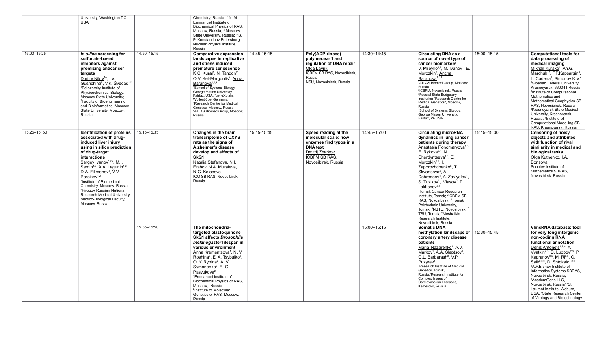|             | University, Washington DC,<br><b>USA</b>                                                                                                                                                                                                                                                                                                                                                                                                                                                                          |             | Chemistry, Russia; <sup>3</sup> N. M.<br>Emmanuel Institute of<br>Biochemical Physics of RAS,<br>Moscow, Russia; 4 Moscow<br>State University, Russia; <sup>5</sup> B.<br>P. Konstantinov Petersburg<br>Nuclear Physics Institute,<br>Russia                                                                                                                                                                                                                                                                  |             |                                                                                                                                                       |             |                                                                                                                                                                                                                                                                                                                                                                                                                                                                                                                                                                                                                                                                                                                                             |             |                                                                                                                                                                                                                                                                                                                                                                                                                                                                                                                                                                                                             |
|-------------|-------------------------------------------------------------------------------------------------------------------------------------------------------------------------------------------------------------------------------------------------------------------------------------------------------------------------------------------------------------------------------------------------------------------------------------------------------------------------------------------------------------------|-------------|---------------------------------------------------------------------------------------------------------------------------------------------------------------------------------------------------------------------------------------------------------------------------------------------------------------------------------------------------------------------------------------------------------------------------------------------------------------------------------------------------------------|-------------|-------------------------------------------------------------------------------------------------------------------------------------------------------|-------------|---------------------------------------------------------------------------------------------------------------------------------------------------------------------------------------------------------------------------------------------------------------------------------------------------------------------------------------------------------------------------------------------------------------------------------------------------------------------------------------------------------------------------------------------------------------------------------------------------------------------------------------------------------------------------------------------------------------------------------------------|-------------|-------------------------------------------------------------------------------------------------------------------------------------------------------------------------------------------------------------------------------------------------------------------------------------------------------------------------------------------------------------------------------------------------------------------------------------------------------------------------------------------------------------------------------------------------------------------------------------------------------------|
| 15.00-15.25 | In silico screening for<br>sulfonate-based<br>inhibitors against<br>promising anticancer<br>targets<br>Dmitry Nilov <sup>1*</sup> , I.V.<br>Gushchina <sup>2</sup> , V.K. Švedas <sup>1,2</sup><br><sup>1</sup> Belozersky Institute of<br>Physicochemical Biology,<br>Moscow State University;<br><sup>2</sup> Faculty of Bioengineering<br>and Bioinformatics, Moscow<br>State University, Moscow,<br>Russia                                                                                                    | 14:50-15.15 | <b>Comparative expression</b><br>landscapes in replicative<br>and stress induced<br>premature senescence<br>K.C. Kural <sup>1</sup> , N. Tandon <sup>2</sup> ,<br>O.V. Kel-Margoulis <sup>2</sup> , Anna<br>Baranova <sup>1,3,4</sup><br><sup>1</sup> School of Systems Biology,<br>George Mason University,<br>Fairfax, USA; <sup>2</sup> geneXplain,<br>Wolfenbüttel Germany;<br><sup>3</sup> Research Centre for Medical<br>Genetics, Moscow, Russia<br><sup>4</sup> ATLAS Biomed Group, Moscow,<br>Russia | 14:45-15:15 | Poly(ADP-ribose)<br>polymerase 1 and<br>regulation of DNA repair<br>Olga Lavrik<br>ICBFM SB RAS, Novosibirsk,<br>Russia<br>NSU, Novosibirsk, Russia   | 14:30-14:45 | <b>Circulating DNA as a</b><br>source of novel type of<br>cancer biomarkers<br>V. Mileyko <sup>1,2</sup> , M. Ivanov <sup>1</sup> , E.<br>Morozkin <sup>2</sup> , Ancha<br>Baranova <sup>1,3,4</sup><br><sup>1</sup> ATLAS Biomed Group, Moscow,<br>Russia<br><sup>2</sup> ICBFM, Novosibirsk, Russia<br><sup>3</sup> Federal State Budgetary<br>Institution "Research Centre for<br>Medical Genetics", Moscow,<br>Russia<br><sup>4</sup> School of Systems Biology,<br>George Mason University,<br>Fairfax, VA USA                                                                                                                                                                                                                         | 15:00-15:15 | <b>Computational tools for</b><br>data processing of<br>medical imaging<br>Mikhail Kurako <sup>1</sup> , An.G.<br>Marchuk <sup>2</sup> , F.P.Kapsargin <sup>3</sup> ,<br>L. Cadena <sup>1</sup> , Simonov K.V. <sup>4</sup><br><sup>1</sup> Siberian Federal University,<br>Krasnoyarsk, 660041, Russia<br><sup>2</sup> Institute of Computational<br>Mathematics and<br>Mathematical Geophysics SB<br>RAS, Novosibirsk, Russia<br><sup>3</sup> Krasnoyarsk State Medical<br>University, Krasnoyarsk,<br>Russia; <sup>4</sup> Institute of<br><b>Computational Modelling SB</b><br>RAS, Krasnoyarsk, Russia |
| 15.25-15.50 | <b>Identification of proteins</b><br>associated with drug-<br>induced liver injury<br>using in silico prediction<br>of drug-target<br>interactions<br>Sergey Ivanov <sup>1,2*</sup> , M.I.<br>Semin <sup>1,2</sup> , A.A. Lagunin <sup>1,2</sup> ,<br>D.A. Filimonov <sup>1</sup> , V.V.<br>Poroikov <sup>1,2</sup><br><sup>1</sup> Institute of Biomedical<br>Chemistry, Moscow, Russia<br><sup>2</sup> Pirogov Russian National<br>Research Medical University,<br>Medico-Biological Faculty,<br>Moscow, Russia | 15.15-15.35 | Changes in the brain<br>transcriptome of OXYS<br>rats as the signs of<br>Alzheimer's disease<br>develop and effects of<br>SkQ1<br>Natalia Stefanova, N.I.<br>Ershov, N.A. Muraleva,<br>N.G. Kolosova<br>ICG SB RAS, Novosibirsk,<br>Russia                                                                                                                                                                                                                                                                    | 15:15-15:45 | Speed reading at the<br>molecular scale: how<br>enzymes find typos in a<br><b>DNA</b> text<br>Dmitrij Zharkov<br>ICBFM SB RAS.<br>Novosibirsk, Russia | 14:45-15:00 | <b>Circulating microRNA</b><br>dynamics in lung cancer<br>patients during therapy<br>Anastasia Ponomaryova <sup>1,3</sup><br>E. Rykova <sup>2,4</sup> , N.<br>Cherdyntseva <sup>1,5</sup> , E.<br>Morozkin <sup>2,6</sup> , I.<br>Zaporozhchenko <sup>2</sup> , T.<br>Skvortsova <sup>2</sup> , A.<br>Dobrodeev <sup>1</sup> , A. Zav'yalov <sup>1</sup> ,<br>S. Tuzikov <sup>1</sup> , Vlasov <sup>2</sup> , P.<br>Laktionov <sup>2,6</sup><br><sup>1</sup> Tomsk Cancer Research<br>Institute, Tomsk; <sup>2</sup> ICBFM SB<br>RAS, Novosibirsk; <sup>3</sup> Tomsk<br>Polytechnic University,<br>Tomsk; <sup>4</sup> NSTU, Novosibirsk; <sup>8</sup><br>TSU, Tomsk; <sup>6</sup> Meshalkin<br>Research Institute,<br>Novosibirsk, Russia | 15:15-15:30 | <b>Censoring of noisy</b><br>objects and attributes<br>with function of rival<br>similarity in medical and<br>biological tasks<br>Olga Kutnenko, I.A.<br>Borisova<br>Sobolev Institute of<br>Mathematics SBRAS,<br>Novosibirsk, Russia                                                                                                                                                                                                                                                                                                                                                                      |
|             |                                                                                                                                                                                                                                                                                                                                                                                                                                                                                                                   | 15.35-15:50 | The mitochondria-<br>targeted plastoquinone<br><b>SkQ1 affects Drosophila</b><br>melanogaster lifespan in<br>various environment<br>Anna Krementsova <sup>1</sup> , N. V.<br>Roshina <sup>2</sup> , E. A. Tsybulko <sup>2</sup> ,<br>O. Y. Rybina <sup>2</sup> , A. V.<br>Symonenko <sup>2</sup> , E. G.<br>Pasyukova <sup>2</sup><br><sup>1</sup> Emmanuel Institute of<br>Biochemical Physics of RAS,<br>Moscow, Russia<br><sup>2</sup> Institute of Molecular<br>Genetics of RAS, Moscow,<br>Russia        |             |                                                                                                                                                       | 15:00-15:15 | <b>Somatic DNA</b><br>methylation landscape of $\vert$ 15:30-15:45<br>coronary artery disease<br>patients<br>Maria Nazarenko <sup>1</sup> , A.V.<br>Markov <sup>1</sup> , A.A. Sleptsov <sup>1</sup> ,<br>O.L. Barbarash <sup>2</sup> , V.P.<br>Puzyrev <sup>1</sup><br><sup>1</sup> Research Institute of Medical<br>Genetics, Tomsk,<br>Russia; <sup>2</sup> Research Institute for<br>Complex Issues of<br>Cardiovascular Diseases,<br>Kemerovo, Russia                                                                                                                                                                                                                                                                                  |             | <b>VlincRNA</b> database: tool<br>for very long intergenic<br>non-coding RNA<br>functional annotation<br>Denis Antonets <sup>1,2,4</sup> , Y.<br>Vyatkin <sup>2,3</sup> , D. Luppov <sup>2,3</sup> , P.<br>Kapranov <sup>3,5</sup> , M. Ri <sup>2,3</sup> , O.<br>Saik <sup>2,3,6</sup> , D. Shtokalo <sup>1,2,3</sup><br><sup>1</sup> A.P.Ershov Institute of<br>Informatics Systems SBRAS,<br>Novosibirsk, Russia;<br><sup>2</sup> AcademGene LLC,<br>Novosibirsk, Russia' 3St.<br>Laurent Institute, Woburn,<br>USA; <sup>4</sup> State Research Center<br>of Virology and Biotechnology                 |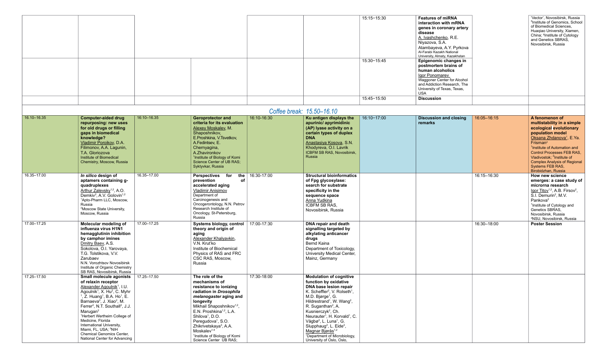|             |                                                                                                                                                                                                                                                                                                                                                                                                                                                                                                                                                       |             |                                                                                                                                                                                                                                                                                                                                                                                                                        |             |                                                                                                                                                                                                                                                                                                                                                                                                                                                                                                                                                                              | 15:15-15:30 | <b>Features of miRNA</b><br>interaction with mRNA<br>genes in coronary artery<br>disease<br>A. Ivashchenko, R.E.<br>Niyazova, S.A.<br>Atambayeva, A.Y. Pyrkova<br>Al-Farabi Kazakh National<br>University, Almaty, Kazakhstan |             | 'Vector', Novosibirsk, Russia<br><sup>5</sup> Institute of Genomics, School<br>of Biomedical Sciences,<br>Huaqiao University, Xiamen,<br>China; <sup>6</sup> Institute of Cytology<br>and Genetics SBRAS.<br>Novosibirsk, Russia                                                                                                                                         |  |
|-------------|-------------------------------------------------------------------------------------------------------------------------------------------------------------------------------------------------------------------------------------------------------------------------------------------------------------------------------------------------------------------------------------------------------------------------------------------------------------------------------------------------------------------------------------------------------|-------------|------------------------------------------------------------------------------------------------------------------------------------------------------------------------------------------------------------------------------------------------------------------------------------------------------------------------------------------------------------------------------------------------------------------------|-------------|------------------------------------------------------------------------------------------------------------------------------------------------------------------------------------------------------------------------------------------------------------------------------------------------------------------------------------------------------------------------------------------------------------------------------------------------------------------------------------------------------------------------------------------------------------------------------|-------------|-------------------------------------------------------------------------------------------------------------------------------------------------------------------------------------------------------------------------------|-------------|--------------------------------------------------------------------------------------------------------------------------------------------------------------------------------------------------------------------------------------------------------------------------------------------------------------------------------------------------------------------------|--|
|             |                                                                                                                                                                                                                                                                                                                                                                                                                                                                                                                                                       |             |                                                                                                                                                                                                                                                                                                                                                                                                                        |             |                                                                                                                                                                                                                                                                                                                                                                                                                                                                                                                                                                              | 15:30-15:45 | <b>Epigenomic changes in</b><br>postmortem brains of<br>human alcoholics<br>Igor Ponomarev<br>Waggoner Center for Alcohol<br>and Addiction Research, The<br>University of Texas, Texas,<br><b>USA</b>                         |             |                                                                                                                                                                                                                                                                                                                                                                          |  |
|             |                                                                                                                                                                                                                                                                                                                                                                                                                                                                                                                                                       |             |                                                                                                                                                                                                                                                                                                                                                                                                                        |             |                                                                                                                                                                                                                                                                                                                                                                                                                                                                                                                                                                              | 15:45-15:50 | <b>Discussion</b>                                                                                                                                                                                                             |             |                                                                                                                                                                                                                                                                                                                                                                          |  |
|             |                                                                                                                                                                                                                                                                                                                                                                                                                                                                                                                                                       |             |                                                                                                                                                                                                                                                                                                                                                                                                                        |             | Coffee break: 15.50-16.10                                                                                                                                                                                                                                                                                                                                                                                                                                                                                                                                                    |             |                                                                                                                                                                                                                               |             |                                                                                                                                                                                                                                                                                                                                                                          |  |
| 16.10-16.35 | <b>Computer-aided drug</b><br>repurposing: new uses<br>for old drugs or filling<br>gaps in biomedical<br>knowledge?<br>Vladimir Poroikov, D.A.<br>Filimonov, A.A. Lagunin,<br>T.A. Gloriozova<br>Institute of Biomedical<br>Chemistry, Moscow, Russia                                                                                                                                                                                                                                                                                                 | 16:10-16.35 | <b>Geroprotector and</b><br>criteria for its evaluation<br>Alexey Moskaley, M.<br>Shaposhnikov,<br>E.Proshkina, V.Tsvetkov,<br>A.Fedintsev, E.<br>Chernyagina,<br>A.Zhavironkov<br><sup>1</sup> Institute of Biology of Komi<br>Science Center of UB RAS;<br>Syktyvkar, Russia                                                                                                                                         | 16:10-16:30 | Ku antigen displays the<br>apurinic/ apyrimidinic<br>(AP) lyase activity on a<br>certain types of duplex<br><b>DNA</b><br>Anastasiya Kosova, S.N.<br>Khodyreva, O.I. Lavrik<br>ICBFM SB RAS, Novosibirsk,<br>Russia                                                                                                                                                                                                                                                                                                                                                          | 16:10-17:00 | <b>Discussion and closing</b><br>remarks                                                                                                                                                                                      | 16:05-16:15 | A fenomenon of<br>multistability in a simple<br>ecological evolutionary<br>population model<br>Oksana Zhdanova <sup>1</sup> , E.Ya.<br>Frisman <sup>2</sup><br><sup>1</sup> Institute of Automation and<br><b>Control Processes FEB RAS.</b><br>Vladivostok; <sup>2</sup> Institute of<br><b>Complex Analysis of Regional</b><br>Systems FEB RAS,<br>Birobidzhan, Russia |  |
| 16.35-17.00 | In silico design of<br>aptamers containing g-<br>quadruplexes<br>Arthur Zalevsky <sup>1,2</sup> , A.O.<br>Demkiv <sup>2</sup> , A.V. Golovin <sup>1,2</sup><br><sup>1</sup> Apto-Pharm LLC, Moscow,<br>Russia<br><sup>2</sup> Moscow State University,<br>Moscow, Russia                                                                                                                                                                                                                                                                              | 16.35-17.00 | Perspectives for<br>the<br>prevention<br>of<br>accelerated aging<br><b>Vladimir Anisimov</b><br>Department of<br>Carcinogenesis and<br>Oncogerontology, N.N. Petrov<br>Research Institute of<br>Oncology, St-Petersburg,<br>Russia                                                                                                                                                                                     | 16:30-17:00 | <b>Structural bioinformatics</b><br>of Fpg glycosylase:<br>search for substrate<br>specificity in the<br>sequence space<br>Anna Yudkina<br>ICBFM SB RAS,<br>Novosibirsk, Russia                                                                                                                                                                                                                                                                                                                                                                                              |             |                                                                                                                                                                                                                               | 16:15-16:30 | How new science<br>emerges: a case study of<br>microrna research<br>$lgor$ Titov <sup>1,2</sup> , A.B. Firsov <sup>2</sup> ,<br>S.I. Demurin <sup>2</sup> , M.V.<br>Pankova $2$<br><sup>1</sup> Institute of Cytology and<br>Genetics SBRAS,<br>Novosibirsk, Russia<br><sup>2</sup> NSU, Novosibirsk, Russia                                                             |  |
| 17.00-17.25 | Molecular modeling of<br>influenza virus H1N1<br>hemagglutinin inhibition<br>by camphor imines<br>Dmitry Baev, A.S.<br>Sokolova, O.I. Yarovaya,<br>T.G. Tolstikova, V.V.<br>Zarubaev<br>N.N. Vorozhtsov Novosibirsk<br>Institute of Organic Chemistry<br>SB RAS, Novosibirsk, Russia                                                                                                                                                                                                                                                                  | 17.00-17.25 | Systems biology, control  <br>theory and origin of<br>aging<br>Alexander Khalyavkin,<br>V.N. Kruťko<br>Institute of Biochemical<br>Physics of RAS and FRC<br>CSC RAS, Moscow,<br>Russia                                                                                                                                                                                                                                | 17:00-17:30 | DNA repair and death<br>signalling targeted by<br>alkylating anticancer<br>drugs<br>Bernd Kaina<br>Department of Toxicology,<br><b>University Medical Center,</b><br>Mainz, Germany                                                                                                                                                                                                                                                                                                                                                                                          |             |                                                                                                                                                                                                                               | 16:30-18:00 | <b>Poster Session</b>                                                                                                                                                                                                                                                                                                                                                    |  |
| 17.25-17.50 | Small molecule agonists  <br>of relaxin receptor<br>Alexander Agoulnik <sup>1</sup> , I.U.<br>Agoulnik <sup>1</sup> , X. Hu <sup>2</sup> , C. Myhr<br>$1$ , Z. Huang <sup>1</sup> , B.A. Ho <sup>1</sup> , E.<br>Barnaeva <sup>2</sup> , J. Xiao <sup>2</sup> , M.<br>Ferrer <sup>2</sup> , N.T. Southall <sup>2</sup> , J.J.<br>Marugan <sup>2</sup><br><sup>1</sup> Herbert Wertheim College of<br>Medicine, Florida<br>International University,<br>Miami, FL, USA; <sup>2</sup> NIH<br>Chemical Genomics Center,<br>National Center for Advancing | 17.25-17.50 | The role of the<br>mechanisms of<br>resistance to ionizing<br>radiation in Drosophila<br>melanogaster aging and<br>longevity<br>Mikhail Shaposhnikov <sup>1,2</sup> ,<br>E.N. Proshkina <sup>1,2</sup> , L.A.<br>Shilova <sup>1</sup> , D.O.<br>Peregudova <sup>1</sup> , S.O.<br>Zhikrivetskaya <sup>3</sup> , A.A.<br>Moskalev <sup>1-4</sup><br><sup>1</sup> Institute of Biology of Komi<br>Science Center UB RAS; | 17:30-18:00 | <b>Modulation of cognitive</b><br>function by oxidative<br>DNA base lesion repair<br>K. Scheffler <sup>2</sup> , V. Rolseth <sup>1</sup> ,<br>M.D. Bjørge <sup>1</sup> , G.<br>Hildrestrand <sup>1</sup> , W. Wang <sup>2</sup> ,<br>R. Suganthan <sup>2</sup> , A.<br>Kusnierczyk <sup>2</sup> , Ch.<br>Neurauter <sup>1</sup> , H. Korvald <sup>1</sup> , C.<br>Vågbø <sup>2</sup> , L. Luna <sup>1</sup> , G.<br>Slupphaug <sup>2</sup> , L. Eide <sup>2</sup> ,<br>Magnar Bjørås <sup>1,2</sup><br><sup>1</sup> Department of Microbiology,<br>University of Oslo, Oslo, |             |                                                                                                                                                                                                                               |             |                                                                                                                                                                                                                                                                                                                                                                          |  |

| <b>Features of miRNA</b><br>interaction with mRNA<br>genes in coronary artery<br>disease<br>A. Ivashchenko, R.E.<br>Niyazova, S.A.<br>Atambayeva, A.Y. Pyrkova<br>Al-Farabi Kazakh National<br>University, Almaty, Kazakhstan<br>Epigenomic changes in<br>postmortem brains of<br>human alcoholics<br><u>Igor Ponomarev</u><br>Waggoner Center for Alcohol<br>and Addiction Research, The<br>University of Texas, Texas,<br><b>USA</b> | 'Vector', Novosibirsk, Russia<br><sup>5</sup> Institute of Genomics, School<br>of Biomedical Sciences.<br>Huagiao University, Xiamen,<br>China; <sup>6</sup> Institute of Cytology<br>and Genetics SBRAS.<br>Novosibirsk, Russia |
|----------------------------------------------------------------------------------------------------------------------------------------------------------------------------------------------------------------------------------------------------------------------------------------------------------------------------------------------------------------------------------------------------------------------------------------|----------------------------------------------------------------------------------------------------------------------------------------------------------------------------------------------------------------------------------|
| <b>Discussion</b>                                                                                                                                                                                                                                                                                                                                                                                                                      |                                                                                                                                                                                                                                  |
|                                                                                                                                                                                                                                                                                                                                                                                                                                        |                                                                                                                                                                                                                                  |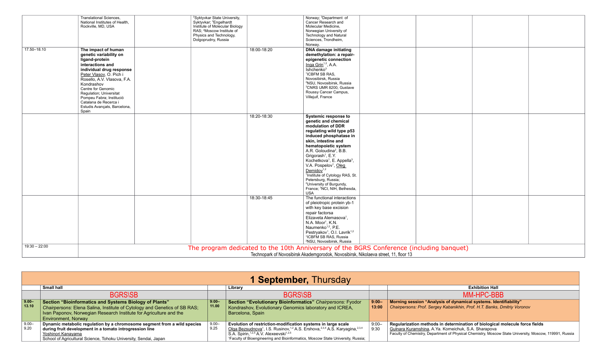|                 | <b>Translational Sciences,</b><br>National Institutes of Health, | <sup>2</sup> Syktyvkar State University,<br>Syktyvkar; <sup>3</sup> Engelhardt |             | Norway; <sup>2</sup> Department of<br>Cancer Research and                                |  |  |
|-----------------|------------------------------------------------------------------|--------------------------------------------------------------------------------|-------------|------------------------------------------------------------------------------------------|--|--|
|                 | Rockville, MD, USA                                               | Institute of Molecular Biology                                                 |             | Molecular Medicine,                                                                      |  |  |
|                 |                                                                  | RAS; <sup>4</sup> Moscow Institute of                                          |             | Norwegian University of                                                                  |  |  |
|                 |                                                                  | Physics and Technology,                                                        |             | <b>Technology and Natural</b>                                                            |  |  |
|                 |                                                                  | Dolgoprudny, Russia                                                            |             | Sciences, Trondheim,<br>Norway.                                                          |  |  |
| 17.50-18.10     | The impact of human                                              |                                                                                | 18:00-18:20 | <b>DNA damage initiating</b>                                                             |  |  |
|                 | genetic variability on                                           |                                                                                |             | demethylation: a repair-                                                                 |  |  |
|                 | ligand-protein                                                   |                                                                                |             | epigenetic connection                                                                    |  |  |
|                 | interactions and                                                 |                                                                                |             | Inga Grin <sup>1,2</sup> , A.A.                                                          |  |  |
|                 | individual drug response                                         |                                                                                |             | Ishchenko <sup>3</sup>                                                                   |  |  |
|                 | Peter Vlasov, O. Pich i                                          |                                                                                |             | <sup>1</sup> ICBFM SB RAS,                                                               |  |  |
|                 | Rosello, A.V. Vlasova, F.A.                                      |                                                                                |             | Novosibirsk, Russia                                                                      |  |  |
|                 | Kondrashov                                                       |                                                                                |             | <sup>2</sup> NSU, Novosibirsk, Russia                                                    |  |  |
|                 | Centre for Genomic                                               |                                                                                |             | <sup>3</sup> CNRS UMR 8200, Gustave<br>Roussy Cancer Campus,                             |  |  |
|                 | Regulation; Universitat                                          |                                                                                |             | Villejuif, France                                                                        |  |  |
|                 | Pompeu Fabra; Institució<br>Catalana de Recerca i                |                                                                                |             |                                                                                          |  |  |
|                 | Estudis Avançats, Barcelona,                                     |                                                                                |             |                                                                                          |  |  |
|                 | Spain                                                            |                                                                                |             |                                                                                          |  |  |
|                 |                                                                  |                                                                                | 18:20-18:30 | <b>Systemic response to</b>                                                              |  |  |
|                 |                                                                  |                                                                                |             | genetic and chemical                                                                     |  |  |
|                 |                                                                  |                                                                                |             | modulation of DDR                                                                        |  |  |
|                 |                                                                  |                                                                                |             | regulating wild type p53                                                                 |  |  |
|                 |                                                                  |                                                                                |             | induced phosphatase in                                                                   |  |  |
|                 |                                                                  |                                                                                |             | skin, intestine and                                                                      |  |  |
|                 |                                                                  |                                                                                |             | hematopoietic system<br>A.R. Goloudina <sup>2</sup> , B.B.                               |  |  |
|                 |                                                                  |                                                                                |             | Grigorash <sup>1</sup> , E.Y.                                                            |  |  |
|                 |                                                                  |                                                                                |             | Kochetkova <sup>1</sup> , E. Appella <sup>3</sup> ,                                      |  |  |
|                 |                                                                  |                                                                                |             | V.A. Pospelov <sup>1</sup> , Oleg                                                        |  |  |
|                 |                                                                  |                                                                                |             | $D$ emidov $1,2$                                                                         |  |  |
|                 |                                                                  |                                                                                |             | <sup>1</sup> Institute of Cytology RAS, St.                                              |  |  |
|                 |                                                                  |                                                                                |             | Petersburg, Russia;                                                                      |  |  |
|                 |                                                                  |                                                                                |             | <sup>2</sup> University of Burgundy,<br>France; <sup>3</sup> NCI, NIH, Bethesda,         |  |  |
|                 |                                                                  |                                                                                |             | <b>USA</b>                                                                               |  |  |
|                 |                                                                  |                                                                                | 18:30-18:45 | The functional interactions                                                              |  |  |
|                 |                                                                  |                                                                                |             | of pleiotropic protein yb-1                                                              |  |  |
|                 |                                                                  |                                                                                |             | with key base excision                                                                   |  |  |
|                 |                                                                  |                                                                                |             | repair factorsa                                                                          |  |  |
|                 |                                                                  |                                                                                |             | Elizaveta Alemasova <sup>1</sup> ,                                                       |  |  |
|                 |                                                                  |                                                                                |             | N.A. Moor <sup>1</sup> , K.N.                                                            |  |  |
|                 |                                                                  |                                                                                |             | Naumenko <sup>1,2</sup> , P.E.<br>Pestryakov <sup>1</sup> , O.I. Lavrik <sup>1,2</sup>   |  |  |
|                 |                                                                  |                                                                                |             | <sup>1</sup> ICBFM SB RAS, Russia                                                        |  |  |
|                 |                                                                  |                                                                                |             | <sup>2</sup> NSU, Novosibirsk, Russia                                                    |  |  |
| $19:30 - 22:00$ |                                                                  |                                                                                |             | The program dedicated to the 10th Anniversary of the BGRS Conference (including banquet) |  |  |
|                 |                                                                  |                                                                                |             | Technopark of Novosibirsk Akademgorodok, Novosibirsk, Nikolaeva street, 11, floor 13     |  |  |
|                 |                                                                  |                                                                                |             |                                                                                          |  |  |

|                   |                                                                                                                                                                                                                                         |                   | <b>1 September, Thursday</b>                                                                                                                                                                                                                                                                                                                      |                   |                                                                                                                                                                               |
|-------------------|-----------------------------------------------------------------------------------------------------------------------------------------------------------------------------------------------------------------------------------------|-------------------|---------------------------------------------------------------------------------------------------------------------------------------------------------------------------------------------------------------------------------------------------------------------------------------------------------------------------------------------------|-------------------|-------------------------------------------------------------------------------------------------------------------------------------------------------------------------------|
|                   | <b>Small hall</b>                                                                                                                                                                                                                       |                   | Library                                                                                                                                                                                                                                                                                                                                           |                   | <b>Exhibition Hall</b>                                                                                                                                                        |
|                   | <b>BGRS\SB</b>                                                                                                                                                                                                                          |                   | <b>BGRS\SB</b>                                                                                                                                                                                                                                                                                                                                    |                   | <b>MM-HPC-BE</b>                                                                                                                                                              |
| $9.00 -$<br>13.10 | <b>Section "Bioinformatics and Systems Biology of Plants"</b><br>Chairpersons: Elena Salina, Institute of Cytology and Genetics of SB RAS;<br>Ivan Paponov, Norwegian Research Institute for Agriculture and the<br>Environment, Norway | $9:00 -$<br>11.00 | Section "Evolutionary Bioinformatics" Chairpersons: Fyodor<br>Kondrashov, Evolutionary Genomics laboratory and ICREA,<br>Barcelona, Spain                                                                                                                                                                                                         | $9:00 -$<br>13:00 | Morning session "Analysis of dynamical systems. Ide<br>Chairpersons: Prof. Sergey Kabanikhin, Prof. H.T. Banks,                                                               |
| $9.00 -$<br>9.20  | Dynamic metabolic regulation by a chromosome segment from a wild species<br>during fruit development in a tomato introgression line<br>Yoshinori Kanayama<br>School of Agricultural Science, Tohoku University, Sendai, Japan           | $9.00 -$<br>9.25  | Evolution of restriction-modification systems in large scale<br>Olga Bezsudnova <sup>1</sup> , I.S. Rusinov, <sup>1,2</sup> A.S. Ershova, <sup>2,3,4</sup> A.S. Karyagina, <sup>2,3,4</sup><br>S.A. Spirin, 1,2,5 A.V. Alexeevski <sup>1,2,5</sup><br><sup>1</sup> Faculty of Bioengineering and Bioinformatics, Moscow State University, Russia; | $9:00 -$<br>9:30  | Regularization methods in determination of biologica<br>Gulnara Kuramshina, A.Ya. Korneichuk, S.A. Sharapova<br>Faculty of Chemistry, Department of Physical Chemistry, Mosco |

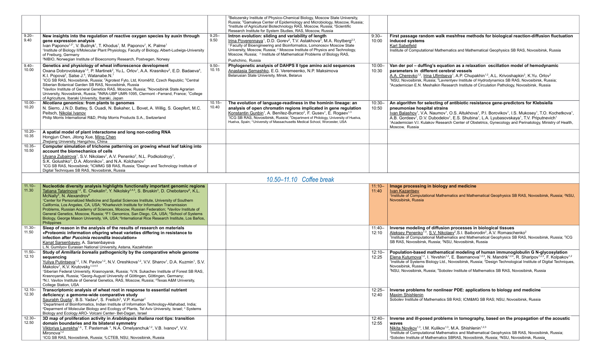#### **First passage random walk meshfree methods for biological reaction-diffusion fluctuation induced systems**

Karl Sabelfeld

Institute of Computational Mathematics and Mathematical Geophysics SB RAS, Novosibirsk, Russia

A.A. Cherevko<sup>1,2</sup>, Irina Ufimtseva<sup>1</sup>, A.P. Chupakhin<sup>1,2</sup>, A.L. Krivoshapkin<sup>3</sup>, K.Yu. Orlov<sup>3</sup> <sup>1</sup>NSU, Novosibirsk, Russia; <sup>2</sup>Lavrentyev Institute of Hydrodynamics SB RAS, Novosibirsk, Russia; <sup>3</sup>Academician E.N. Meshalkin Research Institute of Circulation Pathology, Novosibirsk, Russia

lvan Balashov<sup>1</sup>, V.A. Naumov<sup>1</sup>, O.S. Altukhova<sup>1</sup>, P.I. Borovikov<sup>1</sup>, I.S. Mukosey<sup>1</sup>, T.O. Kochetkova<sup>1</sup>, A.B. Gordeev<sup>1</sup>, D.V. Dubodelov<sup>1</sup>, E.S. Shubina<sup>1</sup>, L.A. Lyubasovskaya<sup>1</sup>, T.V. Priputnevich<sup>1</sup> <sup>1</sup>Academician V.I. Kulakov Research Center of Obstetrics, Gynecology and Perinatology, Ministry of Health, Moscow, Russia

#### **Van der pol – duffing's equation as a relaxation oscillation model of hemodynamic parameters in different cerebral vessels**

<sup>1</sup>Institute of Computational Mathematics and Mathematical Geophysics SB RAS, Novosibirsk, Russia; <sup>2</sup>NSU, Novosibirsk, Russia

#### **An algorithm for selecting of antibiotic resistance gene-predictors for Klebsiella pneumoniae hospital strains**

|                    |                                                                                                                                                                                                                                                                                                                                                                                                                                                                                                                                                                                                                                                                                                                                                                                                                                                                     |                    | <sup>2</sup> Belozersky Institute of Physico-Chemical Biology, Moscow State University,<br>Russia; <sup>3</sup> Gamaleya Center of Epidemiology and Microbiology, Moscow, Russia;<br><sup>4</sup> Institute of Agricultural Biotechnology RAS, Moscow, Russia; <sup>5</sup> Scientific<br>Research Institute for System Studies, RAS, Moscow, Russia                                                                                                                |                    |
|--------------------|---------------------------------------------------------------------------------------------------------------------------------------------------------------------------------------------------------------------------------------------------------------------------------------------------------------------------------------------------------------------------------------------------------------------------------------------------------------------------------------------------------------------------------------------------------------------------------------------------------------------------------------------------------------------------------------------------------------------------------------------------------------------------------------------------------------------------------------------------------------------|--------------------|---------------------------------------------------------------------------------------------------------------------------------------------------------------------------------------------------------------------------------------------------------------------------------------------------------------------------------------------------------------------------------------------------------------------------------------------------------------------|--------------------|
| $9.20 -$<br>9.40   | New insights into the regulation of reactive oxygen species by auxin through<br>gene expression analysis<br>Ivan Paponov <sup>1,2*</sup> , V. Budnyk <sup>1</sup> , T. Khodus <sup>1</sup> , M. Paponov <sup>1</sup> , K. Palme <sup>1</sup><br><sup>1</sup> Institute of Biology II/Molecular Plant Physiology, Faculty of Biology, Albert-Ludwigs-University<br>of Freiburg, Germany<br><sup>2</sup> NIBIO, Norwegian Institute of Bioeconomy Research, Postvegen, Norway                                                                                                                                                                                                                                                                                                                                                                                         | $9.25 -$<br>9.50   | Intron evolution: sliding and variability of length<br>Irina Poverennaya <sup>1</sup> , D.D. Gorev <sup>2</sup> , T.V. Astakhova <sup>3</sup> , M.A. Roytberg <sup>2,3</sup> .<br><sup>1</sup> Faculty of Bioengineering and Bioinformatics, Lomonosov Moscow State<br>University, Moscow, Russia; <sup>2</sup> Moscow Institute of Physics and Technology,<br>Moscow, Russia; <sup>3</sup> Institute of Mathematical Problems of Biology RAS,<br>Pushchino, Russia | $9:30 -$<br>10:00  |
| $9.40 -$<br>10.00  | Genetics and physiology of wheat inflorescence development<br>Oxana Dobrovolskaya <sup>1,5</sup> , P. Martinek <sup>2</sup> , Yu.L. Orlov <sup>1</sup> , A.A. Krasnikov <sup>3</sup> , E.D. Badaeva <sup>4</sup> ,<br>K.I. Popova <sup>5</sup> , Salse J. <sup>6</sup> , Watanabe.N. <sup>7</sup><br><sup>1</sup> ICG SB RAS, Novosibirsk, Russia; <sup>2</sup> Agrotest Fyto, Ltd, Kroměříž, Czech Republic; <sup>3</sup> Central<br>Siberian Botanical Garden SB RAS, Novosibirsk, Russia<br><sup>4</sup> Vavilov Institute of General Genetics RAS, Moscow, Russia; <sup>5</sup> Novosibirsk State Agrarian<br>University, Novosibirsk, Russia; <sup>6</sup> INRA-UBP UMR-1095, Clermont -Ferrand, France; <sup>7</sup> College<br>of Agriculture, Ibaraki University, Ibaraki, Japan                                                                            | $9.50 -$<br>10.15  | Phylogenetic analysis of DAHPS II type amino acid sequences<br>Anastasia Semashko, E.G. Veremeenko, N.P. Maksimova<br>Belarusian State University, Minsk, Belarus                                                                                                                                                                                                                                                                                                   | $10:00 -$<br>10:30 |
| $10.00 -$<br>10.20 | Nicotiana genomics: from plants to genomes<br>N. Sierro, J.N.D. Battey, S. Ouadi, N. Bakaher, L. Bovet, A. Willig, S. Goepfert, M.C.<br>Peitsch, Nikolai Ivanov<br>Philip Morris International R&D, Philip Morris Products S.A., Switzerland                                                                                                                                                                                                                                                                                                                                                                                                                                                                                                                                                                                                                        | $10.15 -$<br>10.40 | The evolution of language-readiness in the hominin lineage: an<br>analysis of open chromatin regions implicated in gene regulation<br>Konstantin Gunbin <sup>1</sup> , A. Benítez-Burraco <sup>2</sup> , F. Gusev <sup>1</sup> , E. Rogaev <sup>1,3</sup><br><sup>1</sup> ICG SB RAS, Novosibirsk, Russia; <sup>2</sup> Department of Philology, University of Huelva,<br>Huelva, Spain; <sup>3</sup> University of Massachusetts Medical School, Worcester, USA    | $10:30 -$<br>10:50 |
| $10.20 -$<br>10.35 | A spatial model of plant interactome and long non-coding RNA<br>Hongjun Chen, Jitong Xue, Ming Chen<br>Zhejiang University, Hangzhou, China                                                                                                                                                                                                                                                                                                                                                                                                                                                                                                                                                                                                                                                                                                                         |                    |                                                                                                                                                                                                                                                                                                                                                                                                                                                                     |                    |
| $10.35 -$<br>10.50 | Computer simulation of trichome patterning on growing wheat leaf taking into<br>account the biomechanics of cells<br>Ulyana Zubairova <sup>1</sup> , S.V. Nikolaev <sup>1</sup> , A.V. Penenko <sup>2</sup> , N.L. Podkolodnyy <sup>1</sup> ,<br>S.K. Golushko <sup>3</sup> , D.A. Afonnikov <sup>1</sup> , and N.A. Kolchanov <sup>1</sup><br><sup>1</sup> ICG SB RAS, Novosibirsk; <sup>2</sup> ICMMG SB RAS, Russia; <sup>3</sup> Design and Technology Institute of<br>Digital Techniques SB RAS, Novosibirsk, Russia                                                                                                                                                                                                                                                                                                                                           |                    |                                                                                                                                                                                                                                                                                                                                                                                                                                                                     |                    |
|                    |                                                                                                                                                                                                                                                                                                                                                                                                                                                                                                                                                                                                                                                                                                                                                                                                                                                                     |                    | 10.50-11.10 Coffee break                                                                                                                                                                                                                                                                                                                                                                                                                                            |                    |
| $11.10 -$<br>11.30 | Nucleotide diversity analysis highlights functionally important genomic regions<br>Tatiana Tatarinova <sup>1,2</sup> , E. Chekalin <sup>3</sup> , Y. Nikolsky <sup>3,4,5</sup> , S. Bruskin <sup>3</sup> , D. Chebotarov <sup>6</sup> , K.L.<br>McNally <sup>6</sup> , N. Alexandrov <sup>6</sup><br><sup>1</sup> Center for Personalized Medicine and Spatial Sciences Institute, University of Southern<br>California, Los Angeles, CA, USA; <sup>2</sup> Kharkevich Institute for Information Transmission<br>Problems, Russian Academy of Sciences, Moscow, Russian Federation; <sup>3</sup> Vavilov Institute of<br>General Genetics, Moscow, Russia; <sup>4</sup> F1 Genomics, San Diego, CA, USA; <sup>5</sup> School of Systems<br>Biology, George Mason University, VA, USA; <sup>6</sup> International Rice Research Institute, Los Baños,<br>Philippines |                    |                                                                                                                                                                                                                                                                                                                                                                                                                                                                     | $11:10 -$<br>11:40 |
| $11.30 -$<br>11.50 | Sleep of reason in the analysis of the results of research on materials<br>«Proteomic information ofspring wheat varieties differing in resistance to<br>infection after Puccinia recondita inoculation»<br>Kanat Sarsenbayev, A. Sarsenbayeva<br>L.N. Gumilyov Eurasian National University, Astana, Kazakhstan                                                                                                                                                                                                                                                                                                                                                                                                                                                                                                                                                    |                    |                                                                                                                                                                                                                                                                                                                                                                                                                                                                     | $11:40-$<br>12:10  |
| $11.50 -$<br>12.10 | Study of Armillaria borealis pathogenicity by the comparative whole genome<br>sequencing<br>Yuliya Putintseva <sup>1,2</sup> , I.N. Pavlov <sup>1,2</sup> , N.V. Oreshkova <sup>1,2</sup> , V.V. Sharov <sup>1</sup> , D.A. Kuzmin <sup>1</sup> , S.V.<br>Makolov <sup>1</sup> , K.V. Krutovsky <sup>1,3,4,5</sup><br><sup>1</sup> Siberian Federal University, Krasnoyarsk, Russia; <sup>2</sup> V.N. Sukachev Institute of Forest SB RAS,<br>Krasnoyarsk, Russia; <sup>3</sup> Georg-August University of Göttingen, Göttingen, Germany;<br><sup>4</sup> N.I. Vavilov Institute of General Genetics, RAS, Moscow, Russia; <sup>5</sup> Texas A&M University,<br>College Station, USA                                                                                                                                                                              |                    |                                                                                                                                                                                                                                                                                                                                                                                                                                                                     | $12:10 -$<br>12:25 |
| $12.10 -$<br>12.30 | Transcriptomic analysis of wheat root in response to essential nutrient<br>deficiency: a gemome-wide comparative study<br>Saurabh Gupta <sup>1</sup> , B.S. Yadav <sup>2</sup> , S. Freilich <sup>3</sup> , V.P. Kumar <sup>1</sup><br>1Department of Bioinformatics, Indian Institute of Information Technology-Allahabad, India;<br><sup>2</sup> Deparment of Molecular Biology and Ecology of Plants, Tel Aviv University, Israel; <sup>3</sup> Systems<br>Biology and Ecology ARO- Volcani Center- Bet-Dagan, Israel                                                                                                                                                                                                                                                                                                                                            |                    |                                                                                                                                                                                                                                                                                                                                                                                                                                                                     | $12:25 -$<br>12:40 |
| $12.30 -$<br>12.50 | 3D map of proliferation activity in Arabidopsis thaliana root tips: transition<br>domain boundaries and its bilateral symmetry<br>Viktoriya Lavrekha <sup>1,2</sup> , T. Pasternak <sup>3</sup> , N.A. Omelyanchuk <sup>1,2</sup> , V.B. Ivanov <sup>4</sup> , V.V.<br>Mironova <sup>1,2</sup><br><sup>1</sup> ICG SB RAS, Novosibirsk, Russia; <sup>2</sup> LCTEB, NSU, Novosibirsk, Russia                                                                                                                                                                                                                                                                                                                                                                                                                                                                        |                    |                                                                                                                                                                                                                                                                                                                                                                                                                                                                     | $12:40-$<br>12:55  |

1 Institute of Computational Mathematics and Mathematical Geophysics SB RAS, Novosibirsk, Russia; <sup>2</sup>Sobolev Institute of Mathematics SBRAS, Novosibirsk, Russia; <sup>3</sup>NSU, Novosibirsk, Russia

#### **Image processing in biology and medicine**

**Ivan Kazantsev** 

**Inverse modeling of diffusion processes in biological tissues**

Aleksey Penenko<sup>1-3</sup>, S.V. Nikolaev<sup>2</sup>, S.I. Baiborodin<sup>2</sup>, A.V. Romaschenko<sup>2</sup> <sup>1</sup>Institute of Computational Mathematics and Mathematical Geophysics SB RAS, Novosibirsk, Russia; <sup>2</sup>ICG SB RAS, Novosibirsk, Russia; <sup>3</sup>NSU, Novosibirsk, Russia

**Population-based mathematical modeling of human immunoglobulin G N-glycosylation** Elena Kutumova<sup>1,2</sup>, I. Yevshin<sup>1,2</sup>, E. Basmanova<sup>1,2,3</sup>, N. Mandrik<sup>1,2,4</sup>, R. Sharipov<sup>1,2,3</sup>, F. Kolpakov<sup>1,2</sup> <sup>1</sup>Institute of Systems Biology Ltd., Novosibirsk, Russia; <sup>2</sup>Design Technological Institute of Digital Techniques, Novosibirsk, Russia

<sup>3</sup>NSU, Novosibirsk, Russia; <sup>4</sup>Sobolev Institute of Mathematics SB RAS, Novosibirsk, Russia

**Inverse problems for nonlinear PDE: applications to biology and medicine** Maxim Shishlenin Sobolev Institute of Mathematics SB RAS; ICM&MG SB RAS; NSU, Novosibirsk, Russia

#### **Inverse and ill-posed problems in tomography, based on the propagation of the acoustic waves**

Nikita Novikov<sup>1,3</sup>, I.M. Kulikov<sup>1,3</sup>, M.A. Shishlenin<sup>1,2,3</sup>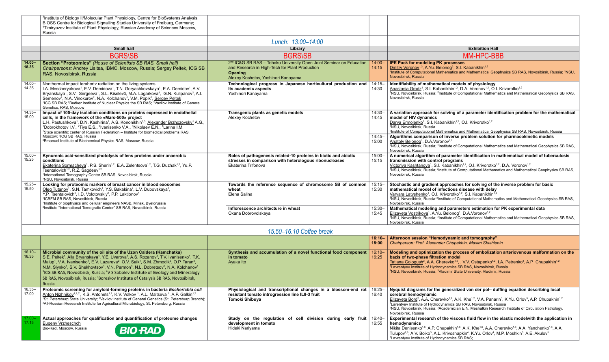|                    | <sup>3</sup> Institute of Biology II/Molecular Plant Physiology, Centre for BioSystems Analysis,<br>BIOSS Centre for Biological Signalling Studies University of Freiburg, Germany;<br><sup>4</sup> Timiryazev Institute of Plant Physiology, Russian Academy of Sciences Moscow,<br>Russia                                                                                                                                                                                                                                                                                                                                                                                                                                                                                  |                                                                                                                                                                                            |                             |                                                                                                                                                                                                                                                                                                                                                                                                                                                                                                                                                                                                                                                                                 |
|--------------------|------------------------------------------------------------------------------------------------------------------------------------------------------------------------------------------------------------------------------------------------------------------------------------------------------------------------------------------------------------------------------------------------------------------------------------------------------------------------------------------------------------------------------------------------------------------------------------------------------------------------------------------------------------------------------------------------------------------------------------------------------------------------------|--------------------------------------------------------------------------------------------------------------------------------------------------------------------------------------------|-----------------------------|---------------------------------------------------------------------------------------------------------------------------------------------------------------------------------------------------------------------------------------------------------------------------------------------------------------------------------------------------------------------------------------------------------------------------------------------------------------------------------------------------------------------------------------------------------------------------------------------------------------------------------------------------------------------------------|
|                    |                                                                                                                                                                                                                                                                                                                                                                                                                                                                                                                                                                                                                                                                                                                                                                              | Lunch: 13:00-14:00                                                                                                                                                                         |                             |                                                                                                                                                                                                                                                                                                                                                                                                                                                                                                                                                                                                                                                                                 |
|                    | <b>Small hall</b>                                                                                                                                                                                                                                                                                                                                                                                                                                                                                                                                                                                                                                                                                                                                                            | Library                                                                                                                                                                                    |                             | <b>Exhibition Hall</b>                                                                                                                                                                                                                                                                                                                                                                                                                                                                                                                                                                                                                                                          |
|                    | <b>BGRS\SB</b>                                                                                                                                                                                                                                                                                                                                                                                                                                                                                                                                                                                                                                                                                                                                                               | <b>BGRS\SB</b>                                                                                                                                                                             |                             | <b>MM-HPC-BBB</b>                                                                                                                                                                                                                                                                                                                                                                                                                                                                                                                                                                                                                                                               |
| $ 14.00-$<br>18.35 | Section "Proteomics" (House of Scientists SB RAS, Small hall)<br>Chairpersons: Andrey Lisitsa, IBMC, Moscow, Russia; Sergey Peltek, ICG SB<br>RAS, Novosibirsk, Russia                                                                                                                                                                                                                                                                                                                                                                                                                                                                                                                                                                                                       | 2 <sup>nd</sup> IC&G SB RAS - Tohoku University Open Joint Seminar on Education<br>and Research in High-Tech for Plant Production<br><b>Opening</b><br>Alexey Kochetov, Yoshinori Kanayama | $14:00 -$<br>14:15          | <b>IPE Pack for modeling PK processes</b><br>Dmitry Voronov <sup>1,2</sup> , A.Yu. Belonog <sup>2</sup> , S.I. Kabanikhin <sup>1,2</sup><br>1Institute of Computational Mathematics and Mathematical Geophysics SB RAS, Novosibirsk, Russia; <sup>2</sup> NSU,<br>Novosibirsk, Russia                                                                                                                                                                                                                                                                                                                                                                                           |
| 14.00-<br>14.35    | Nonthermal impact terahertz radiation on the living systems<br>I.A. Mescheryakova <sup>1</sup> , E.V. Demidova <sup>1</sup> , T.N. Goryachkovskaya <sup>1</sup> , E.A. Demidov <sup>1</sup> , A.V.<br>Bryanskaya <sup>1</sup> , S.V. Sergeeva <sup>1</sup> , S.L. Kiselev3, M.A. Lagarkova <sup>3</sup> , G.N. Kulipanov <sup>2</sup> , A.I.<br>Semenov <sup>2</sup> , N.A. Vinokurov <sup>2</sup> , N.A. Kolchanov <sup>1</sup> , V.M. Popik <sup>2</sup> , Sergey Peltek <sup>1</sup><br><sup>1</sup> ICG SB RAS; <sup>2</sup> Budker Institute of Nuclear Physics the SB RAS; <sup>3</sup> Vavilov Institute of General<br>Genetics, RAS, Moscow                                                                                                                          | Technological progress in Japanese horticultural production and<br>Its academic aspects<br>Yoshinori Kanayama                                                                              | $14:15 -$<br>14:30          | Identifiability of mathematical models of physiology<br>Anastasia Grodz <sup>1</sup> , S.I. Kabanikhin <sup>1,2</sup> , D.A. Voronov <sup>1,2</sup> , O.I. Krivorotko <sup>1,2</sup><br><sup>1</sup> NSU, Novosibirsk, Russia; <sup>2</sup> Institute of Computational Mathematics and Mathematical Geophysics SB RAS,<br>Novosibirsk, Russia                                                                                                                                                                                                                                                                                                                                   |
| $14.35 -$<br>15.00 | Impact of 105-day isolation conditions on proteins expressed in endothelial<br>cells, in the framework of the «Mars-500» project<br>L.H. Pastushkova <sup>1</sup> , D.N. Kashirina <sup>1</sup> , A.S. Kononikhin <sup>1,3</sup> , Alexander Brzhozovsky <sup>1</sup> A.G.,<br><sup>1</sup> Dobrokhotov I.V., <sup>2</sup> Tiys E.S., <sup>2</sup> Ivanisenko V.A., <sup>3</sup> Nikolaev E.N., <sup>1</sup> Larina I.M.<br><sup>1</sup> State scientific center of Russian Federation - Institute for biomedical problems RAS,<br>Moscow; <sup>2</sup> ICG SB RAS, Russia<br><sup>3</sup> Emanuel Institute of Biochemical Physics RAS, Moscow, Russia                                                                                                                      | Transgenic plants as genetic models<br>Alexey Kochetov                                                                                                                                     | 14:45<br>15:00              | $14:30-$ A variation approach for solving of a parameter identification problem for the mathematical<br>model of HIV dynamics<br>Darya Ermolenko <sup>1</sup> , S.I. Kabanikhin <sup>1,2</sup> , O.I. Krivorotko <sup>1,2</sup><br><sup>1</sup> NSU, Novosibirsk, Russia<br><sup>2</sup> Institute of Computational Mathematics and Mathematical Geophysics SB RAS, Novosibirsk, Russia<br>14:45   Algorithms comparison of inverse problem solution for pharmacokinetic models<br>Anatoly Belonog <sup>1</sup> , D.A. Voronov <sup>1,2</sup><br><sup>1</sup> NSU, Novosibirsk, Russia; <sup>2</sup> Institute of Computational Mathematics and Mathematical Geophysics SB RAS, |
| $15.00 -$<br>15.25 | Kynurenic acid-sensitized photolysis of lens proteins under anaerobic<br>conditions<br>Ekaterina Sormacheva <sup>1</sup> , P.S. Sherin <sup>1,2</sup> , E.A. Zelentsova <sup>1,2</sup> , T.G. Duzhak <sup>1,2</sup> , Yu.P.<br>Tsentalovich <sup>1,2</sup> , R.Z. Sagdeev <sup>1,2</sup><br><sup>1</sup> International Tomography Center SB RAS, Novosibirsk, Russia<br><sup>2</sup> NSU, Novosibirsk, Russia                                                                                                                                                                                                                                                                                                                                                                | Roles of pathogenesis related-10 proteins in biotic and abiotic<br>stresses in comparison with heterologous ribonucleases<br>Ekaterina Trifonova                                           | $15:00 -$<br>15:15          | Novosibirsk, Russia<br>A numerical algorithm of parameter identification in mathematical model of tuberculosis<br>transmission with control programs<br>Victoriya Kashtanova <sup>1</sup> , S.I. Kabanikhin <sup>1,2</sup> , O.I. Krivorotko <sup>1,2</sup> , D.A. Voronov <sup>1,2</sup><br><sup>1</sup> NSU, Novosibirsk, Russia; <sup>2</sup> Institute of Computational Mathematics and Mathematical Geophysics SB RAS,<br>Novosibirsk, Russia                                                                                                                                                                                                                              |
| $15.25 -$<br>15.50 | Looking for proteomic markers of breast cancer in blood exosomes<br>Oleg Tutanov <sup>1</sup> , S.N. Tamkovich <sup>1</sup> , Y.S. Bakakina <sup>2</sup> , L.V. Dubovskaya <sup>2</sup> ,<br>Y.P. Tsentalovich <sup>3</sup> , I.D. Volotovskiy <sup>2</sup> , P.P. Laktionov <sup>1</sup><br><sup>1</sup> ICBFM SB RAS, Novosibirsk, Russia<br><sup>2</sup> Institute of biophysics and cellular engineers NASB, Minsk, Byelorussia<br><sup>3</sup> Institute "International Tomografic Center" SB RAS, Novosibirsk, Russia                                                                                                                                                                                                                                                  | Towards the reference sequence of chromosome 5B of common<br>wheat<br>Elena Salina<br>Inflorescence architecture in wheat<br>Oxana Dobrovolskaya                                           | $15:15 -$<br>15:30<br>15:45 | Stochastic and gradient approaches for solving of the inverse problem for basic<br>mathematical model of infectious disease with delay<br>Varvara Latyshenko <sup>1</sup> , O.I. Krivorotko <sup>1,2</sup> , S.I. Kabanikhin <sup>1,2</sup><br><sup>1</sup> NSU, Novosibirsk, Russia <sup>: 2</sup> Institute of Computational Mathematics and Mathematical Geophysics SB RAS,<br>Novosibirsk, Russia<br>15:30 Rathematical modeling and parameters estimation for PK experimental data<br>Elizaveta Vostrikova <sup>1</sup> , A.Yu. Belonog <sup>1</sup> , D.A.Voronov <sup>1,2</sup>                                                                                          |
|                    |                                                                                                                                                                                                                                                                                                                                                                                                                                                                                                                                                                                                                                                                                                                                                                              |                                                                                                                                                                                            |                             | 1NSU, Novosibirsk, Russia; <sup>2</sup> Institute of Computational Mathematics and Mathematical Geophysics SB RAS,<br>Novosibirsk, Russia                                                                                                                                                                                                                                                                                                                                                                                                                                                                                                                                       |
|                    |                                                                                                                                                                                                                                                                                                                                                                                                                                                                                                                                                                                                                                                                                                                                                                              | 15.50-16.10 Coffee break                                                                                                                                                                   |                             |                                                                                                                                                                                                                                                                                                                                                                                                                                                                                                                                                                                                                                                                                 |
|                    |                                                                                                                                                                                                                                                                                                                                                                                                                                                                                                                                                                                                                                                                                                                                                                              |                                                                                                                                                                                            | 18:00                       | 16:10- Afternoon session "Hemodynamic and tomography"<br>Chairperson: Prof. Alexander Chupakhin, Maxim Shishlenin                                                                                                                                                                                                                                                                                                                                                                                                                                                                                                                                                               |
| $16.10 -$<br>16.35 | Microbial community of the oil site of the Uzon Caldera (Kamchatka)<br>S.E. Peltek <sup>1</sup> , Alla Bryanskaya <sup>1</sup> , Y.E. Uvarova <sup>1</sup> , A.S. Rozanov <sup>1</sup> , T.V. Ivanisenko <sup>1</sup> , T.K.<br>Malup <sup>1</sup> , V.A. Ivanisenko <sup>1</sup> , E.V. Lazareva <sup>2</sup> , O.V. Saik <sup>1</sup> , S.M. Zhmodik <sup>2</sup> , O.P. Taran <sup>3</sup> ,<br>N.M. Slynko <sup>1</sup> , S.V. Shekhovtsov <sup>1</sup> , V.N. Parmon <sup>3</sup> , N.L. Dobretsov <sup>2</sup> , N.A. Kolchanov <sup>1</sup><br><sup>1</sup> ICG SB RAS, Novosibirsk, Russia; <sup>2</sup> V S Sobolev Institute of Geology and Mineralogy<br>SB RAS, Novosibirsk, Russia; <sup>3</sup> Boreskov Institute of Catalysis SB RAS, Novosibirsk,<br>Russia | Synthesis and accumulation of a novel functional food component<br>in tomato<br>Ayaka Ito                                                                                                  | $16:10 -$<br>16:25          | Modeling and optimization the process of embolization arteriovenous malformation on the<br>bazis of two-phase filtration model<br>Tatiana Gologush <sup>2</sup> , A.A. Cherevko <sup>1,2</sup> , , V.V. Ostapenko <sup>1,2</sup> , I.A. Petrenko <sup>3</sup> , A.P Chupakhin <sup>1,2</sup><br><sup>1</sup> Lavrentyev Institute of Hydrodynamics SB RAS, Novosibirsk, Russia<br><sup>2</sup> NSU, Novosibirsk, Russia; <sup>3</sup> Vladimir State University, Vladimir, Russia                                                                                                                                                                                               |
| $16.35 -$<br>17.00 | Proteomic screening for amyloid-forming proteins in bacteria Escherichia coli<br>Anton Nizhnikov <sup>1,2,3*</sup> , K.S. Antonets <sup>1,2</sup> , K.V. Volkov <sup>1</sup> , A.L. Maltseva <sup>1</sup> , A.P. Galkin <sup>1,2</sup><br>1St. Petersburg State University; <sup>2</sup> Vavilov Institute of General Genetics (St. Petersburg Branch);<br><sup>3</sup> All-Russian Research Institute for Agricultural Microbiology, St. Petersburg, Russia                                                                                                                                                                                                                                                                                                                 | Physiological and transcriptional changes in a blossom-end rot<br>resistant tomato introgression line IL8-3 fruit<br>Tomoki Shibuya                                                        | $16:25 -$<br>16:40          | Nyquist diagrams for the generalized van der pol- duffing equation describing local<br>cerebral hemodynamic<br>Elizaveta Bord <sup>2</sup> , A.A. Cherevko <sup>1,2</sup> , A.K. Khe <sup>1,2</sup> , V.A. Panarin <sup>3</sup> , K.Yu. Orlov <sup>3</sup> , A.P. Chupakhin <sup>1,2</sup><br><sup>1</sup> Larentyev Institute of Hydrodynamics SB RAS, Novosibirsk, Russia<br><sup>2</sup> NSU, Novosibirsk, Russia; <sup>3</sup> Academician E.N. Meshalkin Research Institute of Circulation Pathology,<br>Novosibirsk, Russia                                                                                                                                               |
| 17.15              | Actual approaches for qualification and quantification of proteome changes<br><b>Eugeny Vrzheschch</b><br>Bio-Rad, Moscow, Russia<br><b>BIO RAD</b>                                                                                                                                                                                                                                                                                                                                                                                                                                                                                                                                                                                                                          | Study on the regulation of cell division during early fruit<br>development in tomato<br>Hideki Nariyama                                                                                    | 16:40-<br>16:55             | Experimental research of the viscous fluid flow in the elastic modelwith the application in<br>hemodynamics<br>Nikita Denisenko <sup>1,6</sup> , A.P. Chupakhin <sup>1,6</sup> , A.K. Khe <sup>1,6</sup> , A.A. Cherevko <sup>1,6</sup> , A.A. Yanchenko <sup>1,6</sup> , A.A.<br>Tulupov <sup>2,6</sup> , A.V. Boiko <sup>3</sup> , A.L. Krivoshapkin <sup>4</sup> , K.Yu. Orlov <sup>4</sup> , M.P. Moshkin <sup>5</sup> , A.E. Akulov <sup>5</sup><br><sup>1</sup> Lavrentyev Institute of Hydrodynamics SB RAS;                                                                                                                                                             |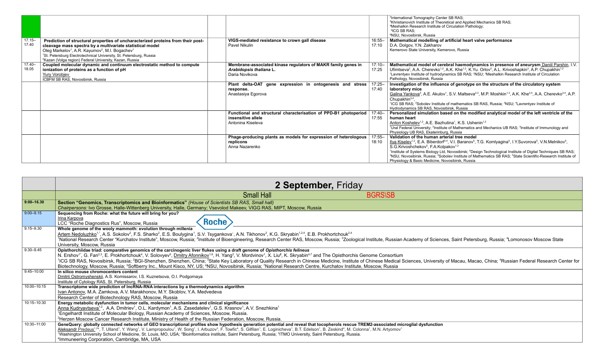| $17.15 -$<br>17.40 | Prediction of structural properties of uncharacterized proteins from their post-<br>cleavage mass spectra by a multivariate statistical model<br>Oleg Markelov <sup>1</sup> , A.R. Kayumov <sup>2</sup> , M.I. Bogachev <sup>1</sup><br><sup>1</sup> St. Petersburg Electrotechnical University, St. Petersburg, Russia<br><sup>2</sup> Kazan (Volga region) Federal University, Kazan, Russia | VIGS-mediated resistance to crown gall disease<br>Pavel Nikulin                                             | $16:55 -$<br>17:10 | <sup>2</sup> International Tomography Center SB RAS;<br><sup>3</sup> Khristianovich Institute of Theoretical and Applied Mechanics SB RAS;<br><sup>4</sup> Meshalkin Research Institute of Circulation Pathology;<br><sup>5</sup> ICG SB RAS:<br><sup>6</sup> NSU. Novosibirsk. Russia<br>Mathematical modelling of artificial heart valve performance<br>D.A. Dolgov, Y.N. Zakharov<br>Kemerovo State University, Kemerovo, Russia                                                                                                                                                                                                                |
|--------------------|------------------------------------------------------------------------------------------------------------------------------------------------------------------------------------------------------------------------------------------------------------------------------------------------------------------------------------------------------------------------------------------------|-------------------------------------------------------------------------------------------------------------|--------------------|----------------------------------------------------------------------------------------------------------------------------------------------------------------------------------------------------------------------------------------------------------------------------------------------------------------------------------------------------------------------------------------------------------------------------------------------------------------------------------------------------------------------------------------------------------------------------------------------------------------------------------------------------|
| $17.40-$<br>18.05  | Coupled molecular dynamic and continuum electrostatic method to compute<br>ionization of proteins as a function of pH<br><b>Yury Vorobjev</b><br>ICBFM SB RAS, Novosibirsk, Russia                                                                                                                                                                                                             | Membrane-associated kinase regulators of MAKR family genes in<br>Arabidopsis thaliana L.<br>Daria Novikova  | $17:10 -$<br>17:25 | Mathematical model of cerebral haemodynamics in presence of aneurysm Daniil Parshin, I.V.<br>Ufimtseva <sup>2</sup> , A.A. Cherevko <sup>1,2</sup> , A.K. Khe <sup>1,2</sup> , K.Yu. Orlov <sup>3</sup> , A.L. Krivoshapkin <sup>3</sup> , A.P. Chupakhin <sup>1,2</sup><br><sup>1</sup> Lavrentyev Institute of hydrodynamics SB RAS; <sup>2</sup> NSU; <sup>3</sup> Meshalkin Research Institute of Circulation<br>Pathology, Novosibirsk, Russia                                                                                                                                                                                                |
|                    |                                                                                                                                                                                                                                                                                                                                                                                                | Plant delta-OAT gene expression in ontogenesis and stress<br>response.<br>Anastasiya Egorova                | $17:25 -$<br>17:40 | Investigation of the influence of genotype on the structure of the circulatory system<br>laboratory mice<br>Galina Yankova <sup>3</sup> , A.E. Akulov <sup>1</sup> , S.V. Maltseva <sup>2,3</sup> , M.P. Moshkin <sup>1,3</sup> , A.K. Khe <sup>3,4</sup> , A.A. Cherevko <sup>3,4</sup> , A.P.<br>Chupakhin <sup>3,4</sup><br><sup>1</sup> ICG SB RAS; <sup>2</sup> Sobolev Institute of mathematics SB RAS, Russia; <sup>3</sup> NSU; <sup>4</sup> Lavrentyev Institute of<br>Hydrodynamics SB RAS, Novosibirsk, Russia                                                                                                                          |
|                    |                                                                                                                                                                                                                                                                                                                                                                                                | Functional and structural characterisation of PPD-B1 photoperiod<br>insensitive allele<br>Antonina Kiseleva | 17:40-<br>17:55    | Personalized simulation based on the modified analytical model of the left ventricle of the<br>human heart<br>Anton Koshelev <sup>1,2</sup> , A.E. Bazhutina <sup>1</sup> , K.S. Ushenin <sup>1,3</sup><br><sup>1</sup> Ural Federal University; <sup>2</sup> Institute of Mathematics and Mechanics UB RAS; <sup>3</sup> Institute of Immunology and<br>Physiology UB RAS, Ekaterinburg, Russia                                                                                                                                                                                                                                                   |
|                    |                                                                                                                                                                                                                                                                                                                                                                                                | Phage-producing plants as models for expression of heterologous<br>replicons<br>Anna Nazarenko              | $17:55 -$<br>18:10 | Validation of the human arterial tree model<br>  Ilya Kiselev <sup>1,2</sup> , E.A. Biberdorf <sup>3,4</sup> , V.I. Baranov <sup>5</sup> , T.G. Komlyagina <sup>5</sup> , I.Y.Suvorova <sup>5</sup> , V.N.Melnikov <sup>5</sup> ,<br>S.G.Krivoshchekov <sup>5</sup> , F.A.Kolpakov <sup>1,2</sup><br><sup>1</sup> Institute of Systems Biology Ltd, Novosibirsk; <sup>2</sup> Design Technological Institute of Digital Techniques SB RAS;<br><sup>3</sup> NSU, Novosibirsk, Russia; <sup>4</sup> Sobolev Institute of Mathematics SB RAS; <sup>5</sup> State Scientific-Research Institute of<br>Physiology & Basic Medicine, Novosibirsk, Russia |

|                | 2 September, Friday                                                                                                                                                                                                                                                                                                                                                                                                                                                                                                                                                                                                                                                                                                                                                                                                                                                                         |
|----------------|---------------------------------------------------------------------------------------------------------------------------------------------------------------------------------------------------------------------------------------------------------------------------------------------------------------------------------------------------------------------------------------------------------------------------------------------------------------------------------------------------------------------------------------------------------------------------------------------------------------------------------------------------------------------------------------------------------------------------------------------------------------------------------------------------------------------------------------------------------------------------------------------|
|                | <b>BGRS\SB</b><br><b>Small Hall</b>                                                                                                                                                                                                                                                                                                                                                                                                                                                                                                                                                                                                                                                                                                                                                                                                                                                         |
| $9:00 - 16.30$ | Section "Genomics, Transcriptomics and Bioinformatics" (House of Scientists SB RAS, Small hall)<br>Chairpersons: Ivo Grosse, Halle-Wittenberg University, Halle, Germany; Vsevolod Makeev, VIGG RAS, MIPT, Moscow, Russia                                                                                                                                                                                                                                                                                                                                                                                                                                                                                                                                                                                                                                                                   |
| $9:00 - 9.15$  | Sequencing from Roche: what the future will bring for you?<br>Irina Karpova<br><b>Roche</b><br>LCC "Roche Diagnostics Rus", Moscow, Russia                                                                                                                                                                                                                                                                                                                                                                                                                                                                                                                                                                                                                                                                                                                                                  |
| $9.15 - 9.30$  | Whole genome of the wooly mammoth: evolution through millenia<br>Artem Nedoluzhko <sup>1,*</sup> , A.S. Sokolov <sup>2</sup> , F.S. Sharko <sup>2</sup> , E.S. Boulygina <sup>1</sup> , S.V. Tsygankova <sup>1</sup> , A.N. Tikhonov <sup>3</sup> , K.G. Skryabin <sup>1,2,4</sup> , E.B. Prokhortchouk <sup>2,4</sup><br><sup>1</sup> National Research Center "Kurchatov Institute", Moscow, Russia; <sup>2</sup> Institute of Bioengineering, Research Center RAS, Moscow, Russia; <sup>3</sup> Zoological Institute, Russian Academy of Sciences, Saint Petersburg, Russia; <sup>4</sup> Lom<br>University, Moscow, Russia                                                                                                                                                                                                                                                              |
| $9.30 - 9.45$  | Opisthorchiidae triad: comparative genomics of the carcinogenic liver flukes using a draft genome of Opisthorchis felineus<br>N. Ershov <sup>1*</sup> , G. Fan <sup>2,3</sup> , E. Prokhortchouk <sup>4</sup> , V. Solovyev <sup>5</sup> , Dmitry Afonnikov <sup>1,6</sup> , H. Yang <sup>2</sup> , V. Mordvinov <sup>1</sup> , X. Liu <sup>2</sup> , K. Skryabin <sup>4,7</sup> and The Opisthorchis Genome Consortium<br><sup>1</sup> ICG SB RAS, Novosibirsk, Russia; <sup>2</sup> BGI-Shenzhen, Shenzhen, China; <sup>3</sup> State Key Laboratory of Quality Research in Chinese Medicine, Institute of Chinese Medical Sciences, University of Macau, Macao, China; <sup>4</sup> Russian Fe<br>Biotechnology, Moscow, Russia; <sup>5</sup> Softberry Inc., Mount Kisco, NY, US; <sup>6</sup> NSU, Novosibirsk, Russia; 7National Research Centre, Kurchatov Institute, Moscow, Russia |
| 9.45-10:00     | In silico mouse chromocenters content<br>Dmitrii Ostromyshenskii, A.S. Komissarov, I.S. Kuznetsova, O.I. Podgornaya<br>Institute of Cytology RAS, St. Petersburg, Russia                                                                                                                                                                                                                                                                                                                                                                                                                                                                                                                                                                                                                                                                                                                    |
| 10:00-10:15    | Transcriptome wide prediction of IncRNA-RNA interactions by a thermodynamics algorithm<br>Ivan Antonov, M.A. Zamkova, A.V. Marakhonov, M.Y. Skoblov, Y.A. Medvedeva<br>Research Center of Biotechnology RAS, Moscow, Russia                                                                                                                                                                                                                                                                                                                                                                                                                                                                                                                                                                                                                                                                 |
| 10:15-10:30    | Energy metabolic dysfunction in tumor cells, molecular mechanisms and clinical significance<br>Anna Kudryavtseva <sup>1,2</sup> , A.A. Dmitriev <sup>1</sup> , O.L. Kardymon <sup>1</sup> , A.S. Zasedatelev <sup>1</sup> , G.S. Krasnov <sup>1</sup> , A.V. Snezhkina <sup>1</sup><br><sup>1</sup> Engelhardt Institute of Molecular Biology, Russian Academy of Sciences, Moscow, Russia.<br><sup>2</sup> Herzen Moscow Cancer Research Institute, Ministry of Health of the Russian Federation, Moscow, Russia.                                                                                                                                                                                                                                                                                                                                                                          |
| 10:30-11:00    | GeneQuery: globally connected networks of GEO transcriptional profiles show hypothesis generation potential and reveal that tocopherols rescue TREM2-associated microglial dysfunction<br>Aleksandr Predeus <sup>1,2*</sup> , T. Ulland <sup>1</sup> , Y. Wang <sup>1</sup> , V. Lampropoulou <sup>1</sup> , W. Song <sup>1</sup> , I. Arbuzov <sup>3</sup> , F. Towfic <sup>4</sup> , S. Gilfilan <sup>1</sup> , E. Loginicheva <sup>1</sup> , B.T. Edelson <sup>1</sup> , B. Zeskind <sup>4</sup> , M. Colonna <sup>1</sup> , M.N. Artyomov <sup>1</sup><br>Washington University School of Medicine, St. Louis, MO, USA; <sup>2</sup> Bioinformatics institute, Saint Petersburg, Russia; <sup>3</sup> ITMO University, Saint Petersburg, Russia.<br><sup>4</sup> Immuneering Corporation, Cambridge, MA, USA                                                                            |